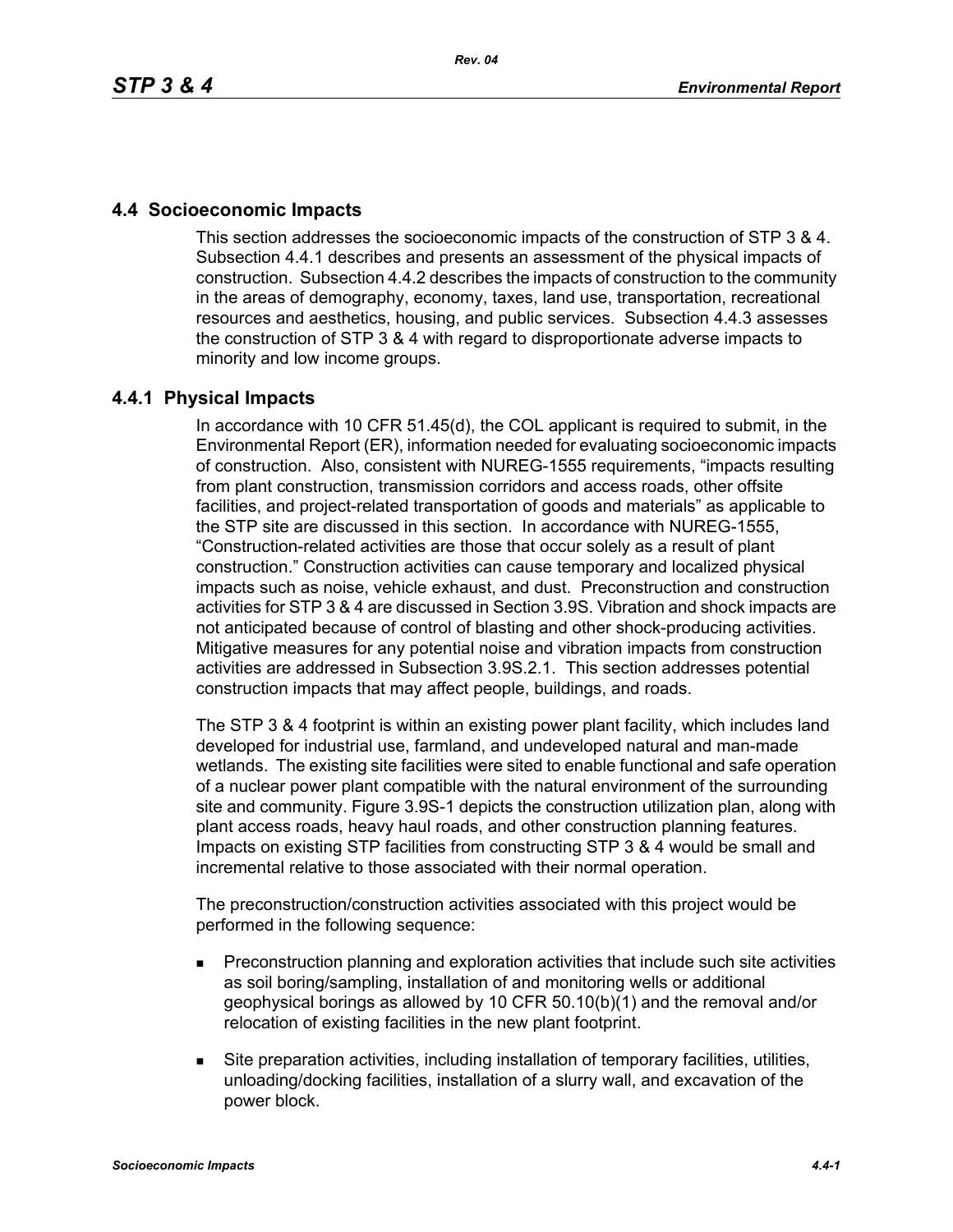# **4.4 Socioeconomic Impacts**

This section addresses the socioeconomic impacts of the construction of STP 3 & 4. Subsection 4.4.1 describes and presents an assessment of the physical impacts of construction. Subsection 4.4.2 describes the impacts of construction to the community in the areas of demography, economy, taxes, land use, transportation, recreational resources and aesthetics, housing, and public services. Subsection 4.4.3 assesses the construction of STP 3 & 4 with regard to disproportionate adverse impacts to minority and low income groups.

# **4.4.1 Physical Impacts**

In accordance with 10 CFR 51.45(d), the COL applicant is required to submit, in the Environmental Report (ER), information needed for evaluating socioeconomic impacts of construction. Also, consistent with NUREG-1555 requirements, "impacts resulting from plant construction, transmission corridors and access roads, other offsite facilities, and project-related transportation of goods and materials" as applicable to the STP site are discussed in this section. In accordance with NUREG-1555, "Construction-related activities are those that occur solely as a result of plant construction." Construction activities can cause temporary and localized physical impacts such as noise, vehicle exhaust, and dust. Preconstruction and construction activities for STP 3 & 4 are discussed in Section 3.9S. Vibration and shock impacts are not anticipated because of control of blasting and other shock-producing activities. Mitigative measures for any potential noise and vibration impacts from construction activities are addressed in Subsection 3.9S.2.1. This section addresses potential construction impacts that may affect people, buildings, and roads.

The STP 3 & 4 footprint is within an existing power plant facility, which includes land developed for industrial use, farmland, and undeveloped natural and man-made wetlands. The existing site facilities were sited to enable functional and safe operation of a nuclear power plant compatible with the natural environment of the surrounding site and community. Figure 3.9S-1 depicts the construction utilization plan, along with plant access roads, heavy haul roads, and other construction planning features. Impacts on existing STP facilities from constructing STP 3 & 4 would be small and incremental relative to those associated with their normal operation.

The preconstruction/construction activities associated with this project would be performed in the following sequence:

- **Preconstruction planning and exploration activities that include such site activities** as soil boring/sampling, installation of and monitoring wells or additional geophysical borings as allowed by 10 CFR 50.10(b)(1) and the removal and/or relocation of existing facilities in the new plant footprint.
- Site preparation activities, including installation of temporary facilities, utilities, unloading/docking facilities, installation of a slurry wall, and excavation of the power block.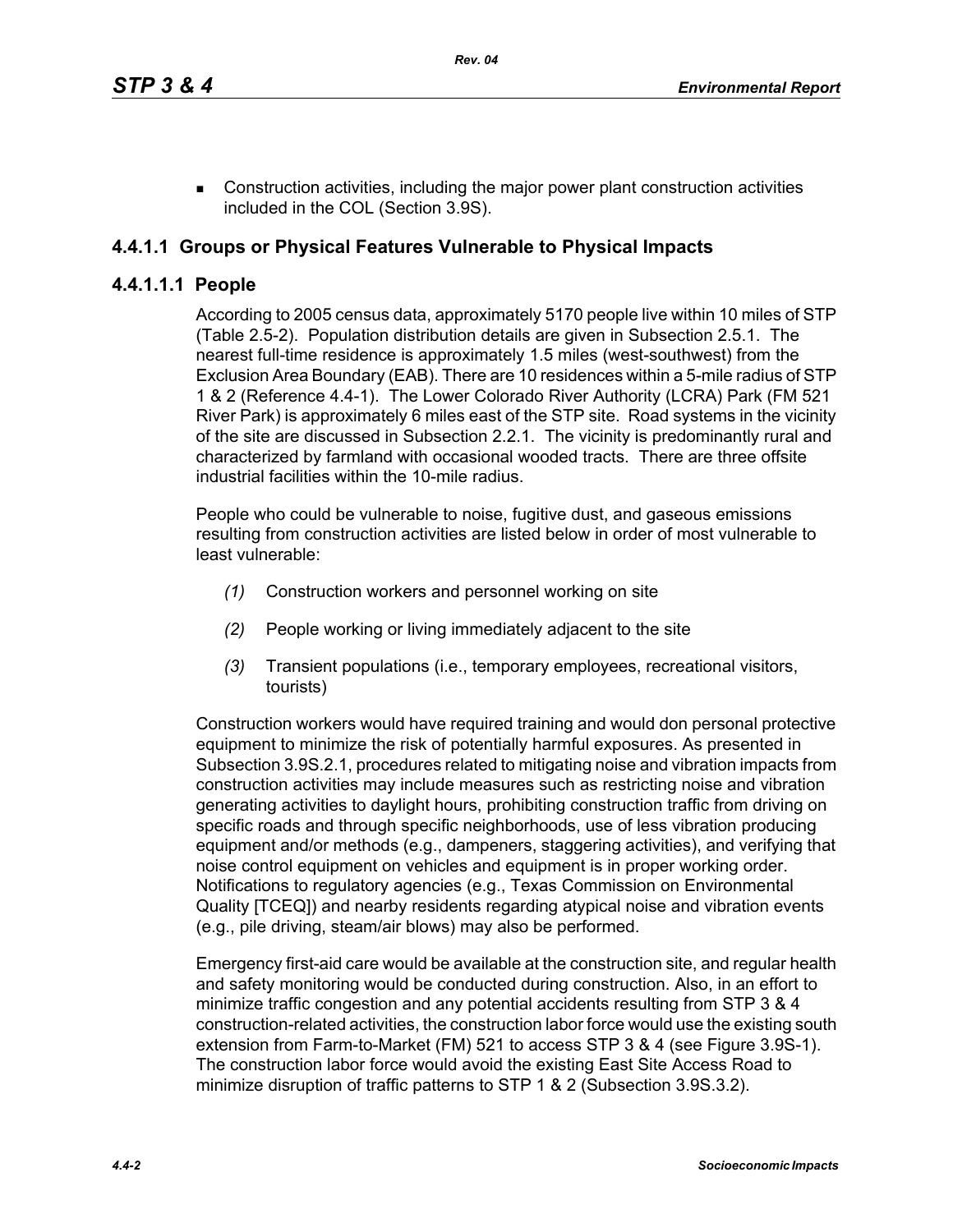**EXECONSTRUCTER CONSTRUCTED ACTIVITIES, including the major power plant construction activities** included in the COL (Section 3.9S).

# **4.4.1.1 Groups or Physical Features Vulnerable to Physical Impacts**

## **4.4.1.1.1 People**

According to 2005 census data, approximately 5170 people live within 10 miles of STP (Table 2.5-2). Population distribution details are given in Subsection 2.5.1. The nearest full-time residence is approximately 1.5 miles (west-southwest) from the Exclusion Area Boundary (EAB). There are 10 residences within a 5-mile radius of STP 1 & 2 (Reference 4.4-1). The Lower Colorado River Authority (LCRA) Park (FM 521 River Park) is approximately 6 miles east of the STP site. Road systems in the vicinity of the site are discussed in Subsection 2.2.1. The vicinity is predominantly rural and characterized by farmland with occasional wooded tracts. There are three offsite industrial facilities within the 10-mile radius.

People who could be vulnerable to noise, fugitive dust, and gaseous emissions resulting from construction activities are listed below in order of most vulnerable to least vulnerable:

- *(1)* Construction workers and personnel working on site
- *(2)* People working or living immediately adjacent to the site
- *(3)* Transient populations (i.e., temporary employees, recreational visitors, tourists)

Construction workers would have required training and would don personal protective equipment to minimize the risk of potentially harmful exposures. As presented in Subsection 3.9S.2.1, procedures related to mitigating noise and vibration impacts from construction activities may include measures such as restricting noise and vibration generating activities to daylight hours, prohibiting construction traffic from driving on specific roads and through specific neighborhoods, use of less vibration producing equipment and/or methods (e.g., dampeners, staggering activities), and verifying that noise control equipment on vehicles and equipment is in proper working order. Notifications to regulatory agencies (e.g., Texas Commission on Environmental Quality [TCEQ]) and nearby residents regarding atypical noise and vibration events (e.g., pile driving, steam/air blows) may also be performed.

Emergency first-aid care would be available at the construction site, and regular health and safety monitoring would be conducted during construction. Also, in an effort to minimize traffic congestion and any potential accidents resulting from STP 3 & 4 construction-related activities, the construction labor force would use the existing south extension from Farm-to-Market (FM) 521 to access STP 3 & 4 (see Figure 3.9S-1). The construction labor force would avoid the existing East Site Access Road to minimize disruption of traffic patterns to STP 1 & 2 (Subsection 3.9S.3.2).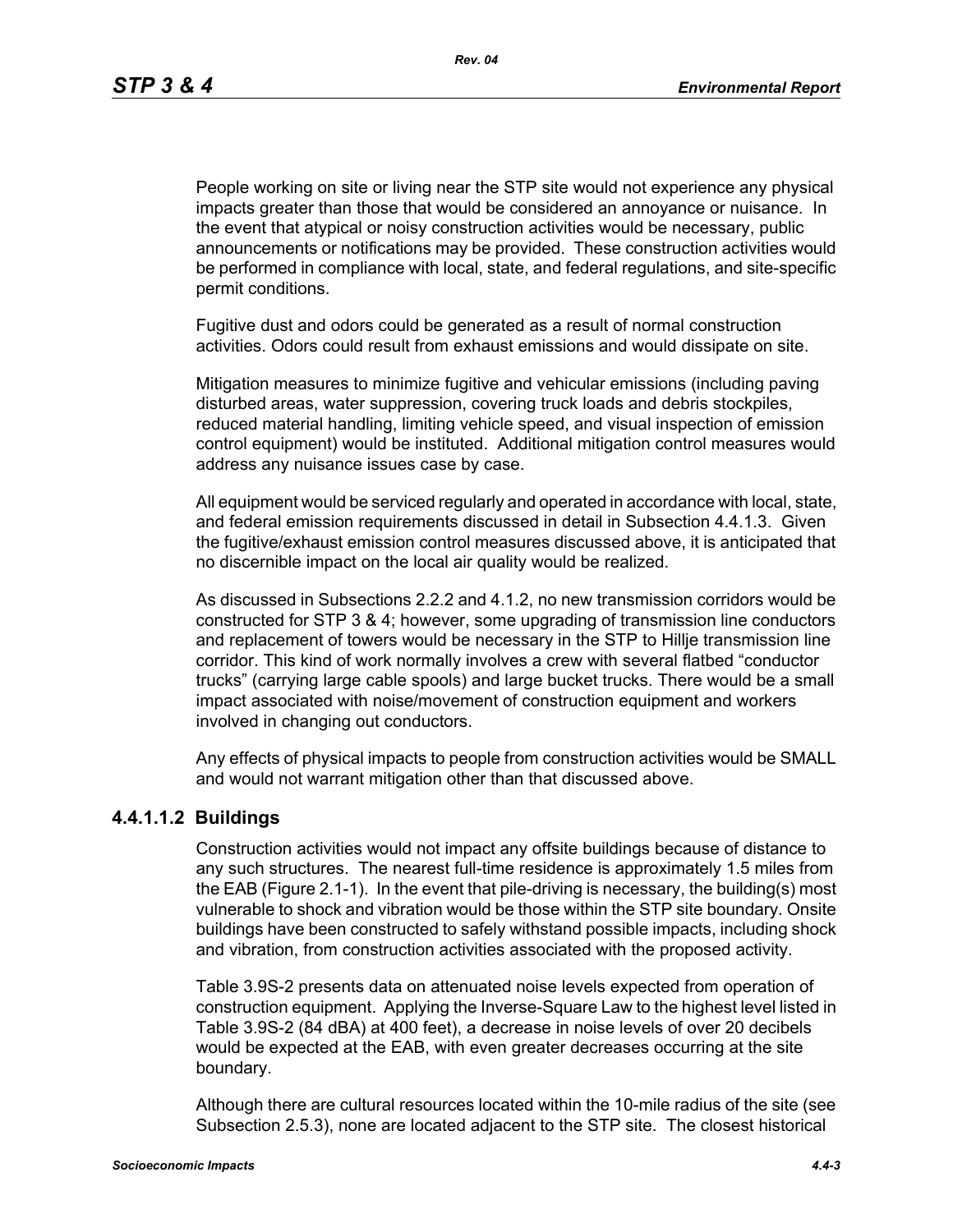People working on site or living near the STP site would not experience any physical impacts greater than those that would be considered an annoyance or nuisance. In the event that atypical or noisy construction activities would be necessary, public announcements or notifications may be provided. These construction activities would be performed in compliance with local, state, and federal regulations, and site-specific permit conditions.

Fugitive dust and odors could be generated as a result of normal construction activities. Odors could result from exhaust emissions and would dissipate on site.

Mitigation measures to minimize fugitive and vehicular emissions (including paving disturbed areas, water suppression, covering truck loads and debris stockpiles, reduced material handling, limiting vehicle speed, and visual inspection of emission control equipment) would be instituted. Additional mitigation control measures would address any nuisance issues case by case.

All equipment would be serviced regularly and operated in accordance with local, state, and federal emission requirements discussed in detail in Subsection 4.4.1.3. Given the fugitive/exhaust emission control measures discussed above, it is anticipated that no discernible impact on the local air quality would be realized.

As discussed in Subsections 2.2.2 and 4.1.2, no new transmission corridors would be constructed for STP 3 & 4; however, some upgrading of transmission line conductors and replacement of towers would be necessary in the STP to Hillje transmission line corridor. This kind of work normally involves a crew with several flatbed "conductor trucks" (carrying large cable spools) and large bucket trucks. There would be a small impact associated with noise/movement of construction equipment and workers involved in changing out conductors.

Any effects of physical impacts to people from construction activities would be SMALL and would not warrant mitigation other than that discussed above.

#### **4.4.1.1.2 Buildings**

Construction activities would not impact any offsite buildings because of distance to any such structures. The nearest full-time residence is approximately 1.5 miles from the EAB (Figure 2.1-1). In the event that pile-driving is necessary, the building(s) most vulnerable to shock and vibration would be those within the STP site boundary. Onsite buildings have been constructed to safely withstand possible impacts, including shock and vibration, from construction activities associated with the proposed activity.

Table 3.9S-2 presents data on attenuated noise levels expected from operation of construction equipment. Applying the Inverse-Square Law to the highest level listed in Table 3.9S-2 (84 dBA) at 400 feet), a decrease in noise levels of over 20 decibels would be expected at the EAB, with even greater decreases occurring at the site boundary.

Although there are cultural resources located within the 10-mile radius of the site (see Subsection 2.5.3), none are located adjacent to the STP site. The closest historical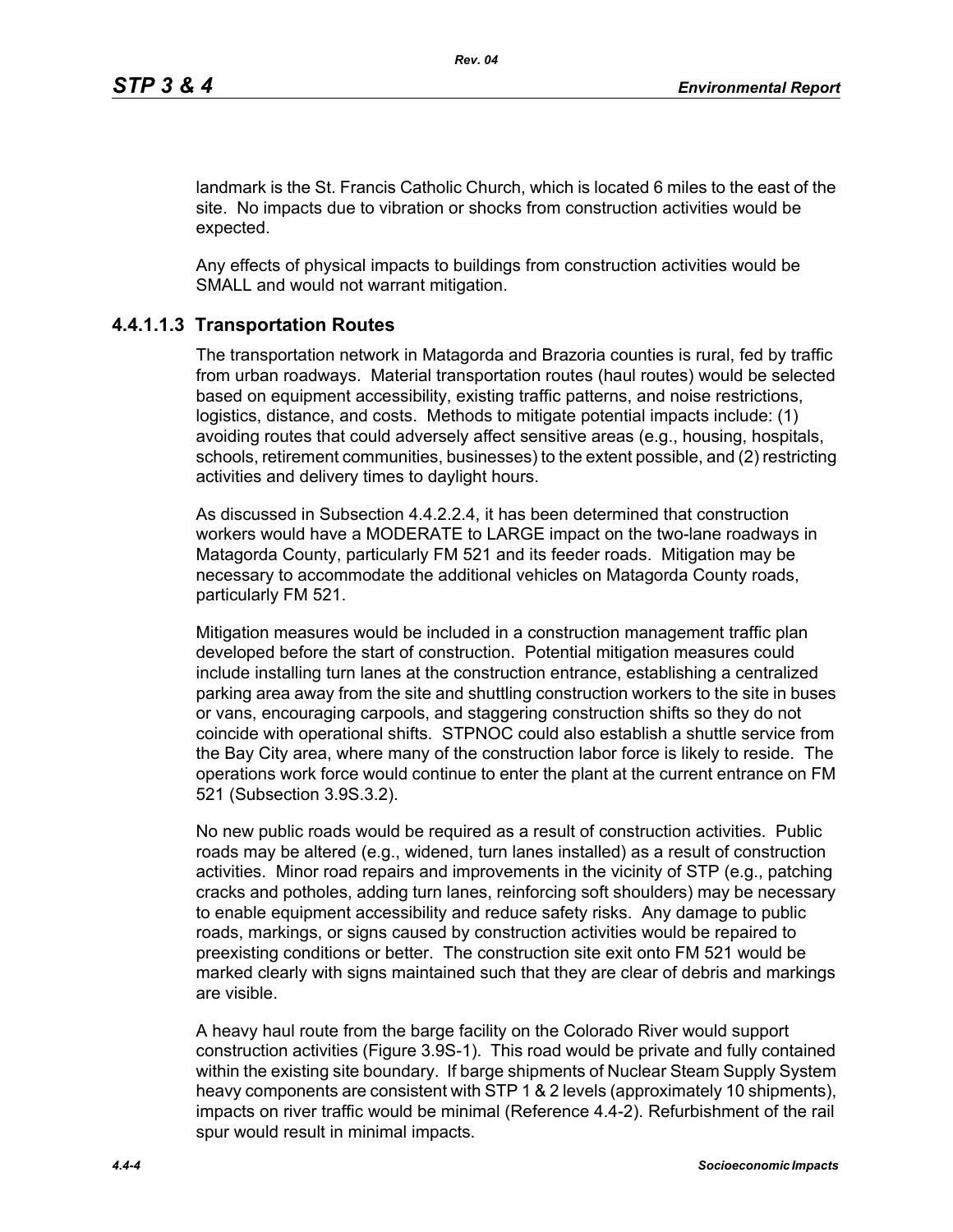landmark is the St. Francis Catholic Church, which is located 6 miles to the east of the site. No impacts due to vibration or shocks from construction activities would be expected.

Any effects of physical impacts to buildings from construction activities would be SMALL and would not warrant mitigation.

# **4.4.1.1.3 Transportation Routes**

The transportation network in Matagorda and Brazoria counties is rural, fed by traffic from urban roadways. Material transportation routes (haul routes) would be selected based on equipment accessibility, existing traffic patterns, and noise restrictions, logistics, distance, and costs. Methods to mitigate potential impacts include: (1) avoiding routes that could adversely affect sensitive areas (e.g., housing, hospitals, schools, retirement communities, businesses) to the extent possible, and (2) restricting activities and delivery times to daylight hours.

As discussed in Subsection 4.4.2.2.4, it has been determined that construction workers would have a MODERATE to LARGE impact on the two-lane roadways in Matagorda County, particularly FM 521 and its feeder roads. Mitigation may be necessary to accommodate the additional vehicles on Matagorda County roads, particularly FM 521.

Mitigation measures would be included in a construction management traffic plan developed before the start of construction. Potential mitigation measures could include installing turn lanes at the construction entrance, establishing a centralized parking area away from the site and shuttling construction workers to the site in buses or vans, encouraging carpools, and staggering construction shifts so they do not coincide with operational shifts. STPNOC could also establish a shuttle service from the Bay City area, where many of the construction labor force is likely to reside. The operations work force would continue to enter the plant at the current entrance on FM 521 (Subsection 3.9S.3.2).

No new public roads would be required as a result of construction activities. Public roads may be altered (e.g., widened, turn lanes installed) as a result of construction activities. Minor road repairs and improvements in the vicinity of STP (e.g., patching cracks and potholes, adding turn lanes, reinforcing soft shoulders) may be necessary to enable equipment accessibility and reduce safety risks. Any damage to public roads, markings, or signs caused by construction activities would be repaired to preexisting conditions or better. The construction site exit onto FM 521 would be marked clearly with signs maintained such that they are clear of debris and markings are visible.

A heavy haul route from the barge facility on the Colorado River would support construction activities (Figure 3.9S-1). This road would be private and fully contained within the existing site boundary. If barge shipments of Nuclear Steam Supply System heavy components are consistent with STP 1 & 2 levels (approximately 10 shipments), impacts on river traffic would be minimal (Reference 4.4-2). Refurbishment of the rail spur would result in minimal impacts.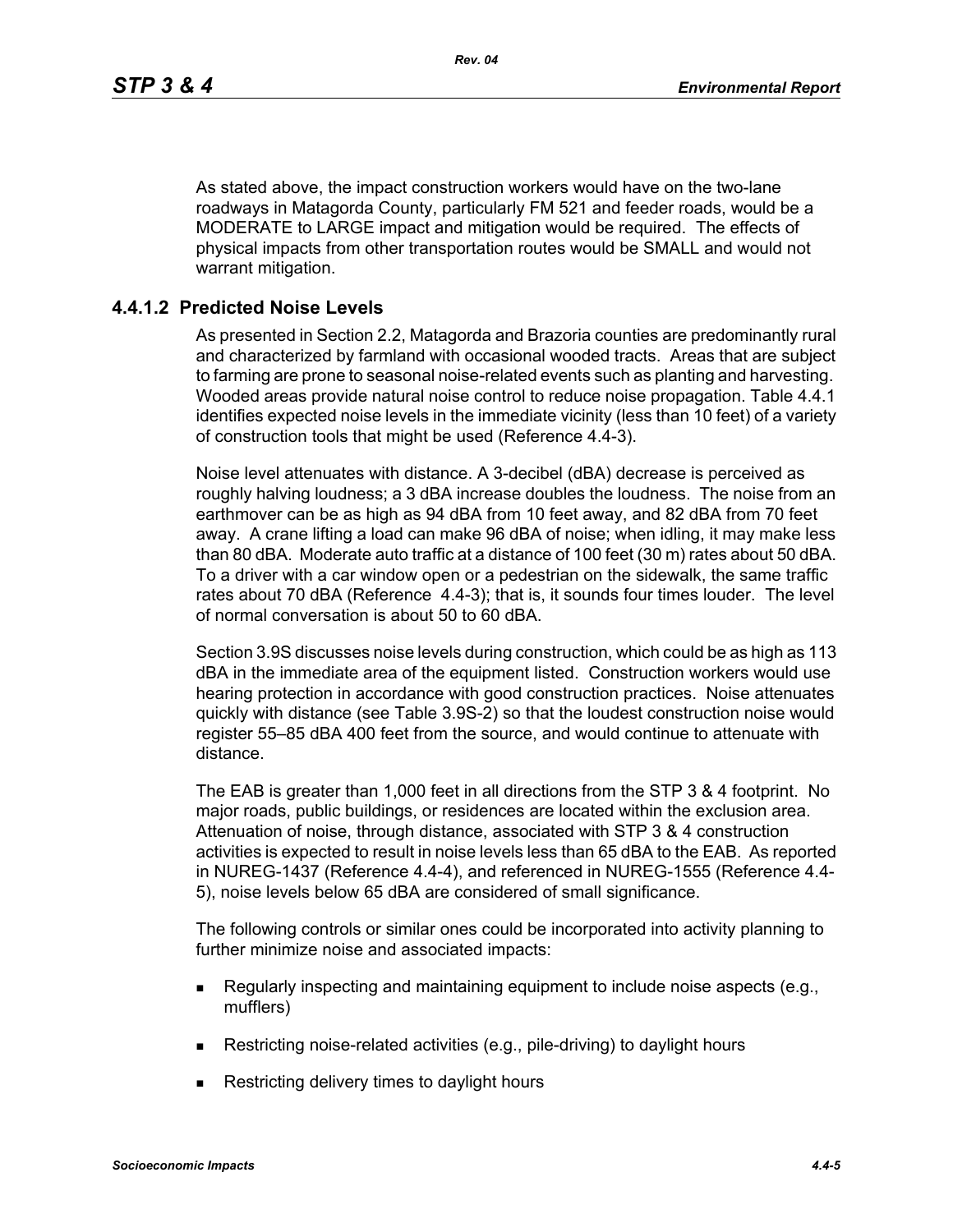As stated above, the impact construction workers would have on the two-lane roadways in Matagorda County, particularly FM 521 and feeder roads, would be a MODERATE to LARGE impact and mitigation would be required. The effects of physical impacts from other transportation routes would be SMALL and would not warrant mitigation.

# **4.4.1.2 Predicted Noise Levels**

As presented in Section 2.2, Matagorda and Brazoria counties are predominantly rural and characterized by farmland with occasional wooded tracts. Areas that are subject to farming are prone to seasonal noise-related events such as planting and harvesting. Wooded areas provide natural noise control to reduce noise propagation. Table 4.4.1 identifies expected noise levels in the immediate vicinity (less than 10 feet) of a variety of construction tools that might be used (Reference 4.4-3).

Noise level attenuates with distance. A 3-decibel (dBA) decrease is perceived as roughly halving loudness; a 3 dBA increase doubles the loudness. The noise from an earthmover can be as high as 94 dBA from 10 feet away, and 82 dBA from 70 feet away. A crane lifting a load can make 96 dBA of noise; when idling, it may make less than 80 dBA. Moderate auto traffic at a distance of 100 feet (30 m) rates about 50 dBA. To a driver with a car window open or a pedestrian on the sidewalk, the same traffic rates about 70 dBA (Reference 4.4-3); that is, it sounds four times louder. The level of normal conversation is about 50 to 60 dBA.

Section 3.9S discusses noise levels during construction, which could be as high as 113 dBA in the immediate area of the equipment listed. Construction workers would use hearing protection in accordance with good construction practices. Noise attenuates quickly with distance (see Table 3.9S-2) so that the loudest construction noise would register 55–85 dBA 400 feet from the source, and would continue to attenuate with distance.

The EAB is greater than 1,000 feet in all directions from the STP 3 & 4 footprint. No major roads, public buildings, or residences are located within the exclusion area. Attenuation of noise, through distance, associated with STP 3 & 4 construction activities is expected to result in noise levels less than 65 dBA to the EAB. As reported in NUREG-1437 (Reference 4.4-4), and referenced in NUREG-1555 (Reference 4.4- 5), noise levels below 65 dBA are considered of small significance.

The following controls or similar ones could be incorporated into activity planning to further minimize noise and associated impacts:

- **Requiarly inspecting and maintaining equipment to include noise aspects (e.g.,** mufflers)
- Restricting noise-related activities (e.g., pile-driving) to daylight hours
- **Restricting delivery times to daylight hours**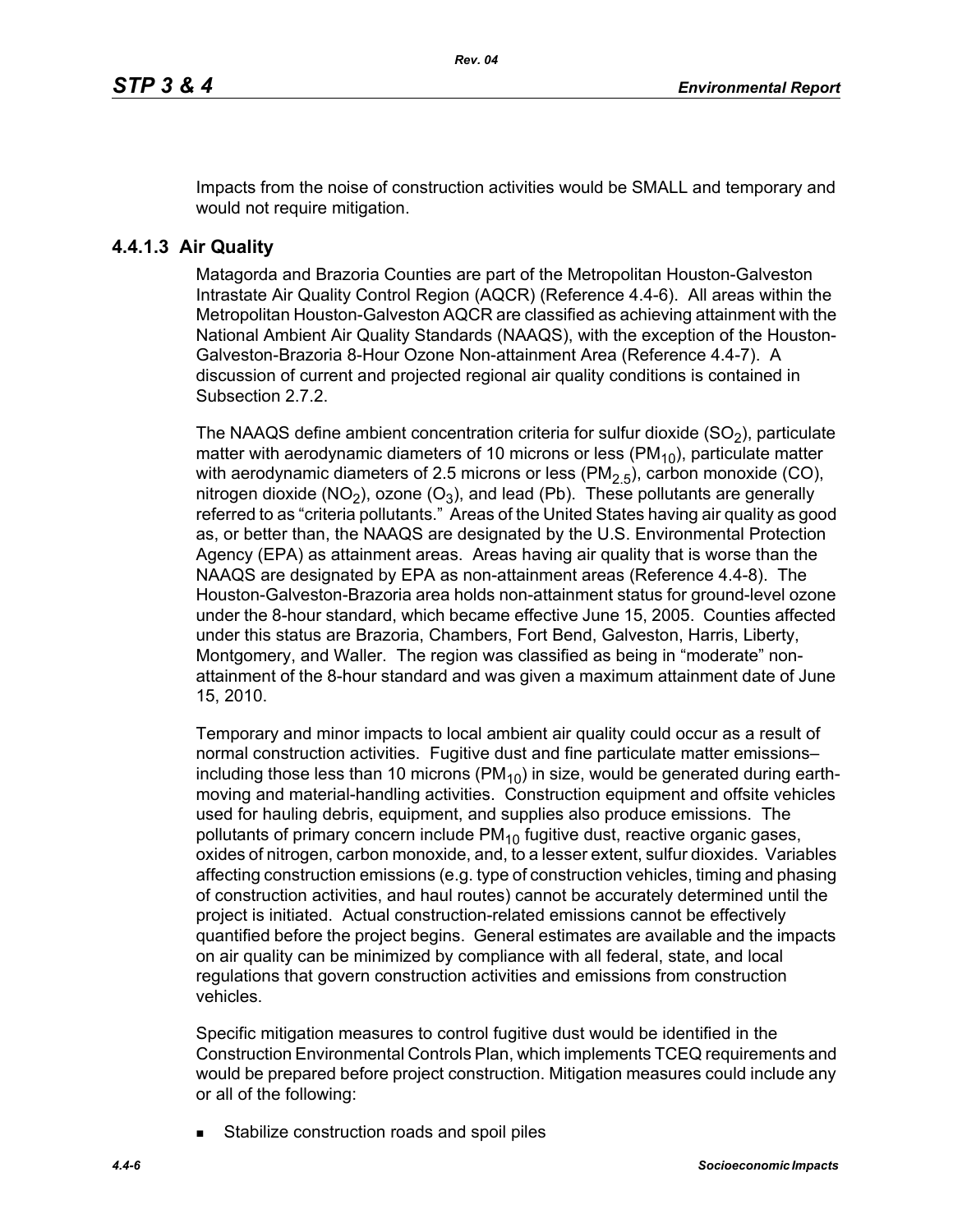Impacts from the noise of construction activities would be SMALL and temporary and would not require mitigation.

# **4.4.1.3 Air Quality**

Matagorda and Brazoria Counties are part of the Metropolitan Houston-Galveston Intrastate Air Quality Control Region (AQCR) (Reference 4.4-6). All areas within the Metropolitan Houston-Galveston AQCR are classified as achieving attainment with the National Ambient Air Quality Standards (NAAQS), with the exception of the Houston-Galveston-Brazoria 8-Hour Ozone Non-attainment Area (Reference 4.4-7). A discussion of current and projected regional air quality conditions is contained in Subsection 2.7.2.

The NAAQS define ambient concentration criteria for sulfur dioxide  $(SO<sub>2</sub>)$ , particulate matter with aerodynamic diameters of 10 microns or less ( $PM_{10}$ ), particulate matter with aerodynamic diameters of 2.5 microns or less (PM<sub>2.5</sub>), carbon monoxide (CO), nitrogen dioxide (NO<sub>2</sub>), ozone (O<sub>3</sub>), and lead (Pb). These pollutants are generally referred to as "criteria pollutants." Areas of the United States having air quality as good as, or better than, the NAAQS are designated by the U.S. Environmental Protection Agency (EPA) as attainment areas. Areas having air quality that is worse than the NAAQS are designated by EPA as non-attainment areas (Reference 4.4-8). The Houston-Galveston-Brazoria area holds non-attainment status for ground-level ozone under the 8-hour standard, which became effective June 15, 2005. Counties affected under this status are Brazoria, Chambers, Fort Bend, Galveston, Harris, Liberty, Montgomery, and Waller. The region was classified as being in "moderate" nonattainment of the 8-hour standard and was given a maximum attainment date of June 15, 2010.

Temporary and minor impacts to local ambient air quality could occur as a result of normal construction activities. Fugitive dust and fine particulate matter emissions– including those less than 10 microns ( $PM_{10}$ ) in size, would be generated during earthmoving and material-handling activities. Construction equipment and offsite vehicles used for hauling debris, equipment, and supplies also produce emissions. The pollutants of primary concern include  $PM_{10}$  fugitive dust, reactive organic gases, oxides of nitrogen, carbon monoxide, and, to a lesser extent, sulfur dioxides. Variables affecting construction emissions (e.g. type of construction vehicles, timing and phasing of construction activities, and haul routes) cannot be accurately determined until the project is initiated. Actual construction-related emissions cannot be effectively quantified before the project begins. General estimates are available and the impacts on air quality can be minimized by compliance with all federal, state, and local regulations that govern construction activities and emissions from construction vehicles.

Specific mitigation measures to control fugitive dust would be identified in the Construction Environmental Controls Plan, which implements TCEQ requirements and would be prepared before project construction. Mitigation measures could include any or all of the following:

Stabilize construction roads and spoil piles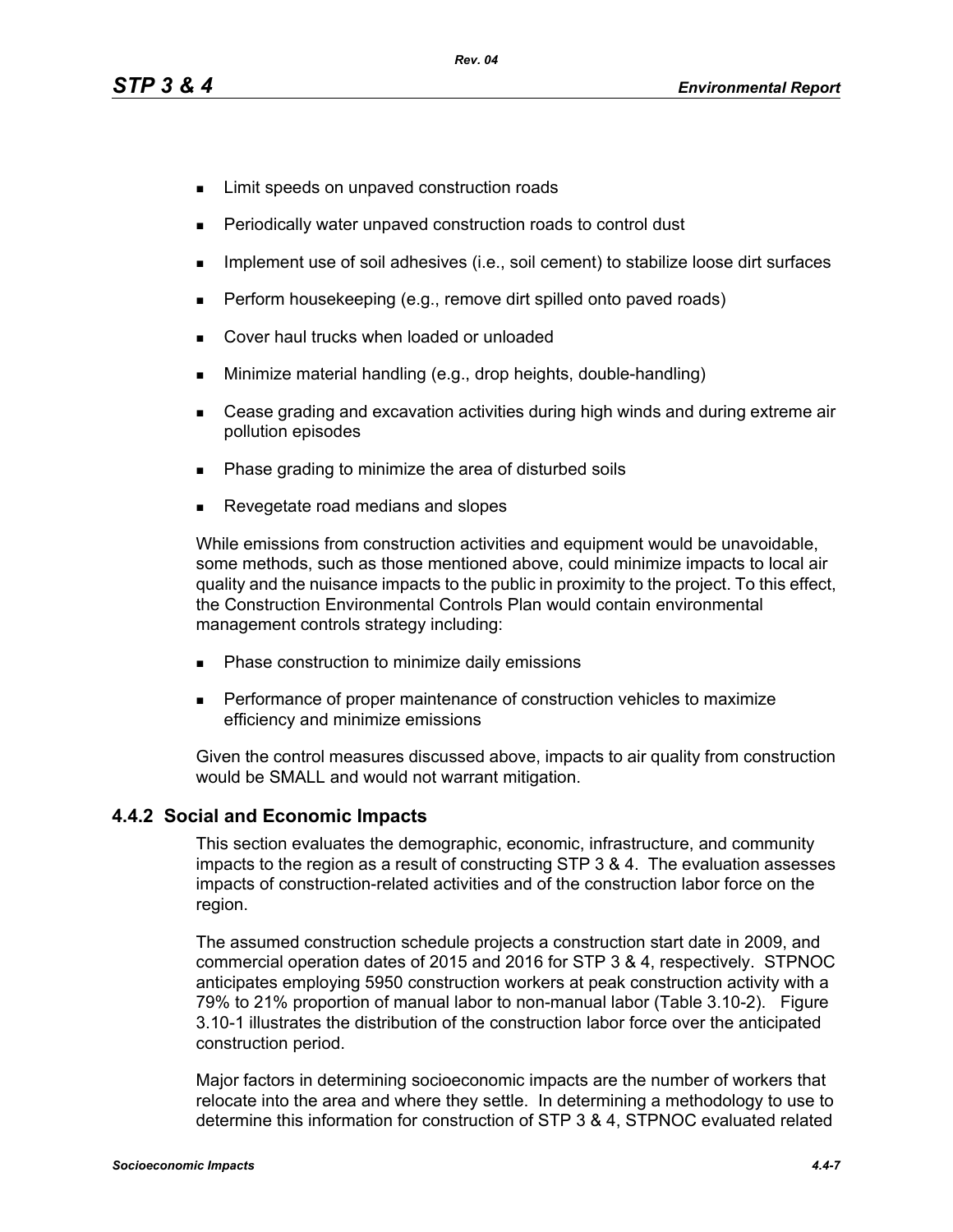- **EXECUTE:** Limit speeds on unpaved construction roads
- Periodically water unpaved construction roads to control dust
- **IMPLEMENT USE OF SOIL ADDES** (i.e., soil cement) to stabilize loose dirt surfaces
- **Perform housekeeping (e.g., remove dirt spilled onto paved roads)**
- Cover haul trucks when loaded or unloaded
- Minimize material handling (e.g., drop heights, double-handling)
- Cease grading and excavation activities during high winds and during extreme air pollution episodes
- Phase grading to minimize the area of disturbed soils
- Revegetate road medians and slopes

While emissions from construction activities and equipment would be unavoidable, some methods, such as those mentioned above, could minimize impacts to local air quality and the nuisance impacts to the public in proximity to the project. To this effect, the Construction Environmental Controls Plan would contain environmental management controls strategy including:

- **Phase construction to minimize daily emissions**
- **Performance of proper maintenance of construction vehicles to maximize** efficiency and minimize emissions

[Given the control measures discussed above, impacts to air quality from construction](http://factfinder.census.gov/)  would be SMALL and would not warrant mitigation.

## **4.4.2 Social and Economic Impacts**

This section evaluates the demographic, economic, infrastructure, and community impacts to the region as a result of constructing STP 3 & 4. The evaluation assesses impacts of construction-related activities and of the construction labor force on the region.

The assumed construction schedule projects a construction start date in 2009, and commercial operation dates of 2015 and 2016 for STP 3 & 4, respectively. STPNOC anticipates employing 5950 construction workers at peak construction activity with a 79% to 21% proportion of manual labor to non-manual labor (Table 3.10-2). Figure 3.10-1 illustrates the distribution of the construction labor force over the anticipated construction period.

[Major factors in determining socioeconomic impacts are the number of workers that](http://factfinder.census.gov/)  [relocate into the area and where they settle. In determining a methodology to use to](http://factfinder.census.gov/)  [determine this information for construction of STP 3 & 4, STPNOC evaluated related](http://factfinder.census.gov/)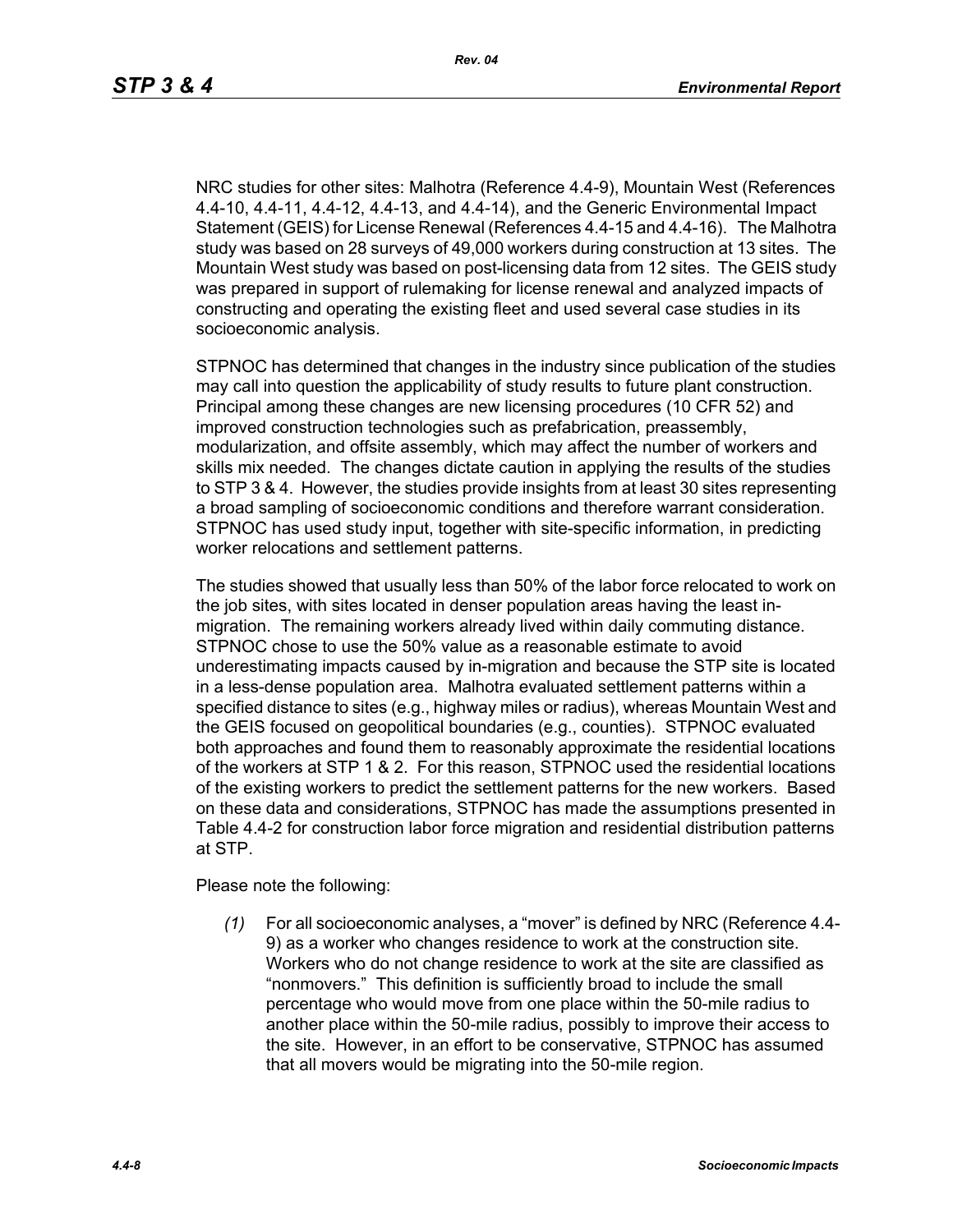NRC studies for other sites: Malhotra (Reference 4.4-9), Mountain West (References 4.4-10, 4.4-11, 4.4-12, 4.4-13, and 4.4-14), and the Generic Environmental Impact [Statement \(GEIS\) for License Renewal \(References 4.4-15 and 4.4-16\). The Malhotra](http://factfinder.census.gov/)  study was based on 28 surveys of 49,000 workers during construction at 13 sites. The Mountain West study was based on post-licensing data from 12 sites. The GEIS study was prepared in support of rulemaking for license renewal and analyzed impacts of constructing and operating the existing fleet and used several case studies in its socioeconomic analysis.

STPNOC has determined that changes in the industry since publication of the studies may call into question the applicability of study results to future plant construction. Principal among these changes are new licensing procedures (10 CFR 52) and improved construction technologies such as prefabrication, preassembly, modularization, and offsite assembly, which may affect the number of workers and skills mix needed. The changes dictate caution in applying the results of the studies to STP 3 & 4. However, the studies provide insights from at least 30 sites representing a broad sampling of socioeconomic conditions and therefore warrant consideration. STPNOC has used study input, together with site-specific information, in predicting worker relocations and settlement patterns.

The studies showed that usually less than 50% of the labor force relocated to work on the job sites, with sites located in denser population areas having the least inmigration. The remaining workers already lived within daily commuting distance. STPNOC chose to use the 50% value as a reasonable estimate to avoid underestimating impacts caused by in-migration and because the STP site is located in a less-dense population area. Malhotra evaluated settlement patterns within a specified distance to sites (e.g., highway miles or radius), whereas Mountain West and the GEIS focused on geopolitical boundaries (e.g., counties). STPNOC evaluated both approaches and found them to reasonably approximate the residential locations of the workers at STP 1 & 2. For this reason, STPNOC used the residential locations of the existing workers to predict the settlement patterns for the new workers. Based on these data and considerations, STPNOC has made the assumptions presented in Table 4.4-2 for construction labor force migration and residential distribution patterns at STP.

Please note the following:

*(1)* For all socioeconomic analyses, a "mover" is defined by NRC (Reference 4.4- 9) as a worker who changes residence to work at the construction site. Workers who do not change residence to work at the site are classified as "nonmovers." This definition is sufficiently broad to include the small percentage who would move from one place within the 50-mile radius to another place within the 50-mile radius, possibly to improve their access to the site. However, in an effort to be conservative, STPNOC has assumed that all movers would be migrating into the 50-mile region.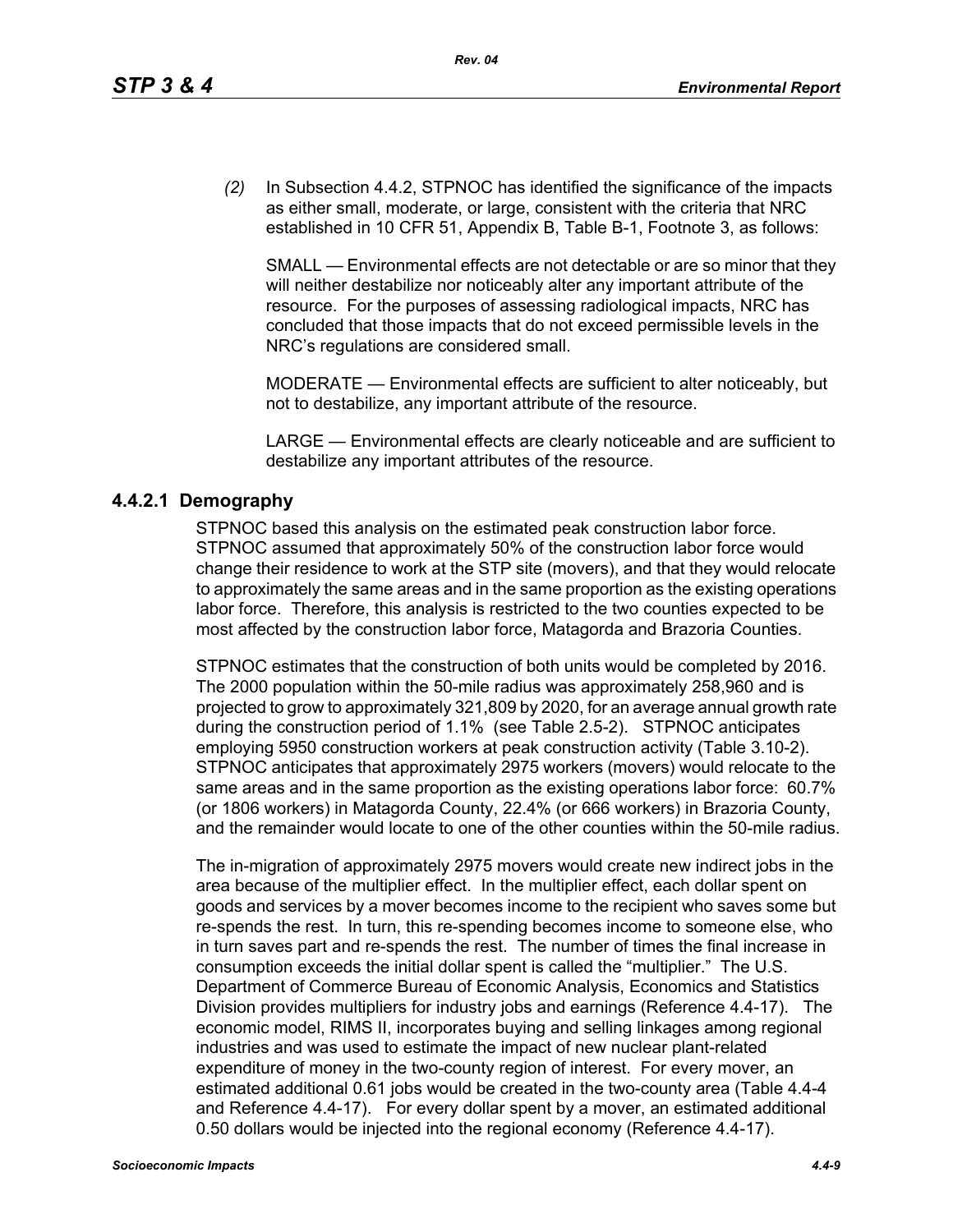*(2)* In Subsection 4.4.2, STPNOC has identified the significance of the impacts as either small, moderate, or large, consistent with the criteria that NRC established in 10 CFR 51, Appendix B, Table B-1, Footnote 3, as follows:

SMALL — Environmental effects are not detectable or are so minor that they will neither destabilize nor noticeably alter any important attribute of the resource. For the purposes of assessing radiological impacts, NRC has concluded that those impacts that do not exceed permissible levels in the NRC's regulations are considered small.

MODERATE — Environmental effects are sufficient to alter noticeably, but not to destabilize, any important attribute of the resource.

LARGE — Environmental effects are clearly noticeable and are sufficient to destabilize any important attributes of the resource.

## **4.4.2.1 Demography**

STPNOC based this analysis on the estimated peak construction labor force. STPNOC assumed that approximately 50% of the construction labor force would change their residence to work at the STP site (movers), and that they would relocate to approximately the same areas and in the same proportion as the existing operations labor force. Therefore, this analysis is restricted to the two counties expected to be most affected by the construction labor force, Matagorda and Brazoria Counties.

STPNOC estimates that the construction of both units would be completed by 2016. The 2000 population within the 50-mile radius was approximately 258,960 and is projected to grow to approximately 321,809 by 2020, for an average annual growth rate during the construction period of 1.1% (see Table 2.5-2). STPNOC anticipates employing 5950 construction workers at peak construction activity (Table 3.10-2). STPNOC anticipates that approximately 2975 workers (movers) would relocate to the same areas and in the same proportion as the existing operations labor force: 60.7% (or 1806 workers) in Matagorda County, 22.4% (or 666 workers) in Brazoria County, and the remainder would locate to one of the other counties within the 50-mile radius.

The in-migration of approximately 2975 movers would create new indirect jobs in the area because of the multiplier effect. In the multiplier effect, each dollar spent on goods and services by a mover becomes income to the recipient who saves some but re-spends the rest. In turn, this re-spending becomes income to someone else, who in turn saves part and re-spends the rest. The number of times the final increase in consumption exceeds the initial dollar spent is called the "multiplier." The U.S. Department of Commerce Bureau of Economic Analysis, Economics and Statistics Division provides multipliers for industry jobs and earnings (Reference 4.4-17). The economic model, RIMS II, incorporates buying and selling linkages among regional industries and was used to estimate the impact of new nuclear plant-related expenditure of money in the two-county region of interest. For every mover, an estimated additional 0.61 jobs would be created in the two-county area (Table 4.4-4 and Reference 4.4-17). For every dollar spent by a mover, an estimated additional 0.50 dollars would be injected into the regional economy (Reference 4.4-17).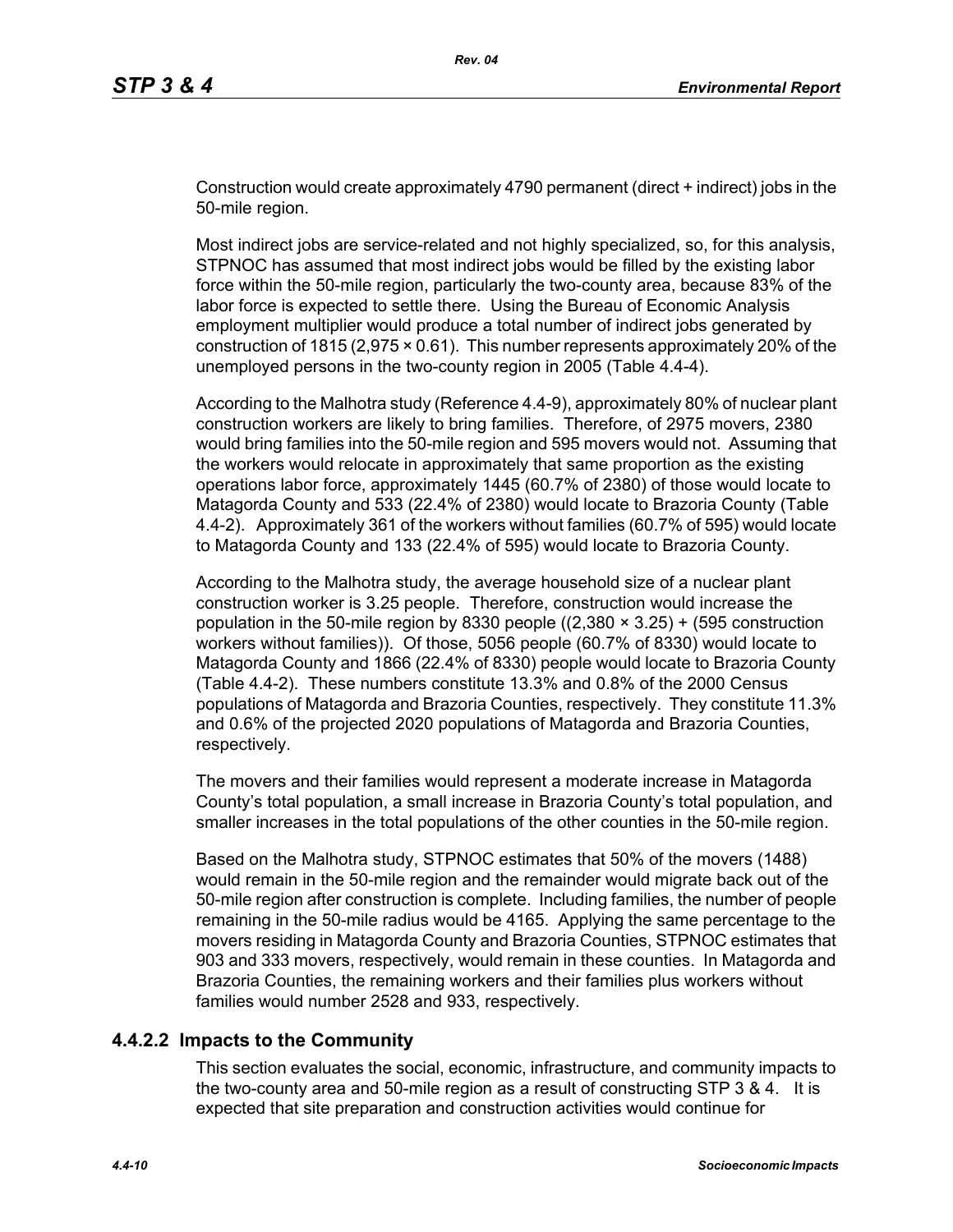Construction would create approximately 4790 permanent (direct + indirect) jobs in the 50-mile region.

Most indirect jobs are service-related and not highly specialized, so, for this analysis, STPNOC has assumed that most indirect jobs would be filled by the existing labor force within the 50-mile region, particularly the two-county area, because 83% of the labor force is expected to settle there. Using the Bureau of Economic Analysis employment multiplier would produce a total number of indirect jobs generated by construction of 1815 (2,975 × 0.61). This number represents approximately 20% of the unemployed persons in the two-county region in 2005 (Table 4.4-4).

According to the Malhotra study (Reference 4.4-9), approximately 80% of nuclear plant construction workers are likely to bring families. Therefore, of 2975 movers, 2380 would bring families into the 50-mile region and 595 movers would not. Assuming that the workers would relocate in approximately that same proportion as the existing operations labor force, approximately 1445 (60.7% of 2380) of those would locate to Matagorda County and 533 (22.4% of 2380) would locate to Brazoria County (Table 4.4-2). Approximately 361 of the workers without families (60.7% of 595) would locate to Matagorda County and 133 (22.4% of 595) would locate to Brazoria County.

According to the Malhotra study, the average household size of a nuclear plant construction worker is 3.25 people. Therefore, construction would increase the population in the 50-mile region by 8330 people  $((2,380 \times 3.25) + (595$  construction workers without families)). Of those, 5056 people (60.7% of 8330) would locate to Matagorda County and 1866 (22.4% of 8330) people would locate to Brazoria County (Table 4.4-2). These numbers constitute 13.3% and 0.8% of the 2000 Census populations of Matagorda and Brazoria Counties, respectively. They constitute 11.3% and 0.6% of the projected 2020 populations of Matagorda and Brazoria Counties, respectively.

The movers and their families would represent a moderate increase in Matagorda County's total population, a small increase in Brazoria County's total population, and smaller increases in the total populations of the other counties in the 50-mile region.

Based on the Malhotra study, STPNOC estimates that 50% of the movers (1488) would remain in the 50-mile region and the remainder would migrate back out of the 50-mile region after construction is complete. Including families, the number of people remaining in the 50-mile radius would be 4165. Applying the same percentage to the movers residing in Matagorda County and Brazoria Counties, STPNOC estimates that 903 and 333 movers, respectively, would remain in these counties. In Matagorda and Brazoria Counties, the remaining workers and their families plus workers without families would number 2528 and 933, respectively.

# **4.4.2.2 Impacts to the Community**

This section evaluates the social, economic, infrastructure, and community impacts to the two-county area and 50-mile region as a result of constructing STP 3 & 4. It is expected that site preparation and construction activities would continue for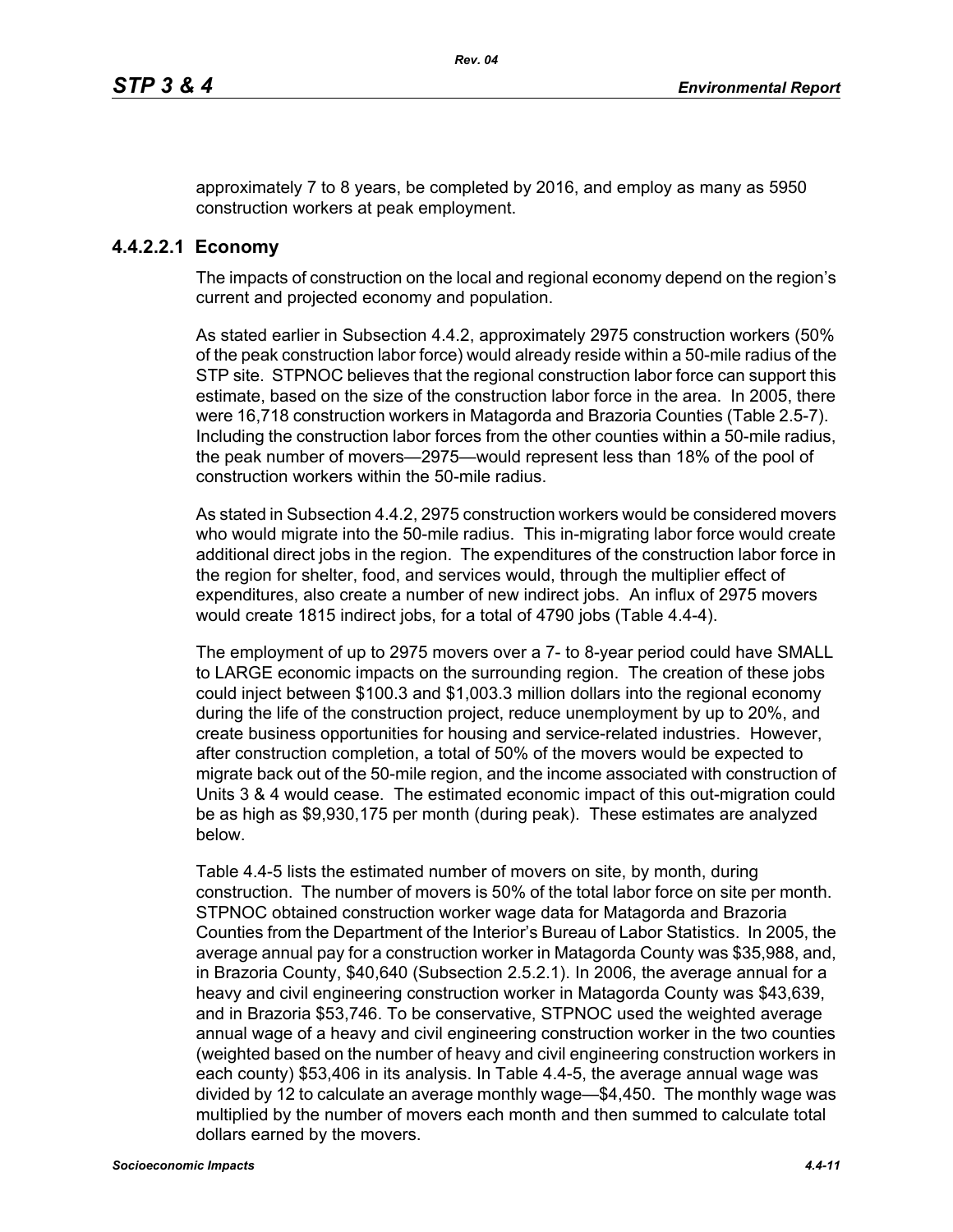approximately 7 to 8 years, be completed by 2016, and employ as many as 5950 construction workers at peak employment.

# **4.4.2.2.1 Economy**

The impacts of construction on the local and regional economy depend on the region's current and projected economy and population.

As stated earlier in Subsection 4.4.2, approximately 2975 construction workers (50% of the peak construction labor force) would already reside within a 50-mile radius of the STP site. STPNOC believes that the regional construction labor force can support this estimate, based on the size of the construction labor force in the area. In 2005, there were 16,718 construction workers in Matagorda and Brazoria Counties (Table 2.5-7). Including the construction labor forces from the other counties within a 50-mile radius, the peak number of movers—2975—would represent less than 18% of the pool of construction workers within the 50-mile radius.

As stated in Subsection 4.4.2, 2975 construction workers would be considered movers who would migrate into the 50-mile radius. This in-migrating labor force would create additional direct jobs in the region. The expenditures of the construction labor force in the region for shelter, food, and services would, through the multiplier effect of expenditures, also create a number of new indirect jobs. An influx of 2975 movers would create 1815 indirect jobs, for a total of 4790 jobs (Table 4.4-4).

The employment of up to 2975 movers over a 7- to 8-year period could have SMALL to LARGE economic impacts on the surrounding region. The creation of these jobs could inject between \$100.3 and \$1,003.3 million dollars into the regional economy during the life of the construction project, reduce unemployment by up to 20%, and create business opportunities for housing and service-related industries. However, after construction completion, a total of 50% of the movers would be expected to migrate back out of the 50-mile region, and the income associated with construction of Units 3 & 4 would cease. The estimated economic impact of this out-migration could be as high as \$9,930,175 per month (during peak). These estimates are analyzed below.

Table 4.4-5 lists the estimated number of movers on site, by month, during construction. The number of movers is 50% of the total labor force on site per month. STPNOC obtained construction worker wage data for Matagorda and Brazoria Counties from the Department of the Interior's Bureau of Labor Statistics. In 2005, the average annual pay for a construction worker in Matagorda County was \$35,988, and, in Brazoria County, \$40,640 (Subsection 2.5.2.1). In 2006, the average annual for a heavy and civil engineering construction worker in Matagorda County was \$43,639, and in Brazoria \$53,746. To be conservative, STPNOC used the weighted average annual wage of a heavy and civil engineering construction worker in the two counties (weighted based on the number of heavy and civil engineering construction workers in each county) \$53,406 in its analysis. In Table 4.4-5, the average annual wage was divided by 12 to calculate an average monthly wage—\$4,450. The monthly wage was multiplied by the number of movers each month and then summed to calculate total dollars earned by the movers.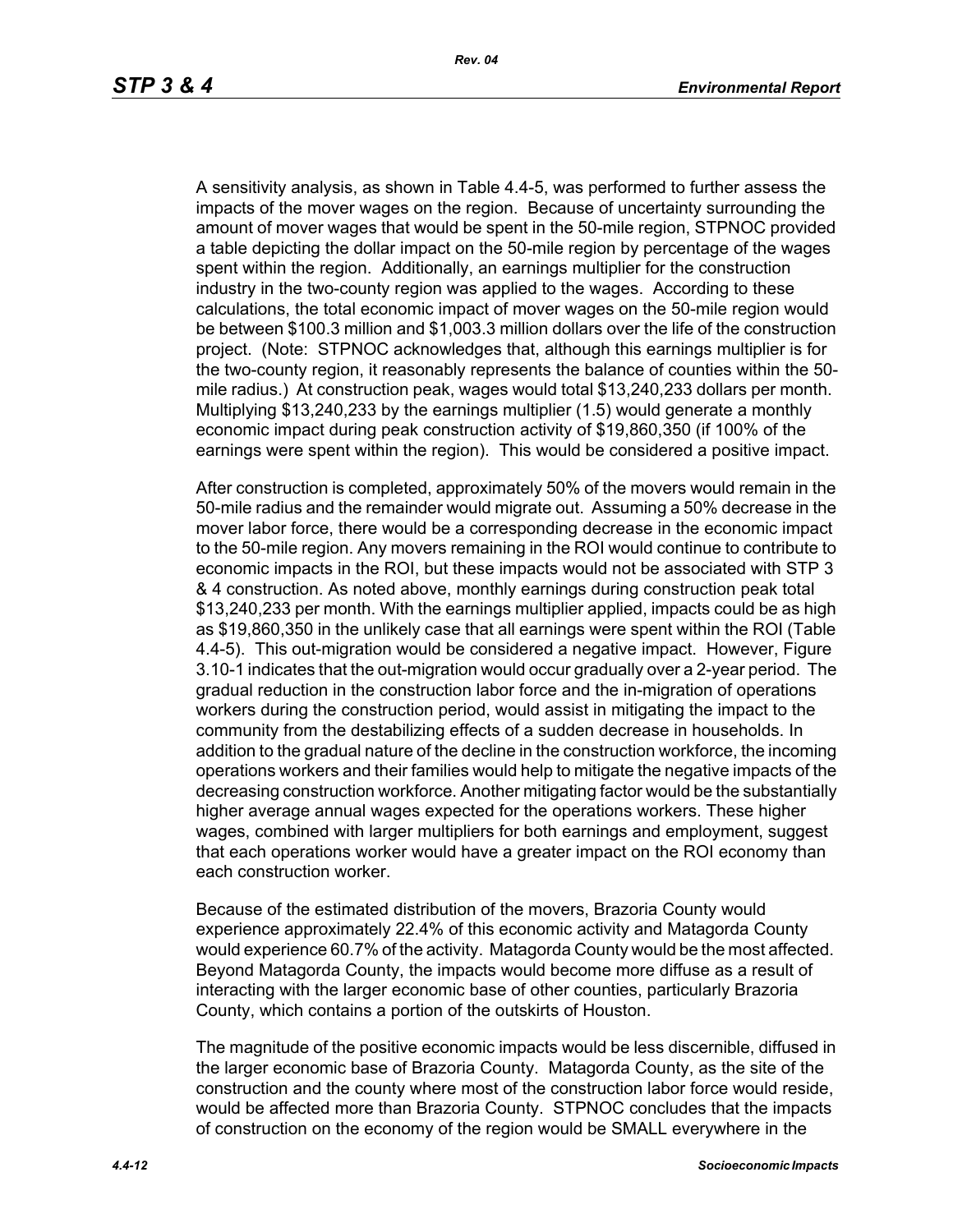A sensitivity analysis, as shown in Table 4.4-5, was performed to further assess the impacts of the mover wages on the region. Because of uncertainty surrounding the amount of mover wages that would be spent in the 50-mile region, STPNOC provided a table depicting the dollar impact on the 50-mile region by percentage of the wages spent within the region. Additionally, an earnings multiplier for the construction industry in the two-county region was applied to the wages. According to these calculations, the total economic impact of mover wages on the 50-mile region would be between \$100.3 million and \$1,003.3 million dollars over the life of the construction project. (Note: STPNOC acknowledges that, although this earnings multiplier is for the two-county region, it reasonably represents the balance of counties within the 50 mile radius.) At construction peak, wages would total \$13,240,233 dollars per month. Multiplying \$13,240,233 by the earnings multiplier (1.5) would generate a monthly economic impact during peak construction activity of \$19,860,350 (if 100% of the earnings were spent within the region). This would be considered a positive impact.

After construction is completed, approximately 50% of the movers would remain in the 50-mile radius and the remainder would migrate out. Assuming a 50% decrease in the mover labor force, there would be a corresponding decrease in the economic impact to the 50-mile region. Any movers remaining in the ROI would continue to contribute to economic impacts in the ROI, but these impacts would not be associated with STP 3 & 4 construction. As noted above, monthly earnings during construction peak total \$13,240,233 per month. With the earnings multiplier applied, impacts could be as high as \$19,860,350 in the unlikely case that all earnings were spent within the ROI (Table 4.4-5). This out-migration would be considered a negative impact. However, Figure 3.10-1 indicates that the out-migration would occur gradually over a 2-year period. The gradual reduction in the construction labor force and the in-migration of operations workers during the construction period, would assist in mitigating the impact to the community from the destabilizing effects of a sudden decrease in households. In addition to the gradual nature of the decline in the construction workforce, the incoming operations workers and their families would help to mitigate the negative impacts of the decreasing construction workforce. Another mitigating factor would be the substantially higher average annual wages expected for the operations workers. These higher wages, combined with larger multipliers for both earnings and employment, suggest that each operations worker would have a greater impact on the ROI economy than each construction worker.

Because of the estimated distribution of the movers, Brazoria County would experience approximately 22.4% of this economic activity and Matagorda County would experience 60.7% of the activity. Matagorda County would be the most affected. Beyond Matagorda County, the impacts would become more diffuse as a result of interacting with the larger economic base of other counties, particularly Brazoria County, which contains a portion of the outskirts of Houston.

The magnitude of the positive economic impacts would be less discernible, diffused in the larger economic base of Brazoria County. Matagorda County, as the site of the construction and the county where most of the construction labor force would reside, would be affected more than Brazoria County. STPNOC concludes that the impacts of construction on the economy of the region would be SMALL everywhere in the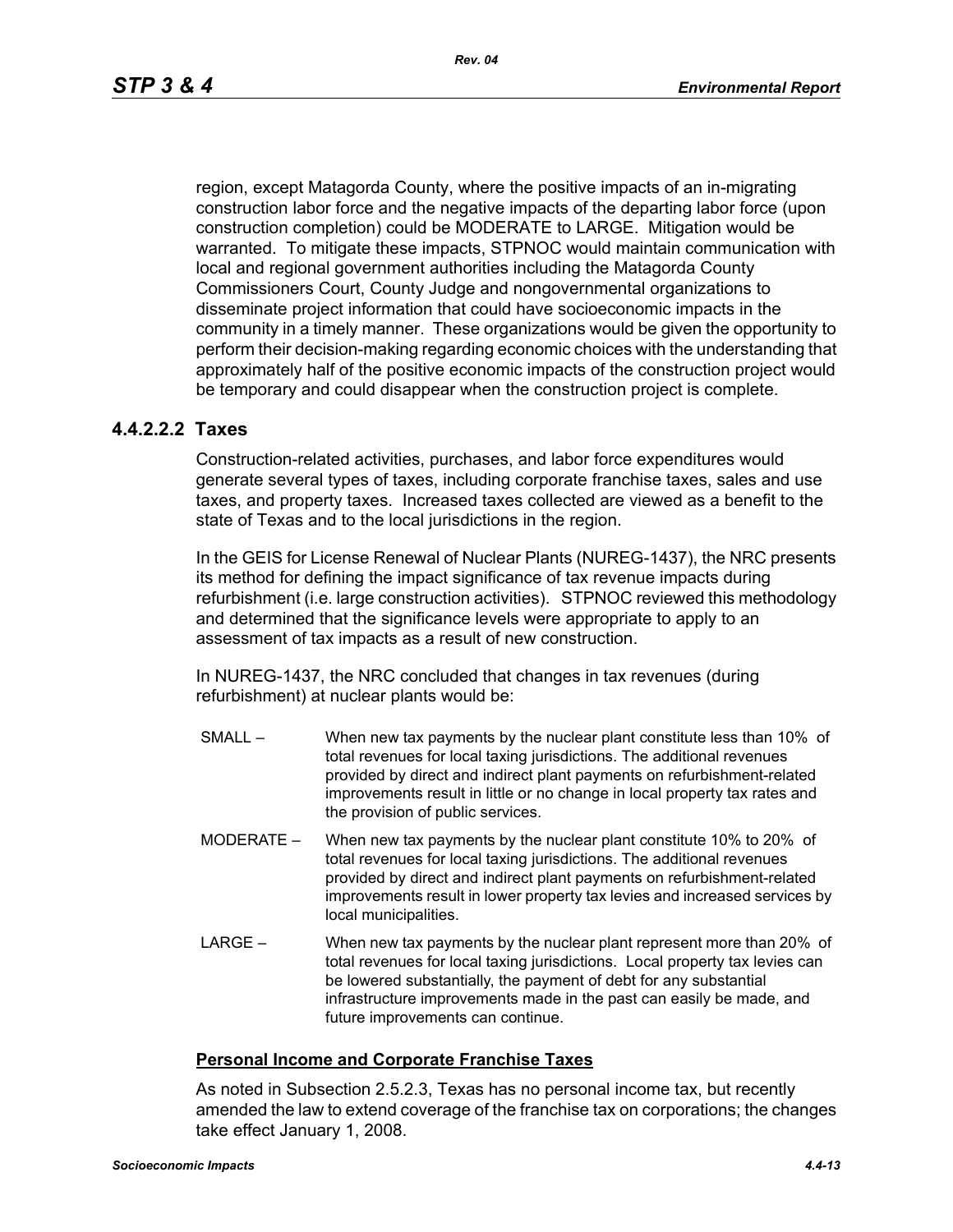region, except Matagorda County, where the positive impacts of an in-migrating construction labor force and the negative impacts of the departing labor force (upon construction completion) could be MODERATE to LARGE. Mitigation would be warranted. To mitigate these impacts, STPNOC would maintain communication with local and regional government authorities including the Matagorda County Commissioners Court, County Judge and nongovernmental organizations to disseminate project information that could have socioeconomic impacts in the community in a timely manner. These organizations would be given the opportunity to perform their decision-making regarding economic choices with the understanding that approximately half of the positive economic impacts of the construction project would be temporary and could disappear when the construction project is complete.

## **4.4.2.2.2 Taxes**

Construction-related activities, purchases, and labor force expenditures would generate several types of taxes, including corporate franchise taxes, sales and use taxes, and property taxes. Increased taxes collected are viewed as a benefit to the state of Texas and to the local jurisdictions in the region.

In the GEIS for License Renewal of Nuclear Plants (NUREG-1437), the NRC presents its method for defining the impact significance of tax revenue impacts during refurbishment (i.e. large construction activities). STPNOC reviewed this methodology and determined that the significance levels were appropriate to apply to an assessment of tax impacts as a result of new construction.

In NUREG-1437, the NRC concluded that changes in tax revenues (during refurbishment) at nuclear plants would be:

- SMALL When new tax payments by the nuclear plant constitute less than 10% of total revenues for local taxing jurisdictions. The additional revenues provided by direct and indirect plant payments on refurbishment-related improvements result in little or no change in local property tax rates and the provision of public services.
- MODERATE When new tax payments by the nuclear plant constitute 10% to 20% of total revenues for local taxing jurisdictions. The additional revenues provided by direct and indirect plant payments on refurbishment-related improvements result in lower property tax levies and increased services by local municipalities.
- LARGE When new tax payments by the nuclear plant represent more than 20% of total revenues for local taxing jurisdictions. Local property tax levies can be lowered substantially, the payment of debt for any substantial infrastructure improvements made in the past can easily be made, and future improvements can continue.

#### **Personal Income and Corporate Franchise Taxes**

As noted in Subsection 2.5.2.3, Texas has no personal income tax, but recently amended the law to extend coverage of the franchise tax on corporations; the changes take effect January 1, 2008.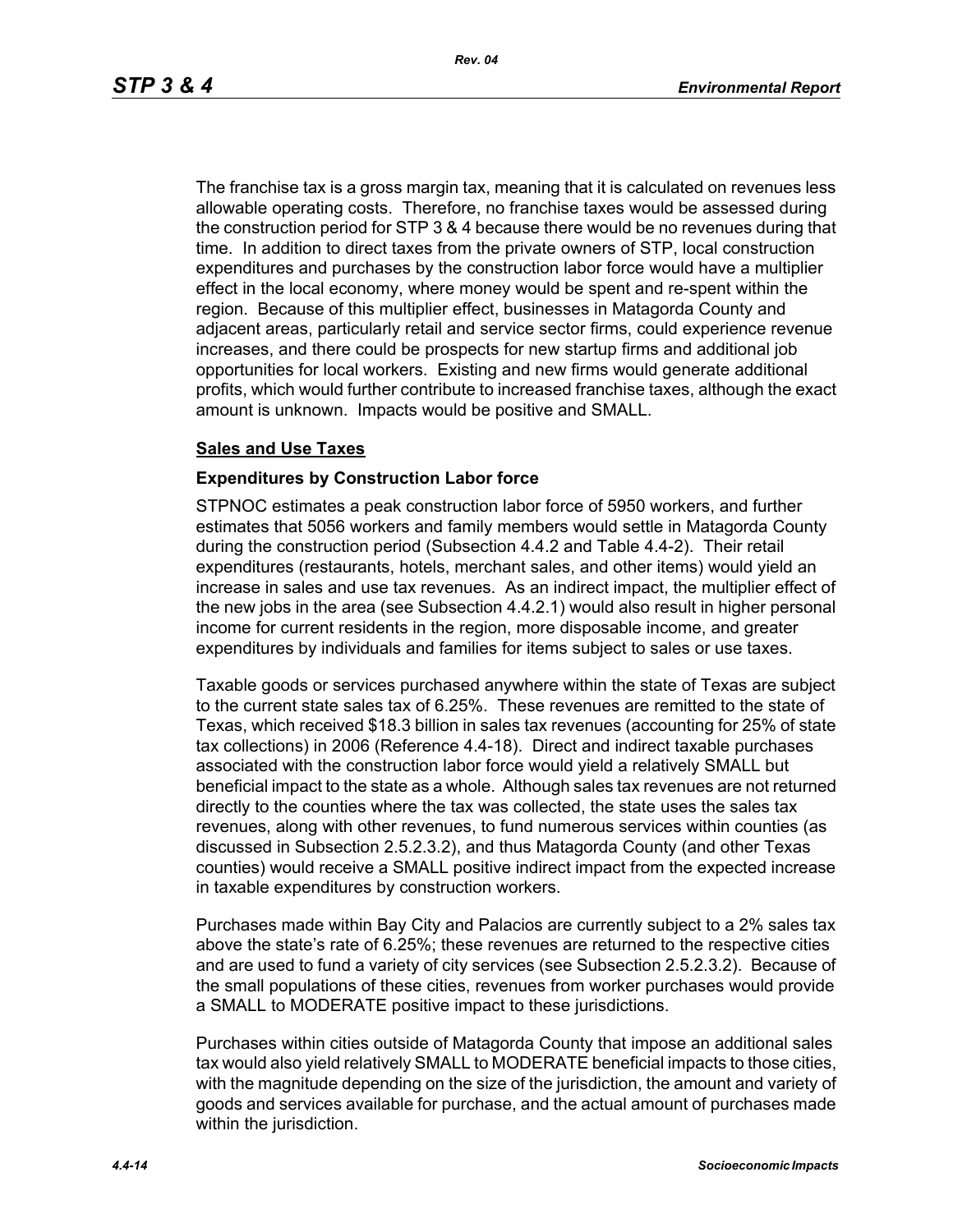The franchise tax is a gross margin tax, meaning that it is calculated on revenues less allowable operating costs. Therefore, no franchise taxes would be assessed during the construction period for STP 3 & 4 because there would be no revenues during that time. In addition to direct taxes from the private owners of STP, local construction expenditures and purchases by the construction labor force would have a multiplier effect in the local economy, where money would be spent and re-spent within the region. Because of this multiplier effect, businesses in Matagorda County and adjacent areas, particularly retail and service sector firms, could experience revenue increases, and there could be prospects for new startup firms and additional job opportunities for local workers. Existing and new firms would generate additional profits, which would further contribute to increased franchise taxes, although the exact amount is unknown. Impacts would be positive and SMALL.

#### **Sales and Use Taxes**

#### **Expenditures by Construction Labor force**

STPNOC estimates a peak construction labor force of 5950 workers, and further estimates that 5056 workers and family members would settle in Matagorda County during the construction period (Subsection 4.4.2 and Table 4.4-2). Their retail expenditures (restaurants, hotels, merchant sales, and other items) would yield an increase in sales and use tax revenues. As an indirect impact, the multiplier effect of the new jobs in the area (see Subsection 4.4.2.1) would also result in higher personal income for current residents in the region, more disposable income, and greater expenditures by individuals and families for items subject to sales or use taxes.

Taxable goods or services purchased anywhere within the state of Texas are subject to the current state sales tax of 6.25%. These revenues are remitted to the state of Texas, which received \$18.3 billion in sales tax revenues (accounting for 25% of state tax collections) in 2006 (Reference 4.4-18). Direct and indirect taxable purchases associated with the construction labor force would yield a relatively SMALL but beneficial impact to the state as a whole. Although sales tax revenues are not returned directly to the counties where the tax was collected, the state uses the sales tax revenues, along with other revenues, to fund numerous services within counties (as discussed in Subsection 2.5.2.3.2), and thus Matagorda County (and other Texas counties) would receive a SMALL positive indirect impact from the expected increase in taxable expenditures by construction workers.

Purchases made within Bay City and Palacios are currently subject to a 2% sales tax above the state's rate of 6.25%; these revenues are returned to the respective cities and are used to fund a variety of city services (see Subsection 2.5.2.3.2). Because of the small populations of these cities, revenues from worker purchases would provide a SMALL to MODERATE positive impact to these jurisdictions.

Purchases within cities outside of Matagorda County that impose an additional sales tax would also yield relatively SMALL to MODERATE beneficial impacts to those cities, with the magnitude depending on the size of the jurisdiction, the amount and variety of goods and services available for purchase, and the actual amount of purchases made within the jurisdiction.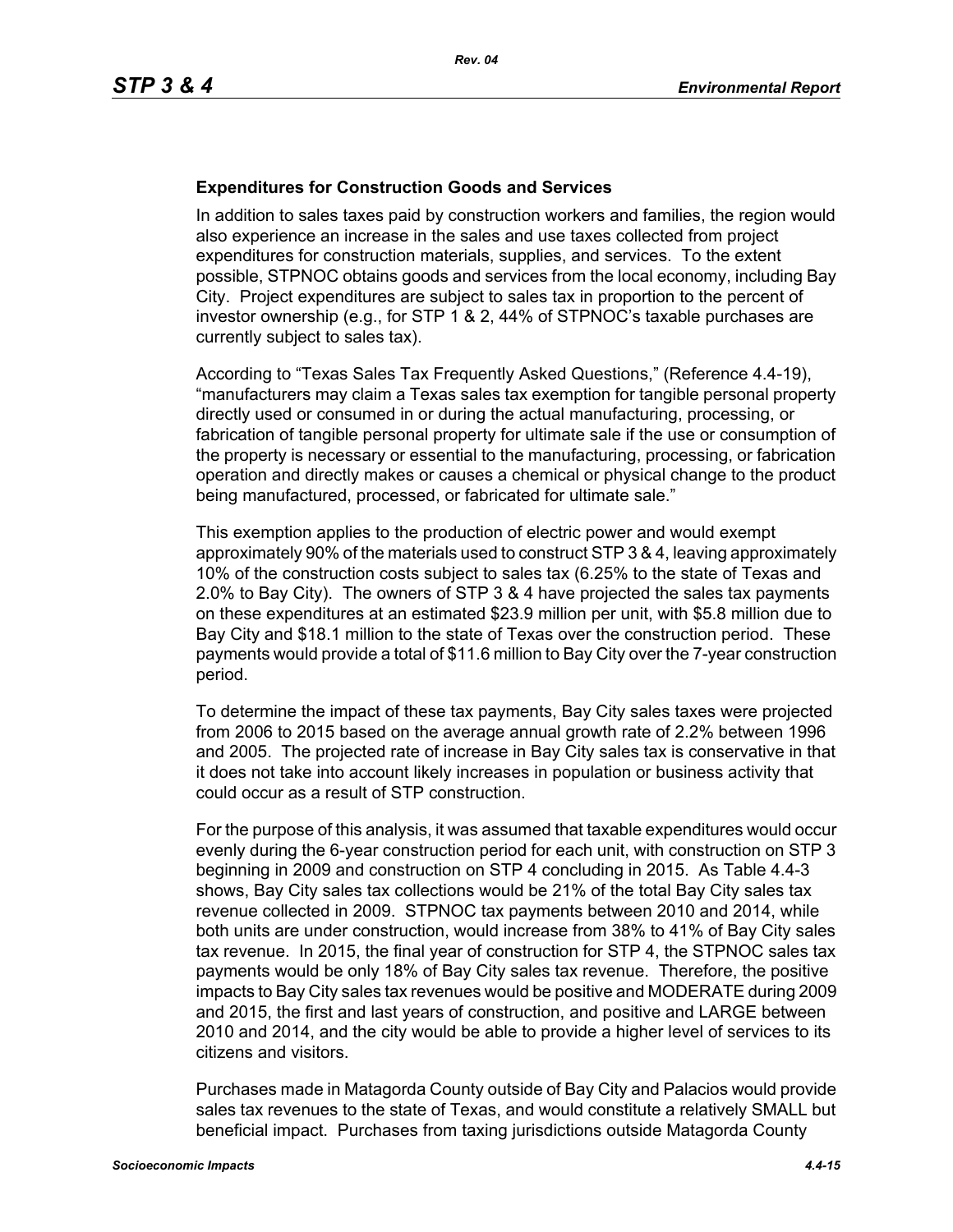#### **Expenditures for Construction Goods and Services**

In addition to sales taxes paid by construction workers and families, the region would also experience an increase in the sales and use taxes collected from project expenditures for construction materials, supplies, and services. To the extent possible, STPNOC obtains goods and services from the local economy, including Bay City. Project expenditures are subject to sales tax in proportion to the percent of investor ownership (e.g., for STP 1 & 2, 44% of STPNOC's taxable purchases are currently subject to sales tax).

According to "Texas Sales Tax Frequently Asked Questions," (Reference 4.4-19), "manufacturers may claim a Texas sales tax exemption for tangible personal property directly used or consumed in or during the actual manufacturing, processing, or fabrication of tangible personal property for ultimate sale if the use or consumption of the property is necessary or essential to the manufacturing, processing, or fabrication operation and directly makes or causes a chemical or physical change to the product being manufactured, processed, or fabricated for ultimate sale."

This exemption applies to the production of electric power and would exempt approximately 90% of the materials used to construct STP 3 & 4, leaving approximately 10% of the construction costs subject to sales tax (6.25% to the state of Texas and 2.0% to Bay City). The owners of STP 3 & 4 have projected the sales tax payments on these expenditures at an estimated \$23.9 million per unit, with \$5.8 million due to Bay City and \$18.1 million to the state of Texas over the construction period. These payments would provide a total of \$11.6 million to Bay City over the 7-year construction period.

To determine the impact of these tax payments, Bay City sales taxes were projected from 2006 to 2015 based on the average annual growth rate of 2.2% between 1996 and 2005. The projected rate of increase in Bay City sales tax is conservative in that it does not take into account likely increases in population or business activity that could occur as a result of STP construction.

For the purpose of this analysis, it was assumed that taxable expenditures would occur evenly during the 6-year construction period for each unit, with construction on STP 3 beginning in 2009 and construction on STP 4 concluding in 2015. As Table 4.4-3 shows, Bay City sales tax collections would be 21% of the total Bay City sales tax revenue collected in 2009. STPNOC tax payments between 2010 and 2014, while both units are under construction, would increase from 38% to 41% of Bay City sales tax revenue. In 2015, the final year of construction for STP 4, the STPNOC sales tax payments would be only 18% of Bay City sales tax revenue. Therefore, the positive impacts to Bay City sales tax revenues would be positive and MODERATE during 2009 and 2015, the first and last years of construction, and positive and LARGE between 2010 and 2014, and the city would be able to provide a higher level of services to its citizens and visitors.

Purchases made in Matagorda County outside of Bay City and Palacios would provide sales tax revenues to the state of Texas, and would constitute a relatively SMALL but beneficial impact. Purchases from taxing jurisdictions outside Matagorda County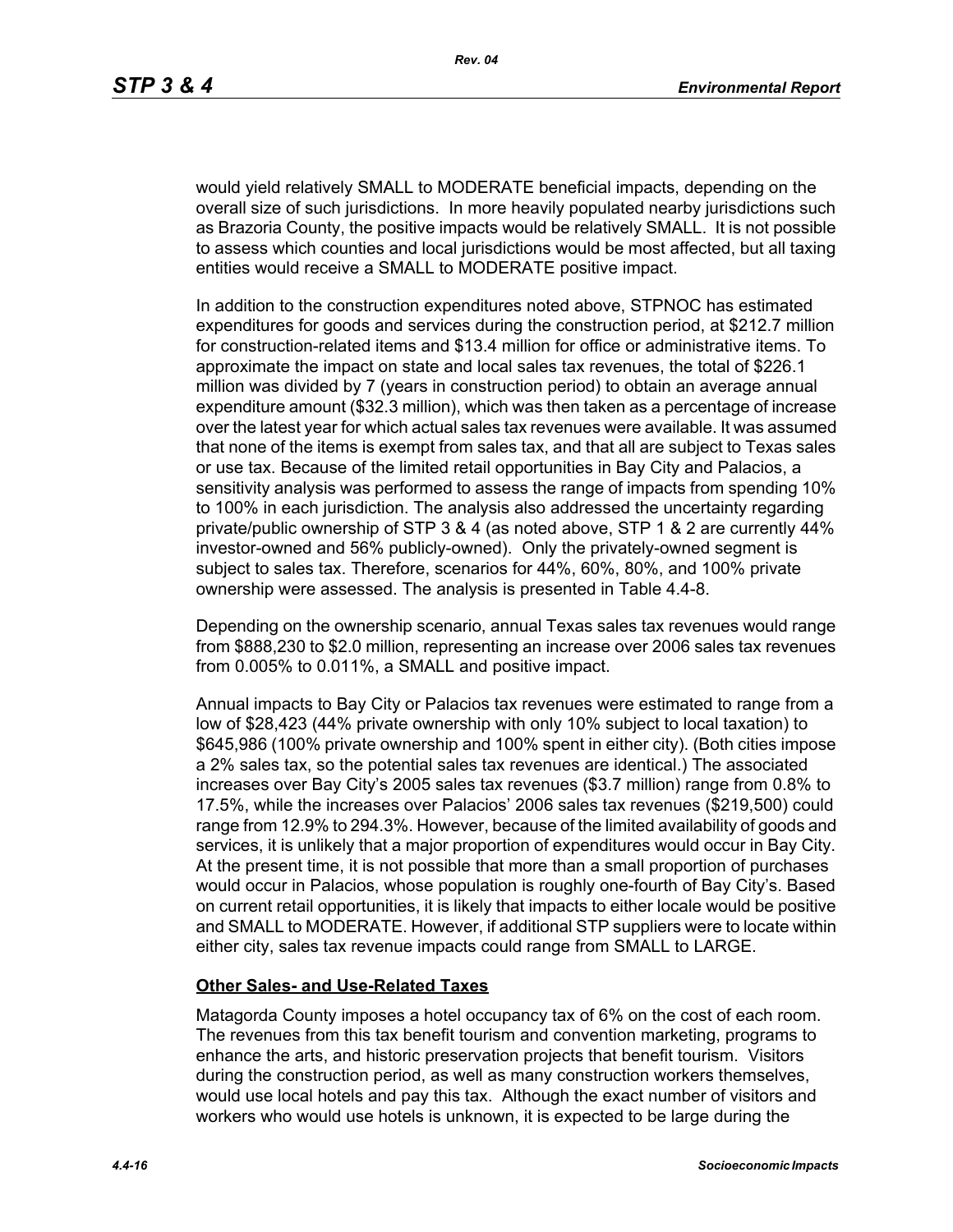would yield relatively SMALL to MODERATE beneficial impacts, depending on the overall size of such jurisdictions. In more heavily populated nearby jurisdictions such as Brazoria County, the positive impacts would be relatively SMALL. It is not possible to assess which counties and local jurisdictions would be most affected, but all taxing entities would receive a SMALL to MODERATE positive impact.

In addition to the construction expenditures noted above, STPNOC has estimated expenditures for goods and services during the construction period, at \$212.7 million for construction-related items and \$13.4 million for office or administrative items. To approximate the impact on state and local sales tax revenues, the total of \$226.1 million was divided by 7 (years in construction period) to obtain an average annual expenditure amount (\$32.3 million), which was then taken as a percentage of increase over the latest year for which actual sales tax revenues were available. It was assumed that none of the items is exempt from sales tax, and that all are subject to Texas sales or use tax. Because of the limited retail opportunities in Bay City and Palacios, a sensitivity analysis was performed to assess the range of impacts from spending 10% to 100% in each jurisdiction. The analysis also addressed the uncertainty regarding private/public ownership of STP 3 & 4 (as noted above, STP 1 & 2 are currently 44% investor-owned and 56% publicly-owned). Only the privately-owned segment is subject to sales tax. Therefore, scenarios for 44%, 60%, 80%, and 100% private ownership were assessed. The analysis is presented in Table 4.4-8.

Depending on the ownership scenario, annual Texas sales tax revenues would range from \$888,230 to \$2.0 million, representing an increase over 2006 sales tax revenues from 0.005% to 0.011%, a SMALL and positive impact.

Annual impacts to Bay City or Palacios tax revenues were estimated to range from a low of \$28,423 (44% private ownership with only 10% subject to local taxation) to \$645,986 (100% private ownership and 100% spent in either city). (Both cities impose a 2% sales tax, so the potential sales tax revenues are identical.) The associated increases over Bay City's 2005 sales tax revenues (\$3.7 million) range from 0.8% to 17.5%, while the increases over Palacios' 2006 sales tax revenues (\$219,500) could range from 12.9% to 294.3%. However, because of the limited availability of goods and services, it is unlikely that a major proportion of expenditures would occur in Bay City. At the present time, it is not possible that more than a small proportion of purchases would occur in Palacios, whose population is roughly one-fourth of Bay City's. Based on current retail opportunities, it is likely that impacts to either locale would be positive and SMALL to MODERATE. However, if additional STP suppliers were to locate within either city, sales tax revenue impacts could range from SMALL to LARGE.

#### **Other Sales- and Use-Related Taxes**

Matagorda County imposes a hotel occupancy tax of 6% on the cost of each room. The revenues from this tax benefit tourism and convention marketing, programs to enhance the arts, and historic preservation projects that benefit tourism. Visitors during the construction period, as well as many construction workers themselves, would use local hotels and pay this tax. Although the exact number of visitors and workers who would use hotels is unknown, it is expected to be large during the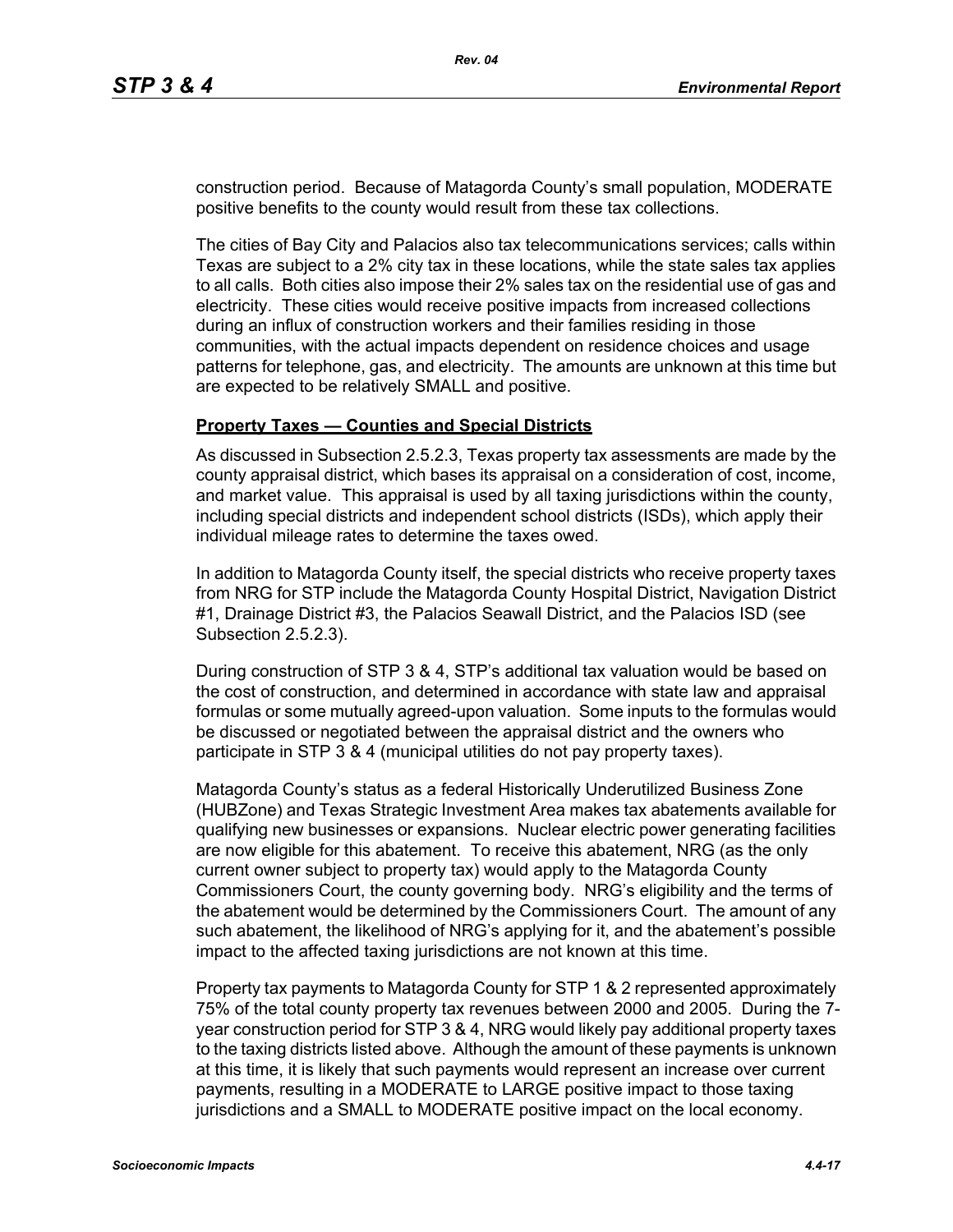construction period. Because of Matagorda County's small population, MODERATE positive benefits to the county would result from these tax collections.

The cities of Bay City and Palacios also tax telecommunications services; calls within Texas are subject to a 2% city tax in these locations, while the state sales tax applies to all calls. Both cities also impose their 2% sales tax on the residential use of gas and electricity. These cities would receive positive impacts from increased collections during an influx of construction workers and their families residing in those communities, with the actual impacts dependent on residence choices and usage patterns for telephone, gas, and electricity. The amounts are unknown at this time but are expected to be relatively SMALL and positive.

#### **Property Taxes — Counties and Special Districts**

As discussed in Subsection 2.5.2.3, Texas property tax assessments are made by the county appraisal district, which bases its appraisal on a consideration of cost, income, and market value. This appraisal is used by all taxing jurisdictions within the county, including special districts and independent school districts (ISDs), which apply their individual mileage rates to determine the taxes owed.

In addition to Matagorda County itself, the special districts who receive property taxes from NRG for STP include the Matagorda County Hospital District, Navigation District #1, Drainage District #3, the Palacios Seawall District, and the Palacios ISD (see Subsection 2.5.2.3).

During construction of STP 3 & 4, STP's additional tax valuation would be based on the cost of construction, and determined in accordance with state law and appraisal formulas or some mutually agreed-upon valuation. Some inputs to the formulas would be discussed or negotiated between the appraisal district and the owners who participate in STP 3 & 4 (municipal utilities do not pay property taxes).

Matagorda County's status as a federal Historically Underutilized Business Zone (HUBZone) and Texas Strategic Investment Area makes tax abatements available for qualifying new businesses or expansions. Nuclear electric power generating facilities are now eligible for this abatement. To receive this abatement, NRG (as the only current owner subject to property tax) would apply to the Matagorda County Commissioners Court, the county governing body. NRG's eligibility and the terms of the abatement would be determined by the Commissioners Court. The amount of any such abatement, the likelihood of NRG's applying for it, and the abatement's possible impact to the affected taxing jurisdictions are not known at this time.

Property tax payments to Matagorda County for STP 1 & 2 represented approximately 75% of the total county property tax revenues between 2000 and 2005. During the 7 year construction period for STP 3 & 4, NRG would likely pay additional property taxes to the taxing districts listed above. Although the amount of these payments is unknown at this time, it is likely that such payments would represent an increase over current payments, resulting in a MODERATE to LARGE positive impact to those taxing jurisdictions and a SMALL to MODERATE positive impact on the local economy.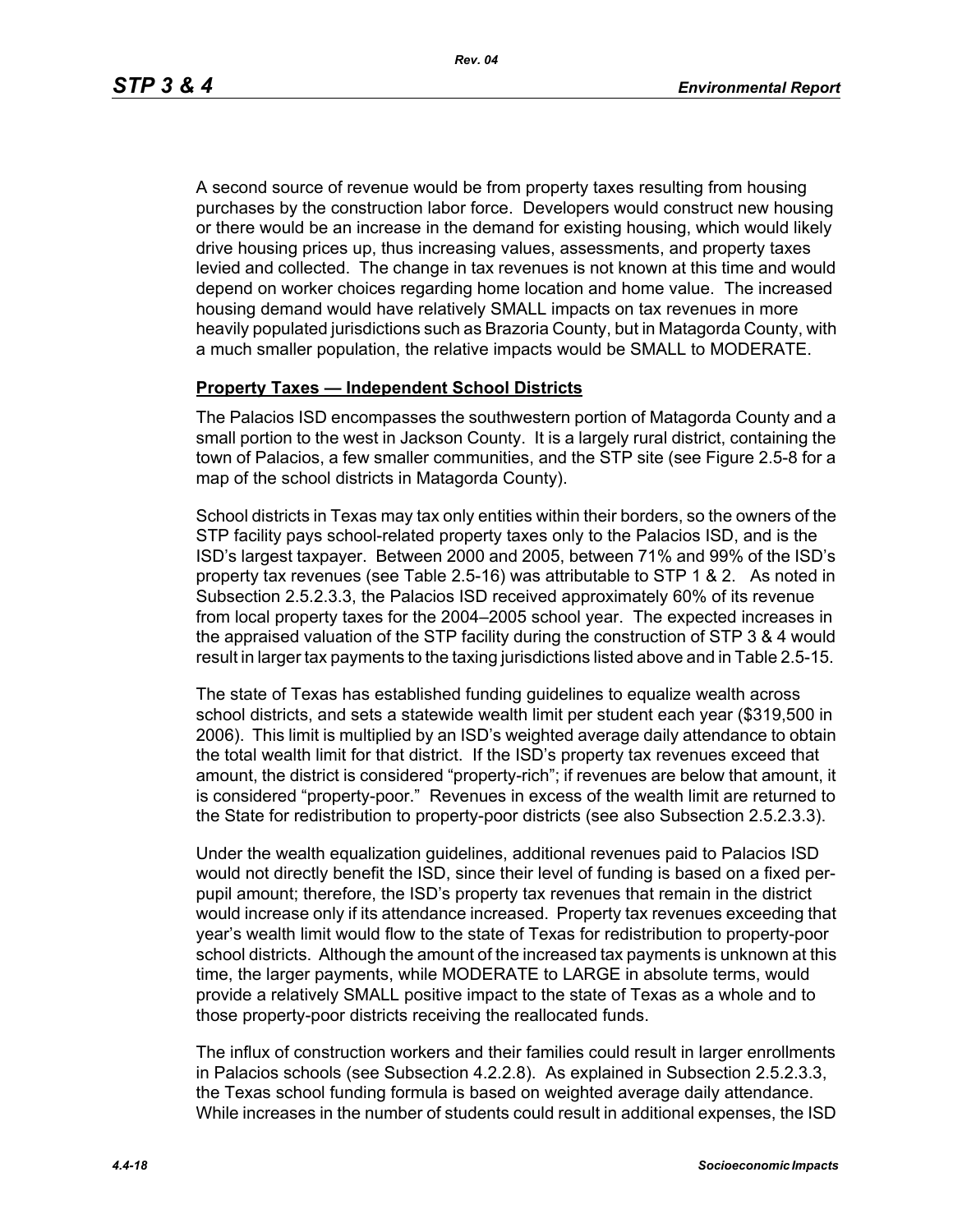A second source of revenue would be from property taxes resulting from housing purchases by the construction labor force. Developers would construct new housing or there would be an increase in the demand for existing housing, which would likely drive housing prices up, thus increasing values, assessments, and property taxes levied and collected. The change in tax revenues is not known at this time and would depend on worker choices regarding home location and home value. The increased housing demand would have relatively SMALL impacts on tax revenues in more heavily populated jurisdictions such as Brazoria County, but in Matagorda County, with a much smaller population, the relative impacts would be SMALL to MODERATE.

#### **Property Taxes — Independent School Districts**

The Palacios ISD encompasses the southwestern portion of Matagorda County and a small portion to the west in Jackson County. It is a largely rural district, containing the town of Palacios, a few smaller communities, and the STP site (see Figure 2.5-8 for a map of the school districts in Matagorda County).

School districts in Texas may tax only entities within their borders, so the owners of the STP facility pays school-related property taxes only to the Palacios ISD, and is the ISD's largest taxpayer. Between 2000 and 2005, between 71% and 99% of the ISD's property tax revenues (see Table 2.5-16) was attributable to STP 1 & 2. As noted in Subsection 2.5.2.3.3, the Palacios ISD received approximately 60% of its revenue from local property taxes for the 2004–2005 school year. The expected increases in the appraised valuation of the STP facility during the construction of STP 3 & 4 would result in larger tax payments to the taxing jurisdictions listed above and in Table 2.5-15.

The state of Texas has established funding guidelines to equalize wealth across school districts, and sets a statewide wealth limit per student each year (\$319,500 in 2006). This limit is multiplied by an ISD's weighted average daily attendance to obtain the total wealth limit for that district. If the ISD's property tax revenues exceed that amount, the district is considered "property-rich"; if revenues are below that amount, it is considered "property-poor." Revenues in excess of the wealth limit are returned to the State for redistribution to property-poor districts (see also Subsection 2.5.2.3.3).

Under the wealth equalization guidelines, additional revenues paid to Palacios ISD would not directly benefit the ISD, since their level of funding is based on a fixed perpupil amount; therefore, the ISD's property tax revenues that remain in the district would increase only if its attendance increased. Property tax revenues exceeding that year's wealth limit would flow to the state of Texas for redistribution to property-poor school districts. Although the amount of the increased tax payments is unknown at this time, the larger payments, while MODERATE to LARGE in absolute terms, would provide a relatively SMALL positive impact to the state of Texas as a whole and to those property-poor districts receiving the reallocated funds.

The influx of construction workers and their families could result in larger enrollments in Palacios schools (see Subsection 4.2.2.8). As explained in Subsection 2.5.2.3.3, the Texas school funding formula is based on weighted average daily attendance. While increases in the number of students could result in additional expenses, the ISD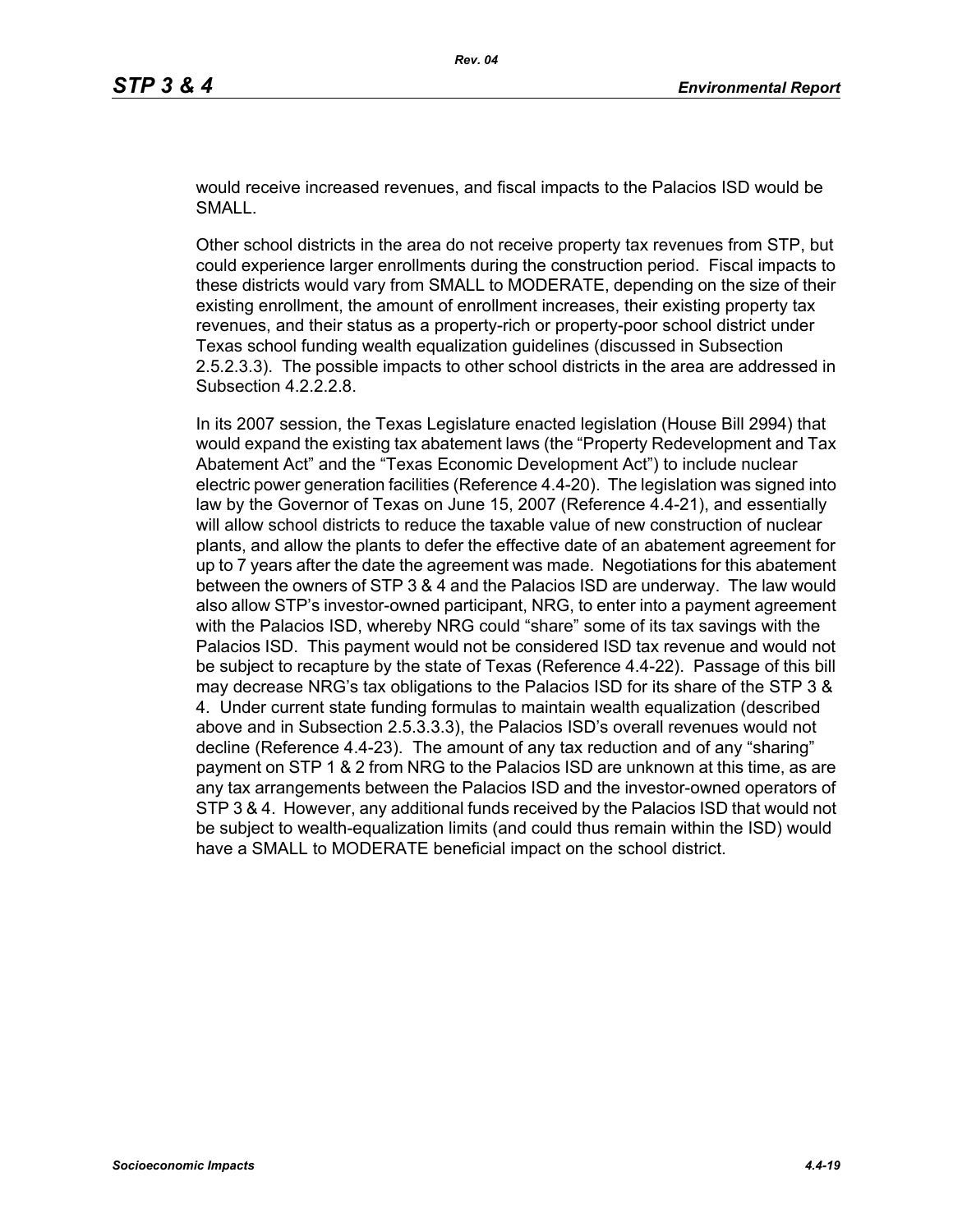would receive increased revenues, and fiscal impacts to the Palacios ISD would be SMALL.

Other school districts in the area do not receive property tax revenues from STP, but could experience larger enrollments during the construction period. Fiscal impacts to these districts would vary from SMALL to MODERATE, depending on the size of their existing enrollment, the amount of enrollment increases, their existing property tax revenues, and their status as a property-rich or property-poor school district under Texas school funding wealth equalization guidelines (discussed in Subsection 2.5.2.3.3). The possible impacts to other school districts in the area are addressed in Subsection 4.2.2.2.8.

In its 2007 session, the Texas Legislature enacted legislation (House Bill 2994) that would expand the existing tax abatement laws (the "Property Redevelopment and Tax Abatement Act" and the "Texas Economic Development Act") to include nuclear electric power generation facilities (Reference 4.4-20). The legislation was signed into law by the Governor of Texas on June 15, 2007 (Reference 4.4-21), and essentially will allow school districts to reduce the taxable value of new construction of nuclear plants, and allow the plants to defer the effective date of an abatement agreement for up to 7 years after the date the agreement was made. Negotiations for this abatement between the owners of STP 3 & 4 and the Palacios ISD are underway. The law would also allow STP's investor-owned participant, NRG, to enter into a payment agreement with the Palacios ISD, whereby NRG could "share" some of its tax savings with the Palacios ISD. This payment would not be considered ISD tax revenue and would not be subject to recapture by the state of Texas (Reference 4.4-22). Passage of this bill may decrease NRG's tax obligations to the Palacios ISD for its share of the STP 3 & 4. Under current state funding formulas to maintain wealth equalization (described above and in Subsection 2.5.3.3.3), the Palacios ISD's overall revenues would not decline (Reference 4.4-23). The amount of any tax reduction and of any "sharing" payment on STP 1 & 2 from NRG to the Palacios ISD are unknown at this time, as are any tax arrangements between the Palacios ISD and the investor-owned operators of STP 3 & 4. However, any additional funds received by the Palacios ISD that would not be subject to wealth-equalization limits (and could thus remain within the ISD) would have a SMALL to MODERATE beneficial impact on the school district.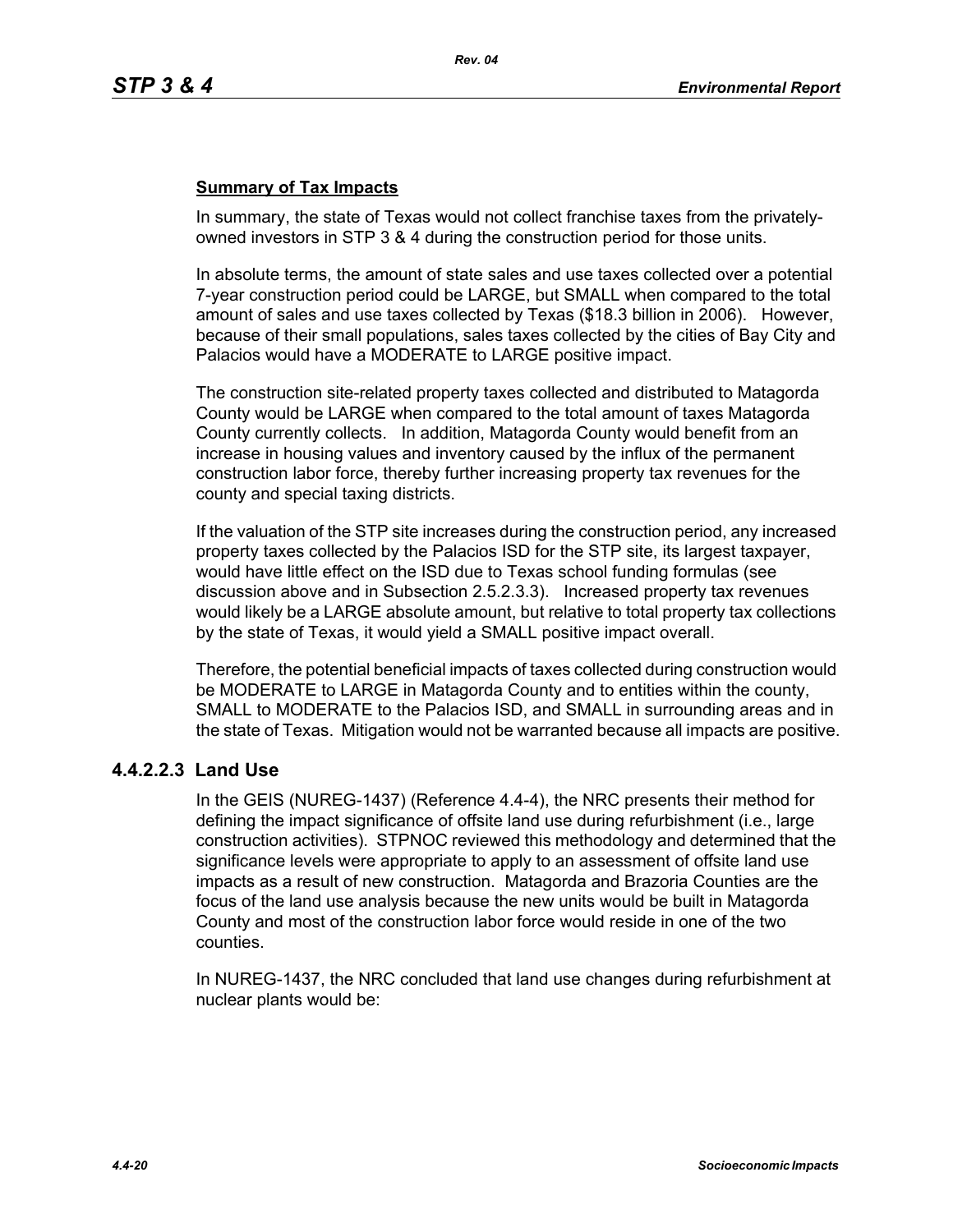## **Summary of Tax Impacts**

In summary, the state of Texas would not collect franchise taxes from the privatelyowned investors in STP 3 & 4 during the construction period for those units.

In absolute terms, the amount of state sales and use taxes collected over a potential 7-year construction period could be LARGE, but SMALL when compared to the total amount of sales and use taxes collected by Texas (\$18.3 billion in 2006). However, because of their small populations, sales taxes collected by the cities of Bay City and Palacios would have a MODERATE to LARGE positive impact.

The construction site-related property taxes collected and distributed to Matagorda County would be LARGE when compared to the total amount of taxes Matagorda County currently collects. In addition, Matagorda County would benefit from an increase in housing values and inventory caused by the influx of the permanent construction labor force, thereby further increasing property tax revenues for the county and special taxing districts.

If the valuation of the STP site increases during the construction period, any increased property taxes collected by the Palacios ISD for the STP site, its largest taxpayer, would have little effect on the ISD due to Texas school funding formulas (see discussion above and in Subsection 2.5.2.3.3). Increased property tax revenues would likely be a LARGE absolute amount, but relative to total property tax collections by the state of Texas, it would yield a SMALL positive impact overall.

Therefore, the potential beneficial impacts of taxes collected during construction would be MODERATE to LARGE in Matagorda County and to entities within the county, SMALL to MODERATE to the Palacios ISD, and SMALL in surrounding areas and in the state of Texas. Mitigation would not be warranted because all impacts are positive.

## **4.4.2.2.3 Land Use**

In the GEIS (NUREG-1437) (Reference 4.4-4), the NRC presents their method for defining the impact significance of offsite land use during refurbishment (i.e., large construction activities). STPNOC reviewed this methodology and determined that the significance levels were appropriate to apply to an assessment of offsite land use impacts as a result of new construction. Matagorda and Brazoria Counties are the focus of the land use analysis because the new units would be built in Matagorda County and most of the construction labor force would reside in one of the two counties.

In NUREG-1437, the NRC concluded that land use changes during refurbishment at nuclear plants would be: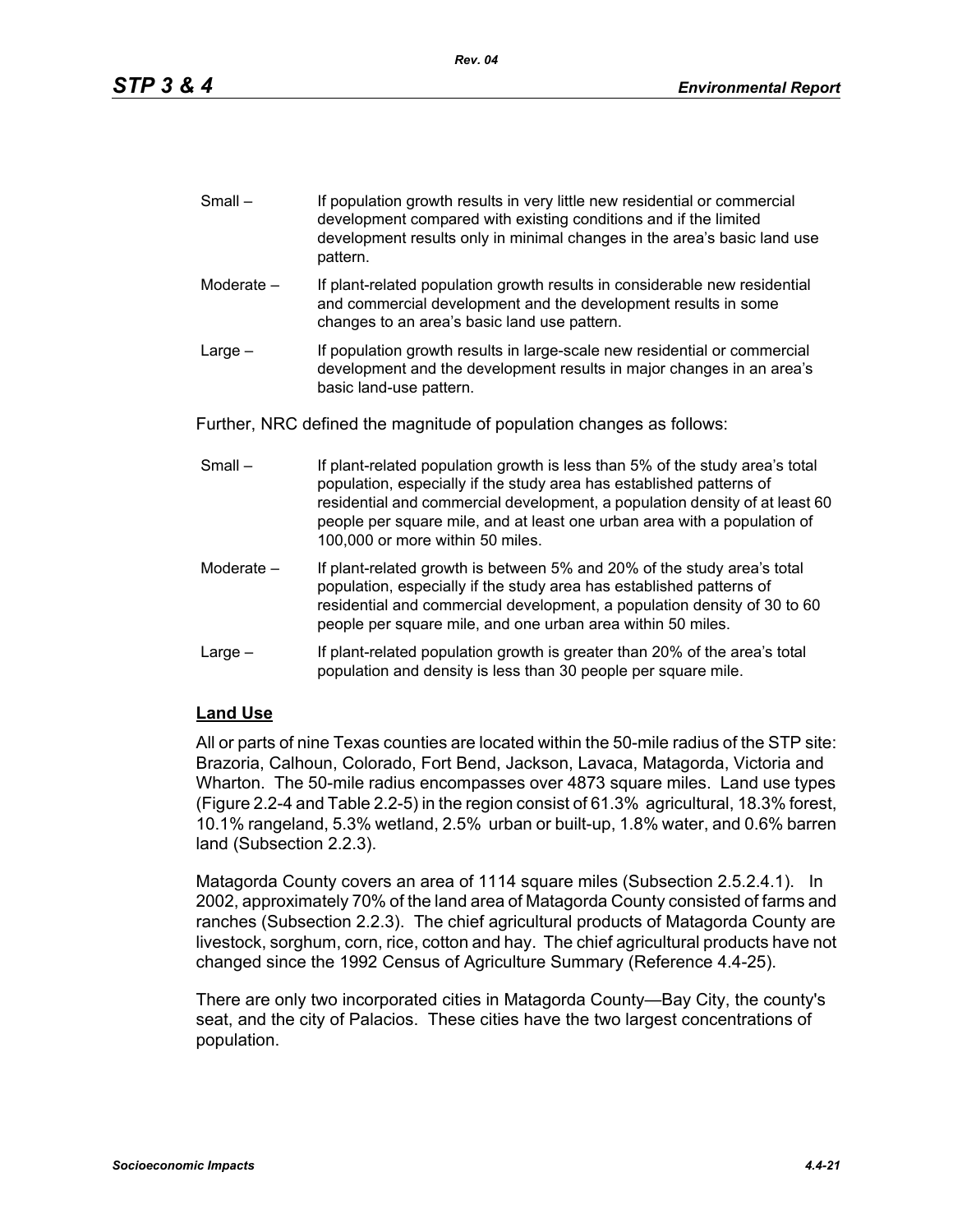| $Small -$ | If population growth results in very little new residential or commercial |
|-----------|---------------------------------------------------------------------------|
|           | development compared with existing conditions and if the limited          |
|           | development results only in minimal changes in the area's basic land use  |
|           | pattern.                                                                  |

- Moderate If plant-related population growth results in considerable new residential and commercial development and the development results in some changes to an area's basic land use pattern.
- Large If population growth results in large-scale new residential or commercial development and the development results in major changes in an area's basic land-use pattern.

Further, NRC defined the magnitude of population changes as follows:

- Small If plant-related population growth is less than 5% of the study area's total population, especially if the study area has established patterns of residential and commercial development, a population density of at least 60 people per square mile, and at least one urban area with a population of 100,000 or more within 50 miles.
- Moderate If plant-related growth is between 5% and 20% of the study area's total population, especially if the study area has established patterns of residential and commercial development, a population density of 30 to 60 people per square mile, and one urban area within 50 miles.
- Large If plant-related population growth is greater than 20% of the area's total population and density is less than 30 people per square mile.

# **Land Use**

All or parts of nine Texas counties are located within the 50-mile radius of the STP site: Brazoria, Calhoun, Colorado, Fort Bend, Jackson, Lavaca, Matagorda, Victoria and Wharton. The 50-mile radius encompasses over 4873 square miles. Land use types (Figure 2.2-4 and Table 2.2-5) in the region consist of 61.3% agricultural, 18.3% forest, 10.1% rangeland, 5.3% wetland, 2.5% urban or built-up, 1.8% water, and 0.6% barren land (Subsection 2.2.3).

Matagorda County covers an area of 1114 square miles (Subsection 2.5.2.4.1). In 2002, approximately 70% of the land area of Matagorda County consisted of farms and ranches (Subsection 2.2.3). The chief agricultural products of Matagorda County are livestock, sorghum, corn, rice, cotton and hay. The chief agricultural products have not changed since the 1992 Census of Agriculture Summary (Reference 4.4-25).

There are only two incorporated cities in Matagorda County—Bay City, the county's seat, and the city of Palacios. These cities have the two largest concentrations of population.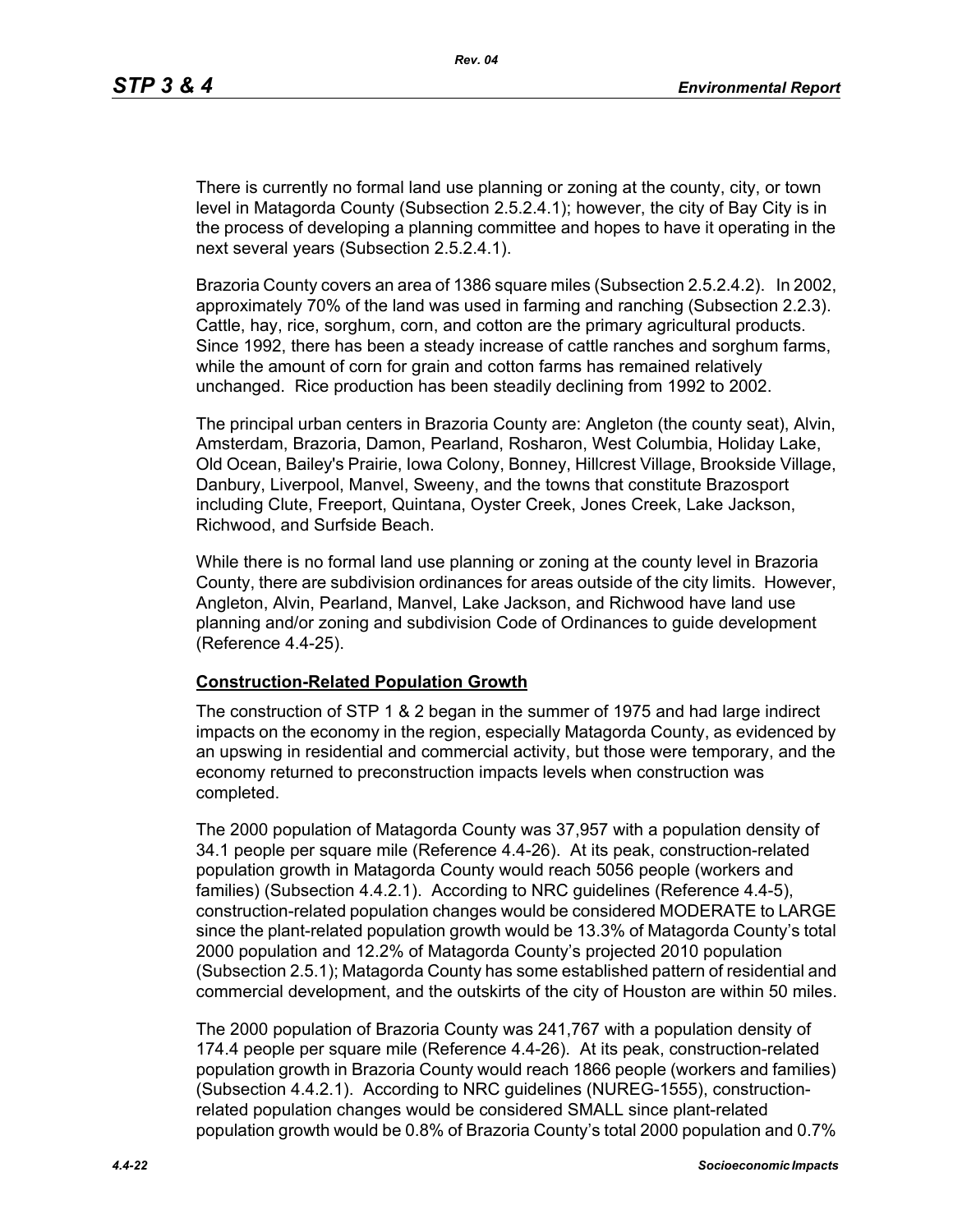There is currently no formal land use planning or zoning at the county, city, or town level in Matagorda County (Subsection 2.5.2.4.1); however, the city of Bay City is in the process of developing a planning committee and hopes to have it operating in the next several years (Subsection 2.5.2.4.1).

Brazoria County covers an area of 1386 square miles (Subsection 2.5.2.4.2). In 2002, approximately 70% of the land was used in farming and ranching (Subsection 2.2.3). Cattle, hay, rice, sorghum, corn, and cotton are the primary agricultural products. Since 1992, there has been a steady increase of cattle ranches and sorghum farms, while the amount of corn for grain and cotton farms has remained relatively unchanged. Rice production has been steadily declining from 1992 to 2002.

The principal urban centers in Brazoria County are: Angleton (the county seat), Alvin, Amsterdam, Brazoria, Damon, Pearland, Rosharon, West Columbia, Holiday Lake, Old Ocean, Bailey's Prairie, Iowa Colony, Bonney, Hillcrest Village, Brookside Village, Danbury, Liverpool, Manvel, Sweeny, and the towns that constitute Brazosport including Clute, Freeport, Quintana, Oyster Creek, Jones Creek, Lake Jackson, Richwood, and Surfside Beach.

While there is no formal land use planning or zoning at the county level in Brazoria County, there are subdivision ordinances for areas outside of the city limits. However, Angleton, Alvin, Pearland, Manvel, Lake Jackson, and Richwood have land use planning and/or zoning and subdivision Code of Ordinances to guide development (Reference 4.4-25).

#### **Construction-Related Population Growth**

The construction of STP 1 & 2 began in the summer of 1975 and had large indirect impacts on the economy in the region, especially Matagorda County, as evidenced by an upswing in residential and commercial activity, but those were temporary, and the economy returned to preconstruction impacts levels when construction was completed.

The 2000 population of Matagorda County was 37,957 with a population density of 34.1 people per square mile (Reference 4.4-26). At its peak, construction-related population growth in Matagorda County would reach 5056 people (workers and families) (Subsection 4.4.2.1). According to NRC guidelines (Reference 4.4-5), construction-related population changes would be considered MODERATE to LARGE since the plant-related population growth would be 13.3% of Matagorda County's total 2000 population and 12.2% of Matagorda County's projected 2010 population (Subsection 2.5.1); Matagorda County has some established pattern of residential and commercial development, and the outskirts of the city of Houston are within 50 miles.

The 2000 population of Brazoria County was 241,767 with a population density of 174.4 people per square mile (Reference 4.4-26). At its peak, construction-related population growth in Brazoria County would reach 1866 people (workers and families) (Subsection 4.4.2.1). According to NRC guidelines (NUREG-1555), constructionrelated population changes would be considered SMALL since plant-related population growth would be 0.8% of Brazoria County's total 2000 population and 0.7%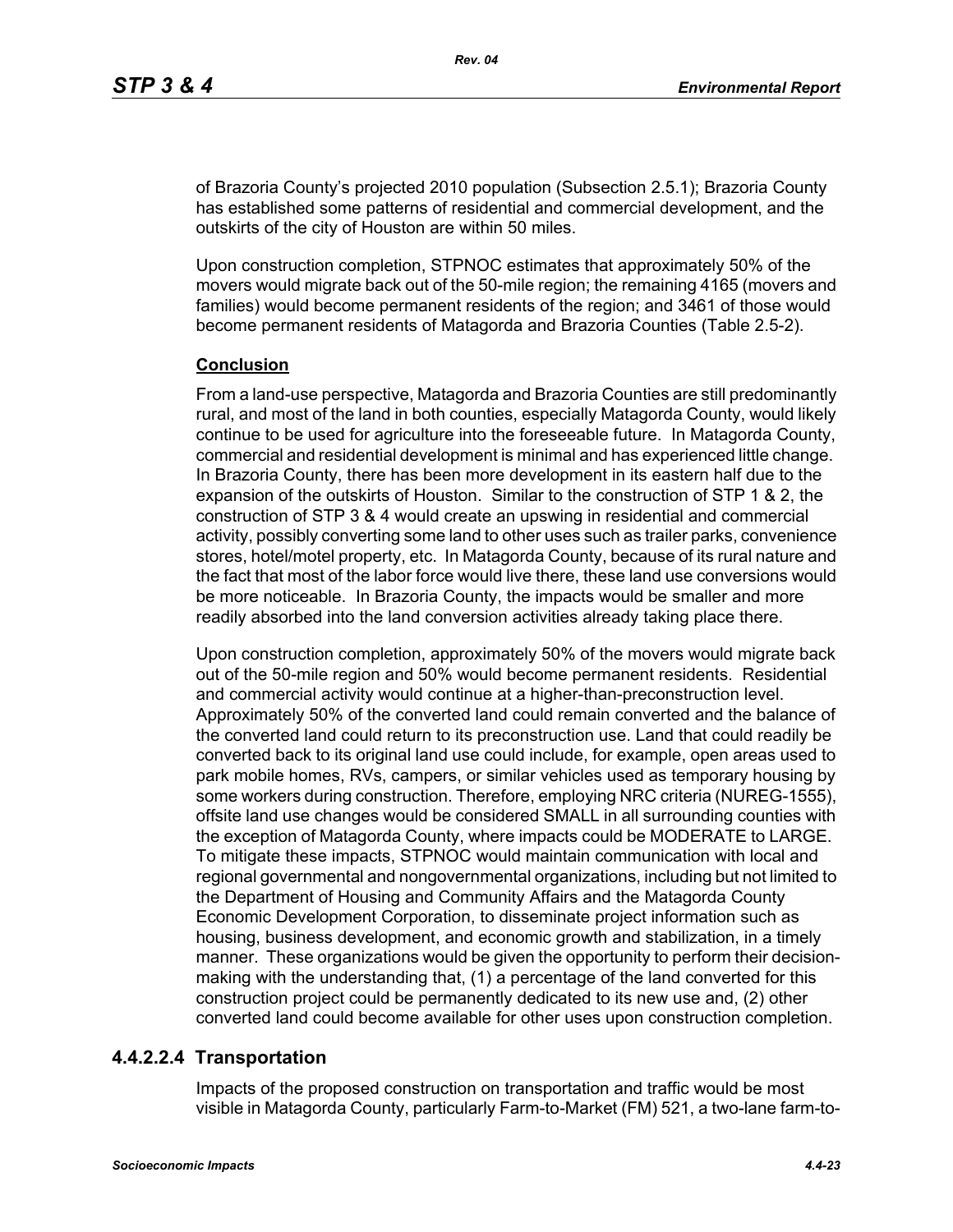of Brazoria County's projected 2010 population (Subsection 2.5.1); Brazoria County has established some patterns of residential and commercial development, and the outskirts of the city of Houston are within 50 miles.

Upon construction completion, STPNOC estimates that approximately 50% of the movers would migrate back out of the 50-mile region; the remaining 4165 (movers and families) would become permanent residents of the region; and 3461 of those would become permanent residents of Matagorda and Brazoria Counties (Table 2.5-2).

#### **Conclusion**

From a land-use perspective, Matagorda and Brazoria Counties are still predominantly rural, and most of the land in both counties, especially Matagorda County, would likely continue to be used for agriculture into the foreseeable future. In Matagorda County, commercial and residential development is minimal and has experienced little change. In Brazoria County, there has been more development in its eastern half due to the expansion of the outskirts of Houston. Similar to the construction of STP 1 & 2, the construction of STP 3 & 4 would create an upswing in residential and commercial activity, possibly converting some land to other uses such as trailer parks, convenience stores, hotel/motel property, etc. In Matagorda County, because of its rural nature and the fact that most of the labor force would live there, these land use conversions would be more noticeable. In Brazoria County, the impacts would be smaller and more readily absorbed into the land conversion activities already taking place there.

Upon construction completion, approximately 50% of the movers would migrate back out of the 50-mile region and 50% would become permanent residents. Residential and commercial activity would continue at a higher-than-preconstruction level. Approximately 50% of the converted land could remain converted and the balance of the converted land could return to its preconstruction use. Land that could readily be converted back to its original land use could include, for example, open areas used to park mobile homes, RVs, campers, or similar vehicles used as temporary housing by some workers during construction. Therefore, employing NRC criteria (NUREG-1555), offsite land use changes would be considered SMALL in all surrounding counties with the exception of Matagorda County, where impacts could be MODERATE to LARGE. To mitigate these impacts, STPNOC would maintain communication with local and regional governmental and nongovernmental organizations, including but not limited to the Department of Housing and Community Affairs and the Matagorda County Economic Development Corporation, to disseminate project information such as housing, business development, and economic growth and stabilization, in a timely manner. These organizations would be given the opportunity to perform their decisionmaking with the understanding that, (1) a percentage of the land converted for this construction project could be permanently dedicated to its new use and, (2) other converted land could become available for other uses upon construction completion.

## **4.4.2.2.4 Transportation**

Impacts of the proposed construction on transportation and traffic would be most visible in Matagorda County, particularly Farm-to-Market (FM) 521, a two-lane farm-to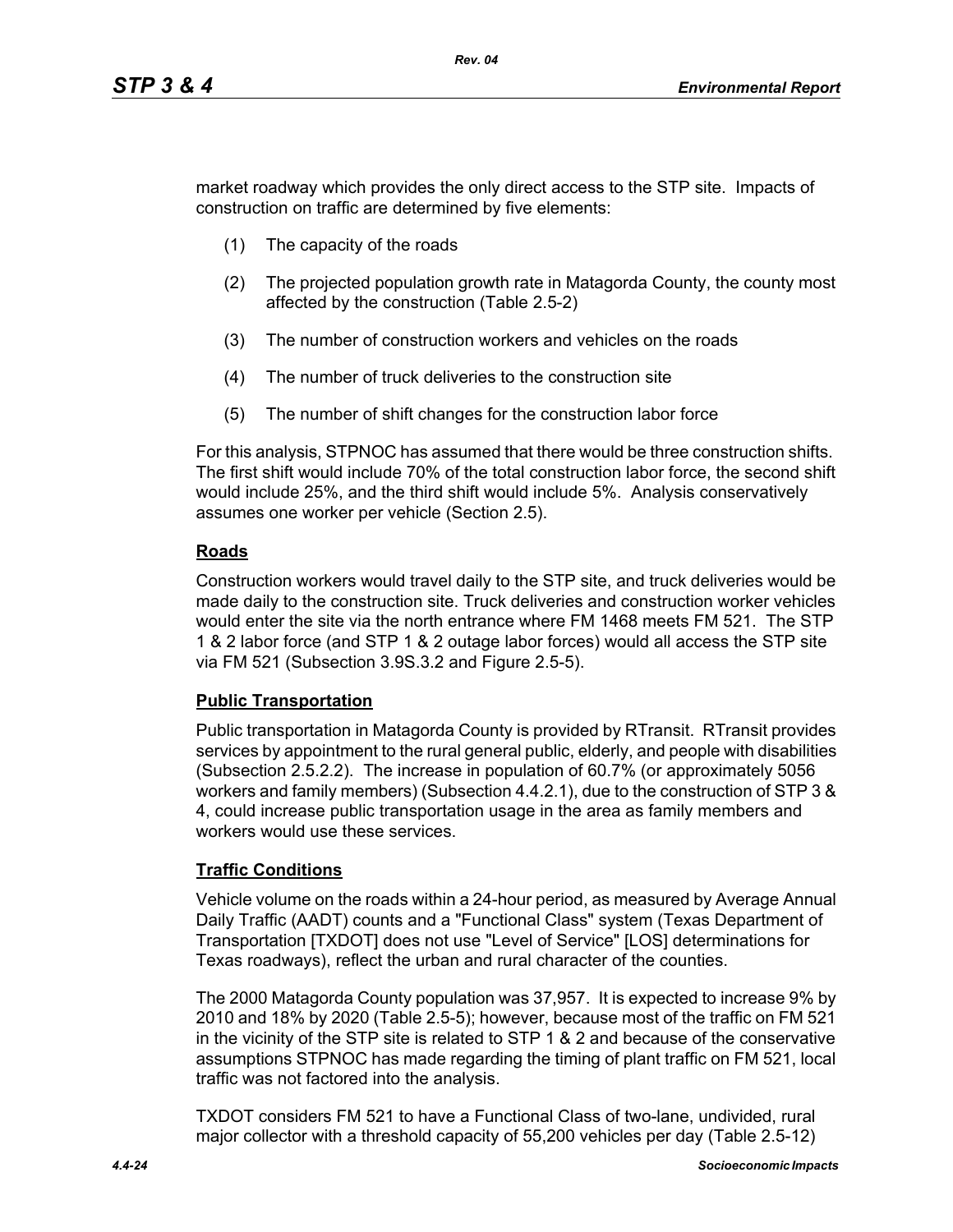market roadway which provides the only direct access to the STP site. Impacts of construction on traffic are determined by five elements:

- (1) The capacity of the roads
- (2) The projected population growth rate in Matagorda County, the county most affected by the construction (Table 2.5-2)
- (3) The number of construction workers and vehicles on the roads
- (4) The number of truck deliveries to the construction site
- (5) The number of shift changes for the construction labor force

For this analysis, STPNOC has assumed that there would be three construction shifts. The first shift would include 70% of the total construction labor force, the second shift would include 25%, and the third shift would include 5%. Analysis conservatively assumes one worker per vehicle (Section 2.5).

## **Roads**

Construction workers would travel daily to the STP site, and truck deliveries would be made daily to the construction site. Truck deliveries and construction worker vehicles would enter the site via the north entrance where FM 1468 meets FM 521. The STP 1 & 2 labor force (and STP 1 & 2 outage labor forces) would all access the STP site via FM 521 (Subsection 3.9S.3.2 and Figure 2.5-5).

## **Public Transportation**

Public transportation in Matagorda County is provided by RTransit. RTransit provides services by appointment to the rural general public, elderly, and people with disabilities (Subsection 2.5.2.2). The increase in population of 60.7% (or approximately 5056 workers and family members) (Subsection 4.4.2.1), due to the construction of STP 3 & 4, could increase public transportation usage in the area as family members and workers would use these services.

# **Traffic Conditions**

Vehicle volume on the roads within a 24-hour period, as measured by Average Annual Daily Traffic (AADT) counts and a "Functional Class" system (Texas Department of Transportation [TXDOT] does not use "Level of Service" [LOS] determinations for Texas roadways), reflect the urban and rural character of the counties.

The 2000 Matagorda County population was 37,957. It is expected to increase 9% by 2010 and 18% by 2020 (Table 2.5-5); however, because most of the traffic on FM 521 in the vicinity of the STP site is related to STP 1 & 2 and because of the conservative assumptions STPNOC has made regarding the timing of plant traffic on FM 521, local traffic was not factored into the analysis.

TXDOT considers FM 521 to have a Functional Class of two-lane, undivided, rural major collector with a threshold capacity of 55,200 vehicles per day (Table 2.5-12)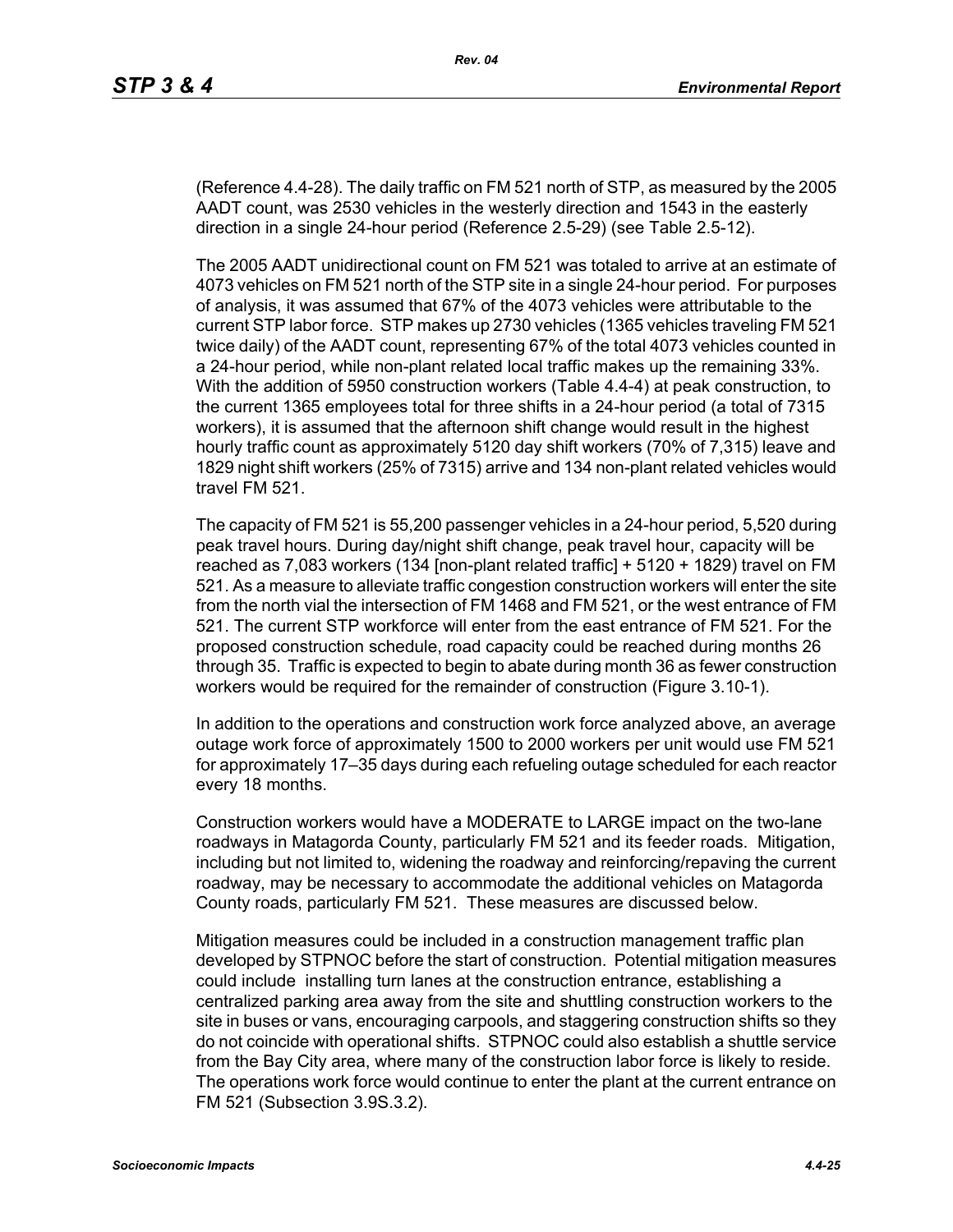(Reference 4.4-28). The daily traffic on FM 521 north of STP, as measured by the 2005 AADT count, was 2530 vehicles in the westerly direction and 1543 in the easterly direction in a single 24-hour period (Reference 2.5-29) (see Table 2.5-12).

The 2005 AADT unidirectional count on FM 521 was totaled to arrive at an estimate of 4073 vehicles on FM 521 north of the STP site in a single 24-hour period. For purposes of analysis, it was assumed that 67% of the 4073 vehicles were attributable to the current STP labor force. STP makes up 2730 vehicles (1365 vehicles traveling FM 521 twice daily) of the AADT count, representing 67% of the total 4073 vehicles counted in a 24-hour period, while non-plant related local traffic makes up the remaining 33%. With the addition of 5950 construction workers (Table 4.4-4) at peak construction, to the current 1365 employees total for three shifts in a 24-hour period (a total of 7315 workers), it is assumed that the afternoon shift change would result in the highest hourly traffic count as approximately 5120 day shift workers (70% of 7,315) leave and 1829 night shift workers (25% of 7315) arrive and 134 non-plant related vehicles would travel FM 521.

The capacity of FM 521 is 55,200 passenger vehicles in a 24-hour period, 5,520 during peak travel hours. During day/night shift change, peak travel hour, capacity will be reached as 7,083 workers (134 [non-plant related traffic] + 5120 + 1829) travel on FM 521. As a measure to alleviate traffic congestion construction workers will enter the site from the north vial the intersection of FM 1468 and FM 521, or the west entrance of FM 521. The current STP workforce will enter from the east entrance of FM 521. For the proposed construction schedule, road capacity could be reached during months 26 through 35. Traffic is expected to begin to abate during month 36 as fewer construction workers would be required for the remainder of construction (Figure 3.10-1).

In addition to the operations and construction work force analyzed above, an average outage work force of approximately 1500 to 2000 workers per unit would use FM 521 for approximately 17–35 days during each refueling outage scheduled for each reactor every 18 months.

Construction workers would have a MODERATE to LARGE impact on the two-lane roadways in Matagorda County, particularly FM 521 and its feeder roads. Mitigation, including but not limited to, widening the roadway and reinforcing/repaving the current roadway, may be necessary to accommodate the additional vehicles on Matagorda County roads, particularly FM 521. These measures are discussed below.

Mitigation measures could be included in a construction management traffic plan developed by STPNOC before the start of construction. Potential mitigation measures could include installing turn lanes at the construction entrance, establishing a centralized parking area away from the site and shuttling construction workers to the site in buses or vans, encouraging carpools, and staggering construction shifts so they do not coincide with operational shifts. STPNOC could also establish a shuttle service from the Bay City area, where many of the construction labor force is likely to reside. The operations work force would continue to enter the plant at the current entrance on FM 521 (Subsection 3.9S.3.2).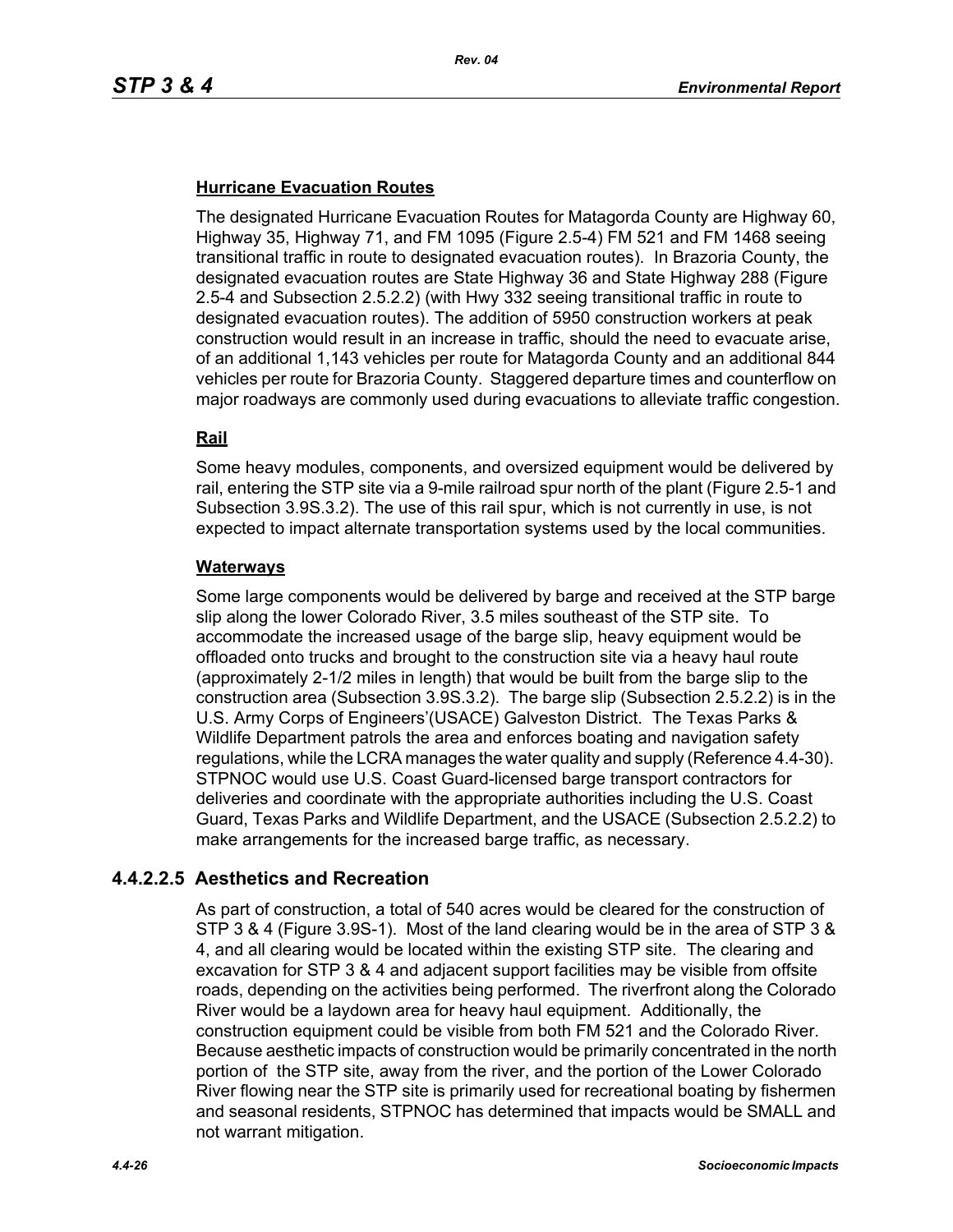## **Hurricane Evacuation Routes**

The designated Hurricane Evacuation Routes for Matagorda County are Highway 60, Highway 35, Highway 71, and FM 1095 (Figure 2.5-4) FM 521 and FM 1468 seeing transitional traffic in route to designated evacuation routes). In Brazoria County, the designated evacuation routes are State Highway 36 and State Highway 288 (Figure 2.5-4 and Subsection 2.5.2.2) (with Hwy 332 seeing transitional traffic in route to designated evacuation routes). The addition of 5950 construction workers at peak construction would result in an increase in traffic, should the need to evacuate arise, of an additional 1,143 vehicles per route for Matagorda County and an additional 844 vehicles per route for Brazoria County. Staggered departure times and counterflow on major roadways are commonly used during evacuations to alleviate traffic congestion.

## **Rail**

Some heavy modules, components, and oversized equipment would be delivered by rail, entering the STP site via a 9-mile railroad spur north of the plant (Figure 2.5-1 and Subsection 3.9S.3.2). The use of this rail spur, which is not currently in use, is not expected to impact alternate transportation systems used by the local communities.

#### **Waterways**

Some large components would be delivered by barge and received at the STP barge slip along the lower Colorado River, 3.5 miles southeast of the STP site. To accommodate the increased usage of the barge slip, heavy equipment would be offloaded onto trucks and brought to the construction site via a heavy haul route (approximately 2-1/2 miles in length) that would be built from the barge slip to the construction area (Subsection 3.9S.3.2). The barge slip (Subsection 2.5.2.2) is in the U.S. Army Corps of Engineers'(USACE) Galveston District. The Texas Parks & Wildlife Department patrols the area and enforces boating and navigation safety regulations, while the LCRA manages the water quality and supply (Reference 4.4-30). STPNOC would use U.S. Coast Guard-licensed barge transport contractors for deliveries and coordinate with the appropriate authorities including the U.S. Coast Guard, Texas Parks and Wildlife Department, and the USACE (Subsection 2.5.2.2) to make arrangements for the increased barge traffic, as necessary.

# **4.4.2.2.5 Aesthetics and Recreation**

As part of construction, a total of 540 acres would be cleared for the construction of STP 3 & 4 (Figure 3.9S-1). Most of the land clearing would be in the area of STP 3 & 4, and all clearing would be located within the existing STP site. The clearing and excavation for STP 3 & 4 and adjacent support facilities may be visible from offsite roads, depending on the activities being performed. The riverfront along the Colorado River would be a laydown area for heavy haul equipment. Additionally, the construction equipment could be visible from both FM 521 and the Colorado River. Because aesthetic impacts of construction would be primarily concentrated in the north portion of the STP site, away from the river, and the portion of the Lower Colorado River flowing near the STP site is primarily used for recreational boating by fishermen and seasonal residents, STPNOC has determined that impacts would be SMALL and not warrant mitigation.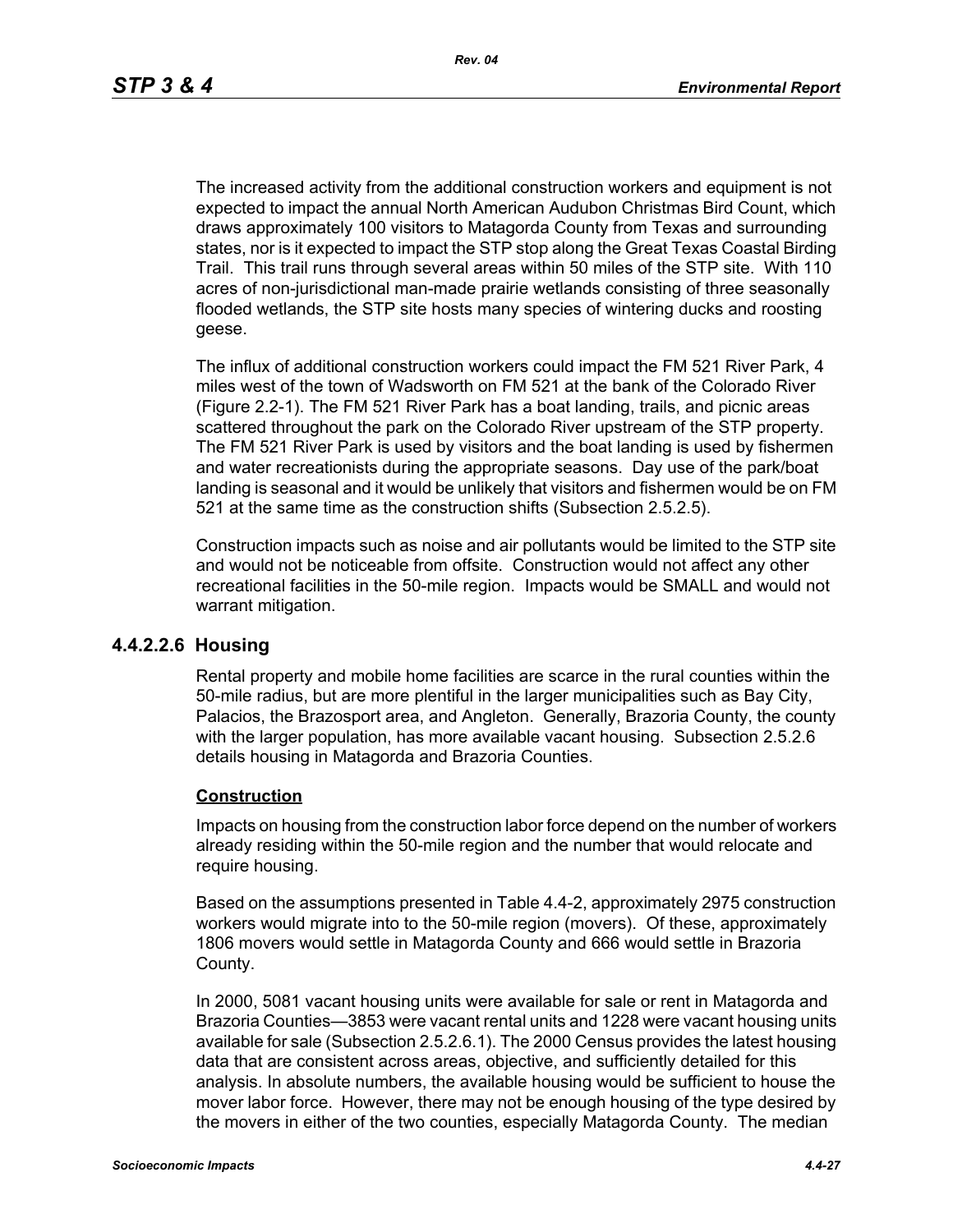The increased activity from the additional construction workers and equipment is not expected to impact the annual North American Audubon Christmas Bird Count, which draws approximately 100 visitors to Matagorda County from Texas and surrounding states, nor is it expected to impact the STP stop along the Great Texas Coastal Birding Trail. This trail runs through several areas within 50 miles of the STP site. With 110 acres of non-jurisdictional man-made prairie wetlands consisting of three seasonally flooded wetlands, the STP site hosts many species of wintering ducks and roosting geese.

The influx of additional construction workers could impact the FM 521 River Park, 4 miles west of the town of Wadsworth on FM 521 at the bank of the Colorado River (Figure 2.2-1). The FM 521 River Park has a boat landing, trails, and picnic areas scattered throughout the park on the Colorado River upstream of the STP property. The FM 521 River Park is used by visitors and the boat landing is used by fishermen and water recreationists during the appropriate seasons. Day use of the park/boat landing is seasonal and it would be unlikely that visitors and fishermen would be on FM 521 at the same time as the construction shifts (Subsection 2.5.2.5).

Construction impacts such as noise and air pollutants would be limited to the STP site and would not be noticeable from offsite. Construction would not affect any other recreational facilities in the 50-mile region. Impacts would be SMALL and would not warrant mitigation.

## **4.4.2.2.6 Housing**

Rental property and mobile home facilities are scarce in the rural counties within the 50-mile radius, but are more plentiful in the larger municipalities such as Bay City, Palacios, the Brazosport area, and Angleton. Generally, Brazoria County, the county with the larger population, has more available vacant housing. Subsection 2.5.2.6 details housing in Matagorda and Brazoria Counties.

#### **Construction**

Impacts on housing from the construction labor force depend on the number of workers already residing within the 50-mile region and the number that would relocate and require housing.

Based on the assumptions presented in Table 4.4-2, approximately 2975 construction workers would migrate into to the 50-mile region (movers). Of these, approximately 1806 movers would settle in Matagorda County and 666 would settle in Brazoria County.

In 2000, 5081 vacant housing units were available for sale or rent in Matagorda and Brazoria Counties—3853 were vacant rental units and 1228 were vacant housing units available for sale (Subsection 2.5.2.6.1). The 2000 Census provides the latest housing data that are consistent across areas, objective, and sufficiently detailed for this analysis. In absolute numbers, the available housing would be sufficient to house the mover labor force. However, there may not be enough housing of the type desired by the movers in either of the two counties, especially Matagorda County. The median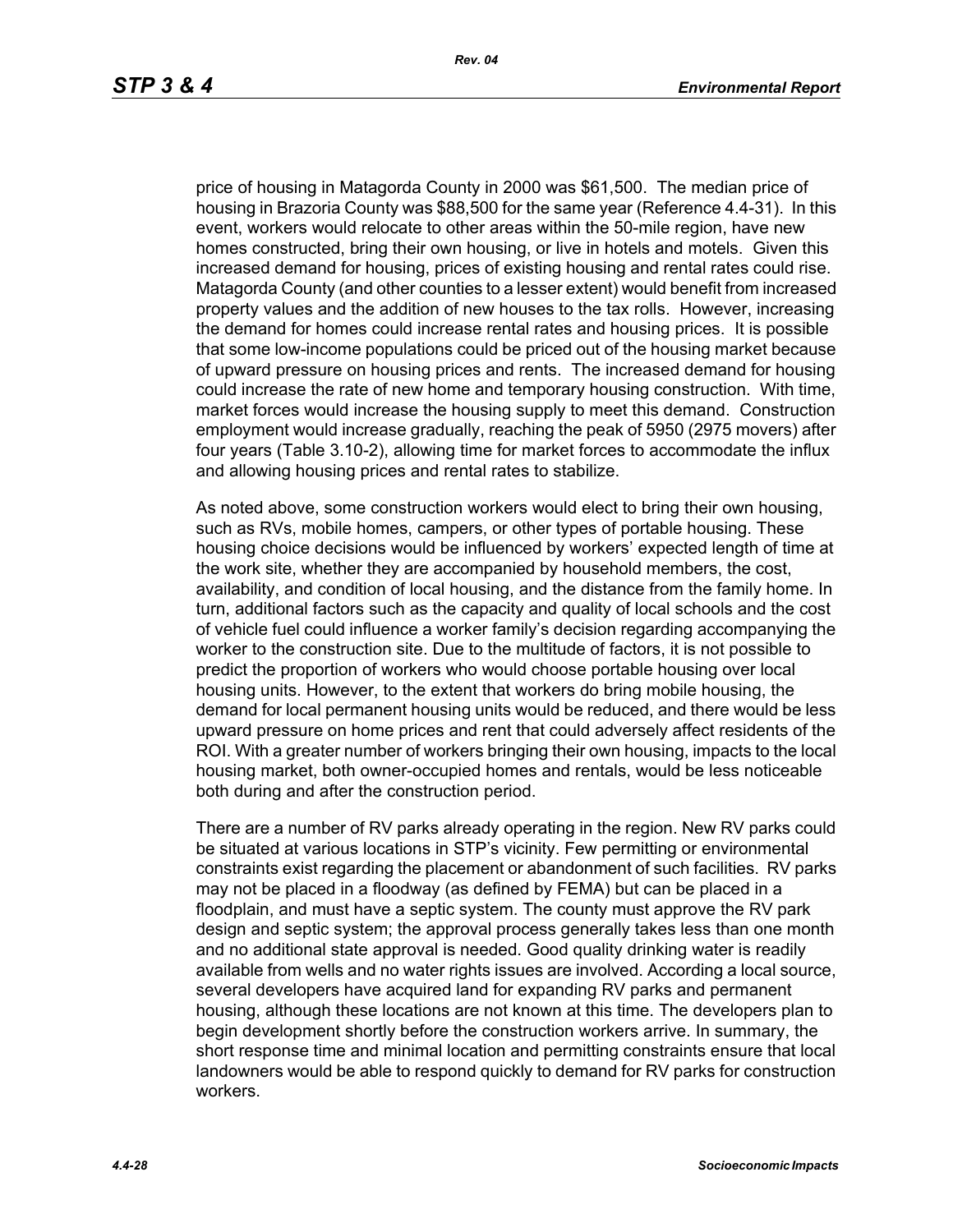price of housing in Matagorda County in 2000 was \$61,500. The median price of housing in Brazoria County was \$88,500 for the same year (Reference 4.4-31). In this event, workers would relocate to other areas within the 50-mile region, have new homes constructed, bring their own housing, or live in hotels and motels. Given this increased demand for housing, prices of existing housing and rental rates could rise. Matagorda County (and other counties to a lesser extent) would benefit from increased property values and the addition of new houses to the tax rolls. However, increasing the demand for homes could increase rental rates and housing prices. It is possible that some low-income populations could be priced out of the housing market because of upward pressure on housing prices and rents. The increased demand for housing could increase the rate of new home and temporary housing construction. With time, market forces would increase the housing supply to meet this demand. Construction employment would increase gradually, reaching the peak of 5950 (2975 movers) after four years (Table 3.10-2), allowing time for market forces to accommodate the influx and allowing housing prices and rental rates to stabilize.

As noted above, some construction workers would elect to bring their own housing, such as RVs, mobile homes, campers, or other types of portable housing. These housing choice decisions would be influenced by workers' expected length of time at the work site, whether they are accompanied by household members, the cost, availability, and condition of local housing, and the distance from the family home. In turn, additional factors such as the capacity and quality of local schools and the cost of vehicle fuel could influence a worker family's decision regarding accompanying the worker to the construction site. Due to the multitude of factors, it is not possible to predict the proportion of workers who would choose portable housing over local housing units. However, to the extent that workers do bring mobile housing, the demand for local permanent housing units would be reduced, and there would be less upward pressure on home prices and rent that could adversely affect residents of the ROI. With a greater number of workers bringing their own housing, impacts to the local housing market, both owner-occupied homes and rentals, would be less noticeable both during and after the construction period.

There are a number of RV parks already operating in the region. New RV parks could be situated at various locations in STP's vicinity. Few permitting or environmental constraints exist regarding the placement or abandonment of such facilities. RV parks may not be placed in a floodway (as defined by FEMA) but can be placed in a floodplain, and must have a septic system. The county must approve the RV park design and septic system; the approval process generally takes less than one month and no additional state approval is needed. Good quality drinking water is readily available from wells and no water rights issues are involved. According a local source, several developers have acquired land for expanding RV parks and permanent housing, although these locations are not known at this time. The developers plan to begin development shortly before the construction workers arrive. In summary, the short response time and minimal location and permitting constraints ensure that local landowners would be able to respond quickly to demand for RV parks for construction workers.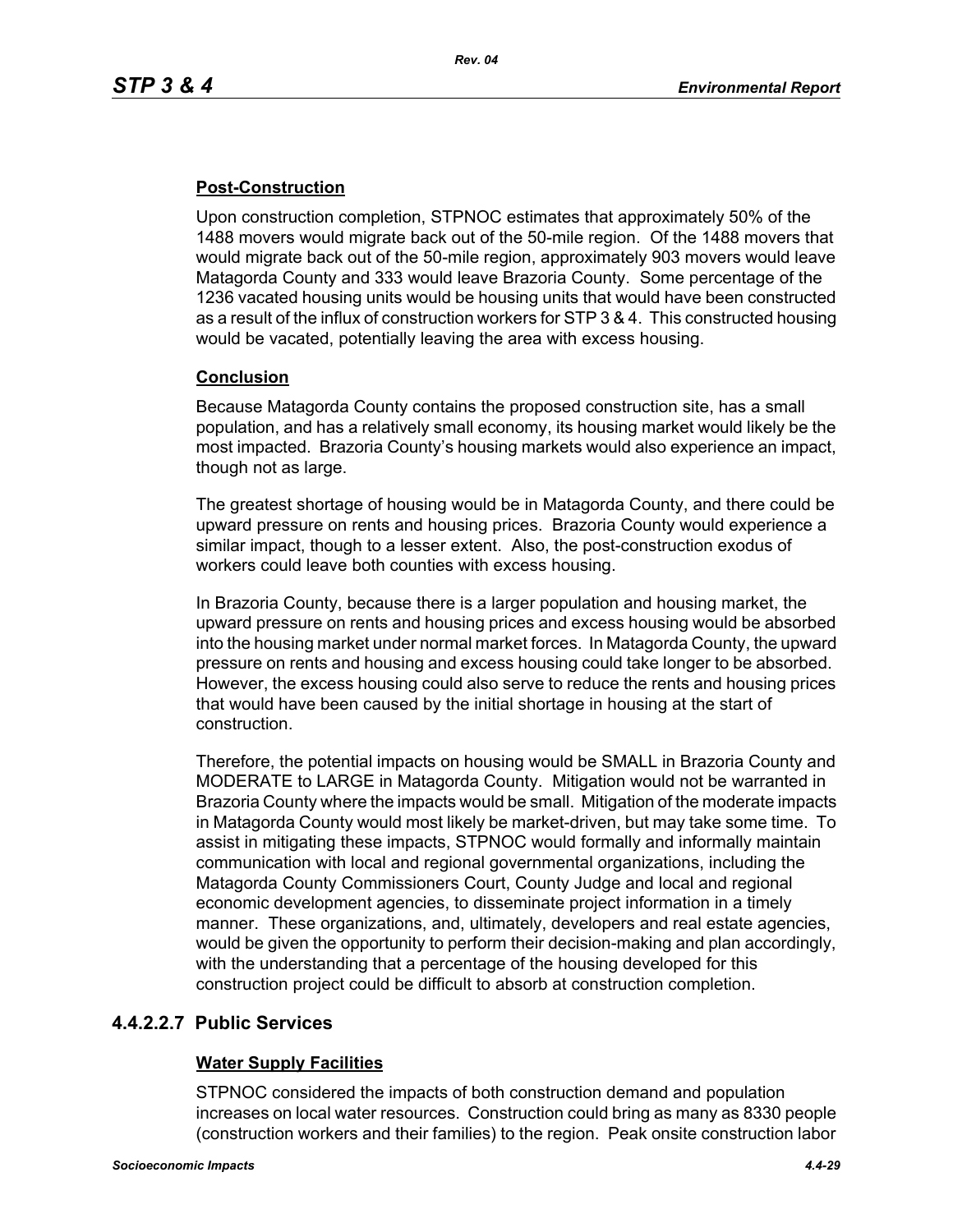# **Post-Construction**

Upon construction completion, STPNOC estimates that approximately 50% of the 1488 movers would migrate back out of the 50-mile region. Of the 1488 movers that would migrate back out of the 50-mile region, approximately 903 movers would leave Matagorda County and 333 would leave Brazoria County. Some percentage of the 1236 vacated housing units would be housing units that would have been constructed as a result of the influx of construction workers for STP 3 & 4. This constructed housing would be vacated, potentially leaving the area with excess housing.

## **Conclusion**

Because Matagorda County contains the proposed construction site, has a small population, and has a relatively small economy, its housing market would likely be the most impacted. Brazoria County's housing markets would also experience an impact, though not as large.

The greatest shortage of housing would be in Matagorda County, and there could be upward pressure on rents and housing prices. Brazoria County would experience a similar impact, though to a lesser extent. Also, the post-construction exodus of workers could leave both counties with excess housing.

In Brazoria County, because there is a larger population and housing market, the upward pressure on rents and housing prices and excess housing would be absorbed into the housing market under normal market forces. In Matagorda County, the upward pressure on rents and housing and excess housing could take longer to be absorbed. However, the excess housing could also serve to reduce the rents and housing prices that would have been caused by the initial shortage in housing at the start of construction.

Therefore, the potential impacts on housing would be SMALL in Brazoria County and MODERATE to LARGE in Matagorda County. Mitigation would not be warranted in Brazoria County where the impacts would be small. Mitigation of the moderate impacts in Matagorda County would most likely be market-driven, but may take some time. To assist in mitigating these impacts, STPNOC would formally and informally maintain communication with local and regional governmental organizations, including the Matagorda County Commissioners Court, County Judge and local and regional economic development agencies, to disseminate project information in a timely manner. These organizations, and, ultimately, developers and real estate agencies, would be given the opportunity to perform their decision-making and plan accordingly, with the understanding that a percentage of the housing developed for this construction project could be difficult to absorb at construction completion.

## **4.4.2.2.7 Public Services**

## **Water Supply Facilities**

STPNOC considered the impacts of both construction demand and population increases on local water resources. Construction could bring as many as 8330 people (construction workers and their families) to the region. Peak onsite construction labor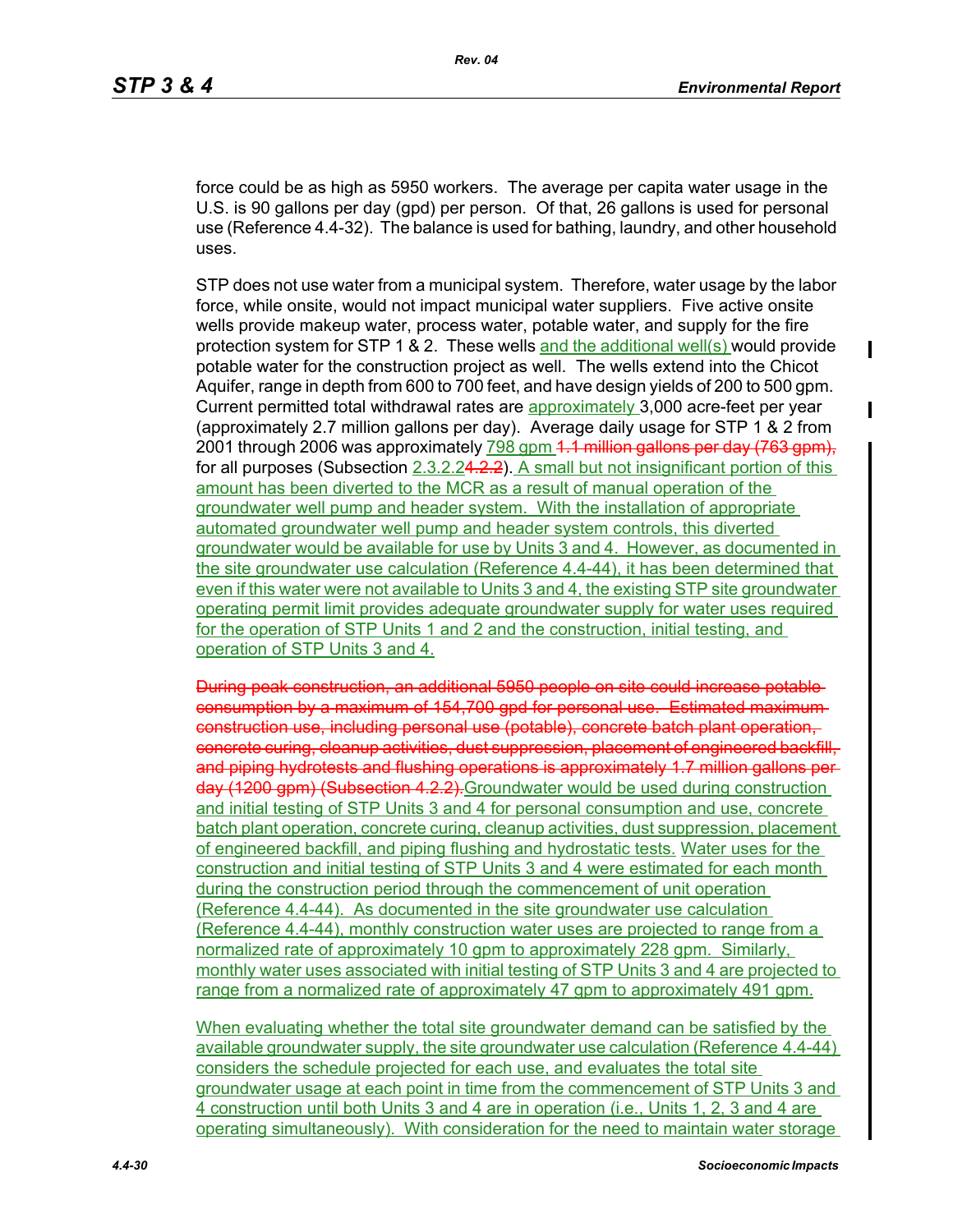П

П

force could be as high as 5950 workers. The average per capita water usage in the U.S. is 90 gallons per day (gpd) per person. Of that, 26 gallons is used for personal use (Reference 4.4-32). The balance is used for bathing, laundry, and other household uses.

STP does not use water from a municipal system. Therefore, water usage by the labor force, while onsite, would not impact municipal water suppliers. Five active onsite wells provide makeup water, process water, potable water, and supply for the fire protection system for STP 1 & 2. These wells and the additional well(s) would provide potable water for the construction project as well. The wells extend into the Chicot Aquifer, range in depth from 600 to 700 feet, and have design yields of 200 to 500 gpm. Current permitted total withdrawal rates are approximately 3,000 acre-feet per year (approximately 2.7 million gallons per day). Average daily usage for STP 1 & 2 from 2001 through 2006 was approximately 798 gpm 4.1 million gallons per day (763 gpm). for all purposes (Subsection 2.3.2.24.2.2). A small but not insignificant portion of this amount has been diverted to the MCR as a result of manual operation of the groundwater well pump and header system. With the installation of appropriate automated groundwater well pump and header system controls, this diverted groundwater would be available for use by Units 3 and 4. However, as documented in the site groundwater use calculation (Reference 4.4-44), it has been determined that even if this water were not available to Units 3 and 4, the existing STP site groundwater operating permit limit provides adequate groundwater supply for water uses required for the operation of STP Units 1 and 2 and the construction, initial testing, and operation of STP Units 3 and 4.

During peak construction, an additional 5950 people on site could increase potable consumption by a maximum of 154,700 gpd for personal use. Estimated maximum construction use, including personal use (potable), concrete batch plant operation, concrete curing, cleanup activities, dust suppression, placement of engineered backfill, and piping hydrotests and flushing operations is approximately 1.7 million gallons per day (1200 gpm) (Subsection 4.2.2).Groundwater would be used during construction and initial testing of STP Units 3 and 4 for personal consumption and use, concrete batch plant operation, concrete curing, cleanup activities, dust suppression, placement of engineered backfill, and piping flushing and hydrostatic tests. Water uses for the construction and initial testing of STP Units 3 and 4 were estimated for each month during the construction period through the commencement of unit operation (Reference 4.4-44). As documented in the site groundwater use calculation (Reference 4.4-44), monthly construction water uses are projected to range from a normalized rate of approximately 10 gpm to approximately 228 gpm. Similarly, monthly water uses associated with initial testing of STP Units 3 and 4 are projected to range from a normalized rate of approximately 47 gpm to approximately 491 gpm.

When evaluating whether the total site groundwater demand can be satisfied by the available groundwater supply, the site groundwater use calculation (Reference 4.4-44) considers the schedule projected for each use, and evaluates the total site groundwater usage at each point in time from the commencement of STP Units 3 and 4 construction until both Units 3 and 4 are in operation (i.e., Units 1, 2, 3 and 4 are operating simultaneously). With consideration for the need to maintain water storage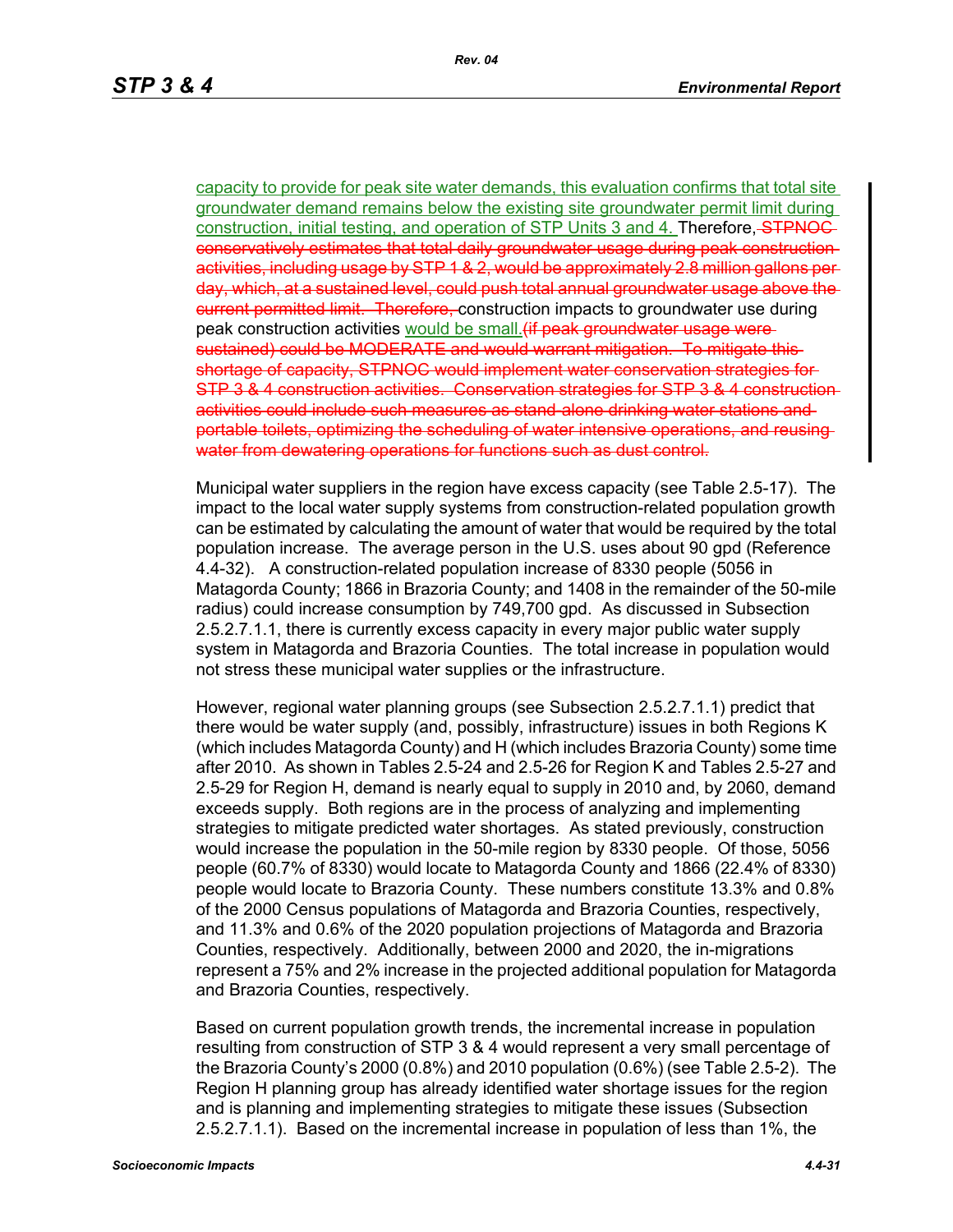capacity to provide for peak site water demands, this evaluation confirms that total site groundwater demand remains below the existing site groundwater permit limit during construction, initial testing, and operation of STP Units 3 and 4. Therefore, STPNOC conservatively estimates that total daily groundwater usage during peak construction activities, including usage by STP 1 & 2, would be approximately 2.8 million gallons per day, which, at a sustained level, could push total annual groundwater usage above the eurrent permitted limit. Therefore, construction impacts to groundwater use during peak construction activities would be small. (if peak ground water usage were sustained) could be MODERATE and would warrant mitigation. To mitigate this shortage of capacity, STPNOC would implement water conservation strategies for STP 3 & 4 construction activities. Conservation strategies for STP 3 & 4 construction activities could include such measures as stand-alone drinking water stations and portable toilets, optimizing the scheduling of water intensive operations, and reusing water from dewatering operations for functions such as dust control.

Municipal water suppliers in the region have excess capacity (see Table 2.5-17). The impact to the local water supply systems from construction-related population growth can be estimated by calculating the amount of water that would be required by the total population increase. The average person in the U.S. uses about 90 gpd (Reference 4.4-32). A construction-related population increase of 8330 people (5056 in Matagorda County; 1866 in Brazoria County; and 1408 in the remainder of the 50-mile radius) could increase consumption by 749,700 gpd. As discussed in Subsection 2.5.2.7.1.1, there is currently excess capacity in every major public water supply system in Matagorda and Brazoria Counties. The total increase in population would not stress these municipal water supplies or the infrastructure.

However, regional water planning groups (see Subsection 2.5.2.7.1.1) predict that there would be water supply (and, possibly, infrastructure) issues in both Regions K (which includes Matagorda County) and H (which includes Brazoria County) some time after 2010. As shown in Tables 2.5-24 and 2.5-26 for Region K and Tables 2.5-27 and 2.5-29 for Region H, demand is nearly equal to supply in 2010 and, by 2060, demand exceeds supply. Both regions are in the process of analyzing and implementing strategies to mitigate predicted water shortages. As stated previously, construction would increase the population in the 50-mile region by 8330 people. Of those, 5056 people (60.7% of 8330) would locate to Matagorda County and 1866 (22.4% of 8330) people would locate to Brazoria County. These numbers constitute 13.3% and 0.8% of the 2000 Census populations of Matagorda and Brazoria Counties, respectively, and 11.3% and 0.6% of the 2020 population projections of Matagorda and Brazoria Counties, respectively. Additionally, between 2000 and 2020, the in-migrations represent a 75% and 2% increase in the projected additional population for Matagorda and Brazoria Counties, respectively.

Based on current population growth trends, the incremental increase in population resulting from construction of STP 3 & 4 would represent a very small percentage of the Brazoria County's 2000 (0.8%) and 2010 population (0.6%) (see Table 2.5-2). The Region H planning group has already identified water shortage issues for the region and is planning and implementing strategies to mitigate these issues (Subsection 2.5.2.7.1.1). Based on the incremental increase in population of less than 1%, the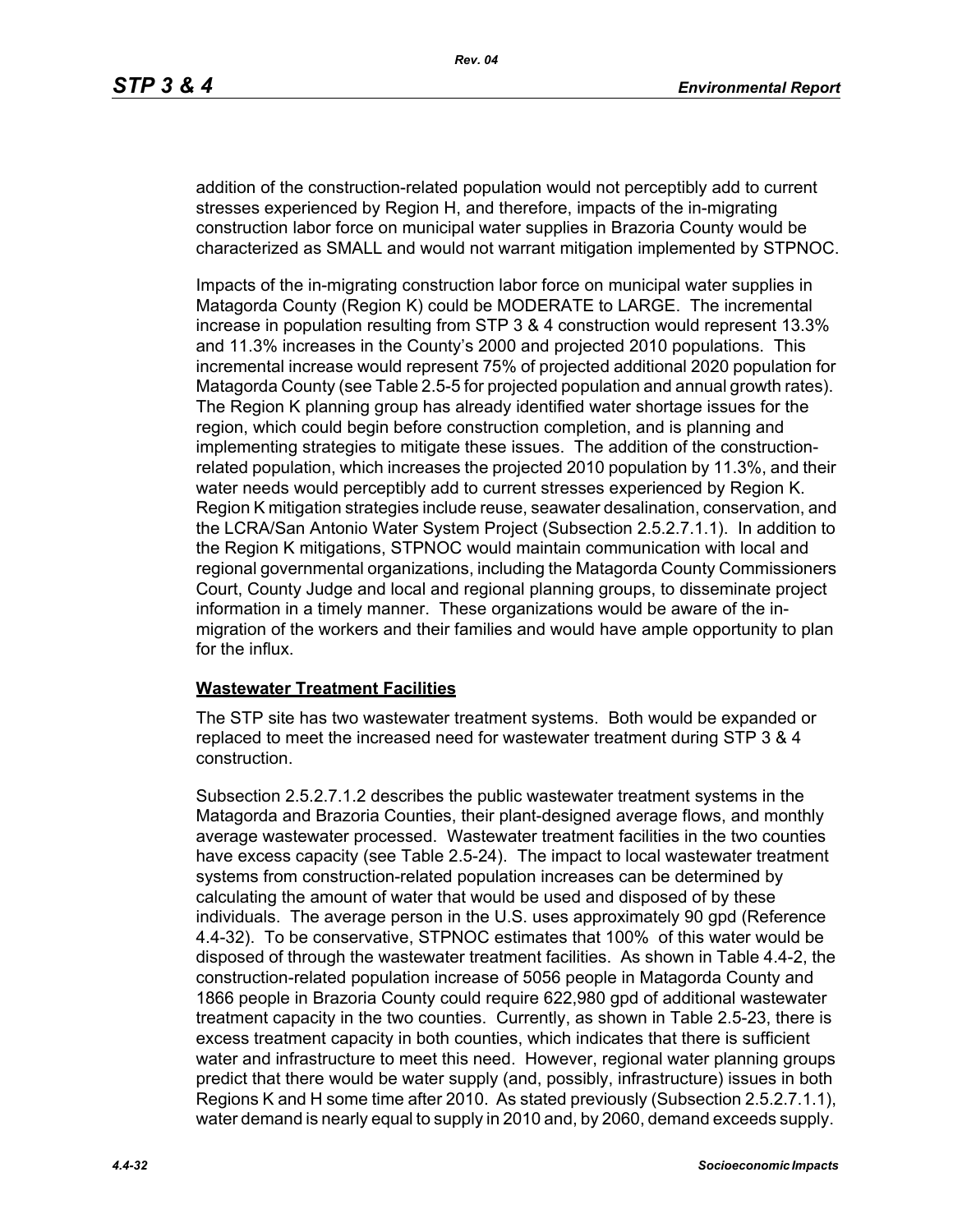addition of the construction-related population would not perceptibly add to current stresses experienced by Region H, and therefore, impacts of the in-migrating construction labor force on municipal water supplies in Brazoria County would be characterized as SMALL and would not warrant mitigation implemented by STPNOC.

Impacts of the in-migrating construction labor force on municipal water supplies in Matagorda County (Region K) could be MODERATE to LARGE. The incremental increase in population resulting from STP 3 & 4 construction would represent 13.3% and 11.3% increases in the County's 2000 and projected 2010 populations. This incremental increase would represent 75% of projected additional 2020 population for Matagorda County (see Table 2.5-5 for projected population and annual growth rates). The Region K planning group has already identified water shortage issues for the region, which could begin before construction completion, and is planning and implementing strategies to mitigate these issues. The addition of the constructionrelated population, which increases the projected 2010 population by 11.3%, and their water needs would perceptibly add to current stresses experienced by Region K. Region K mitigation strategies include reuse, seawater desalination, conservation, and the LCRA/San Antonio Water System Project (Subsection 2.5.2.7.1.1). In addition to the Region K mitigations, STPNOC would maintain communication with local and regional governmental organizations, including the Matagorda County Commissioners Court, County Judge and local and regional planning groups, to disseminate project information in a timely manner. These organizations would be aware of the inmigration of the workers and their families and would have ample opportunity to plan for the influx.

#### **Wastewater Treatment Facilities**

The STP site has two wastewater treatment systems. Both would be expanded or replaced to meet the increased need for wastewater treatment during STP 3 & 4 construction.

Subsection 2.5.2.7.1.2 describes the public wastewater treatment systems in the Matagorda and Brazoria Counties, their plant-designed average flows, and monthly average wastewater processed. Wastewater treatment facilities in the two counties have excess capacity (see Table 2.5-24). The impact to local wastewater treatment systems from construction-related population increases can be determined by calculating the amount of water that would be used and disposed of by these individuals. The average person in the U.S. uses approximately 90 gpd (Reference 4.4-32). To be conservative, STPNOC estimates that 100% of this water would be disposed of through the wastewater treatment facilities. As shown in Table 4.4-2, the construction-related population increase of 5056 people in Matagorda County and 1866 people in Brazoria County could require 622,980 gpd of additional wastewater treatment capacity in the two counties. Currently, as shown in Table 2.5-23, there is excess treatment capacity in both counties, which indicates that there is sufficient water and infrastructure to meet this need. However, regional water planning groups predict that there would be water supply (and, possibly, infrastructure) issues in both Regions K and H some time after 2010. As stated previously (Subsection 2.5.2.7.1.1), water demand is nearly equal to supply in 2010 and, by 2060, demand exceeds supply.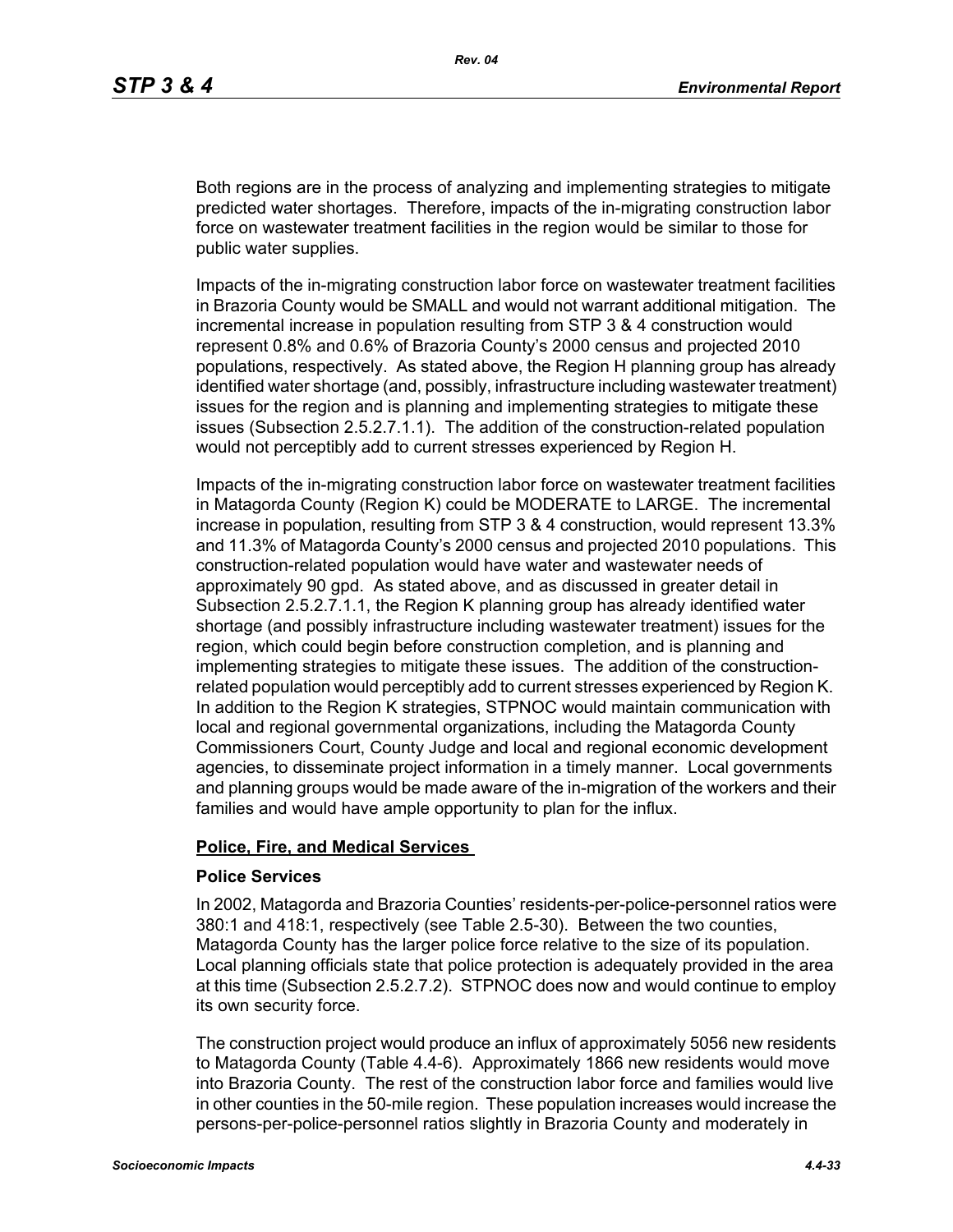Both regions are in the process of analyzing and implementing strategies to mitigate predicted water shortages. Therefore, impacts of the in-migrating construction labor force on wastewater treatment facilities in the region would be similar to those for public water supplies.

Impacts of the in-migrating construction labor force on wastewater treatment facilities in Brazoria County would be SMALL and would not warrant additional mitigation. The incremental increase in population resulting from STP 3 & 4 construction would represent 0.8% and 0.6% of Brazoria County's 2000 census and projected 2010 populations, respectively. As stated above, the Region H planning group has already identified water shortage (and, possibly, infrastructure including wastewater treatment) issues for the region and is planning and implementing strategies to mitigate these issues (Subsection 2.5.2.7.1.1). The addition of the construction-related population would not perceptibly add to current stresses experienced by Region H.

Impacts of the in-migrating construction labor force on wastewater treatment facilities in Matagorda County (Region K) could be MODERATE to LARGE. The incremental increase in population, resulting from STP 3 & 4 construction, would represent 13.3% and 11.3% of Matagorda County's 2000 census and projected 2010 populations. This construction-related population would have water and wastewater needs of approximately 90 gpd. As stated above, and as discussed in greater detail in Subsection 2.5.2.7.1.1, the Region K planning group has already identified water shortage (and possibly infrastructure including wastewater treatment) issues for the region, which could begin before construction completion, and is planning and implementing strategies to mitigate these issues. The addition of the constructionrelated population would perceptibly add to current stresses experienced by Region K. In addition to the Region K strategies, STPNOC would maintain communication with local and regional governmental organizations, including the Matagorda County Commissioners Court, County Judge and local and regional economic development agencies, to disseminate project information in a timely manner. Local governments and planning groups would be made aware of the in-migration of the workers and their families and would have ample opportunity to plan for the influx.

#### **Police, Fire, and Medical Services**

#### **Police Services**

In 2002, Matagorda and Brazoria Counties' residents-per-police-personnel ratios were 380:1 and 418:1, respectively (see Table 2.5-30). Between the two counties, Matagorda County has the larger police force relative to the size of its population. Local planning officials state that police protection is adequately provided in the area at this time (Subsection 2.5.2.7.2). STPNOC does now and would continue to employ its own security force.

The construction project would produce an influx of approximately 5056 new residents to Matagorda County (Table 4.4-6). Approximately 1866 new residents would move into Brazoria County. The rest of the construction labor force and families would live in other counties in the 50-mile region. These population increases would increase the persons-per-police-personnel ratios slightly in Brazoria County and moderately in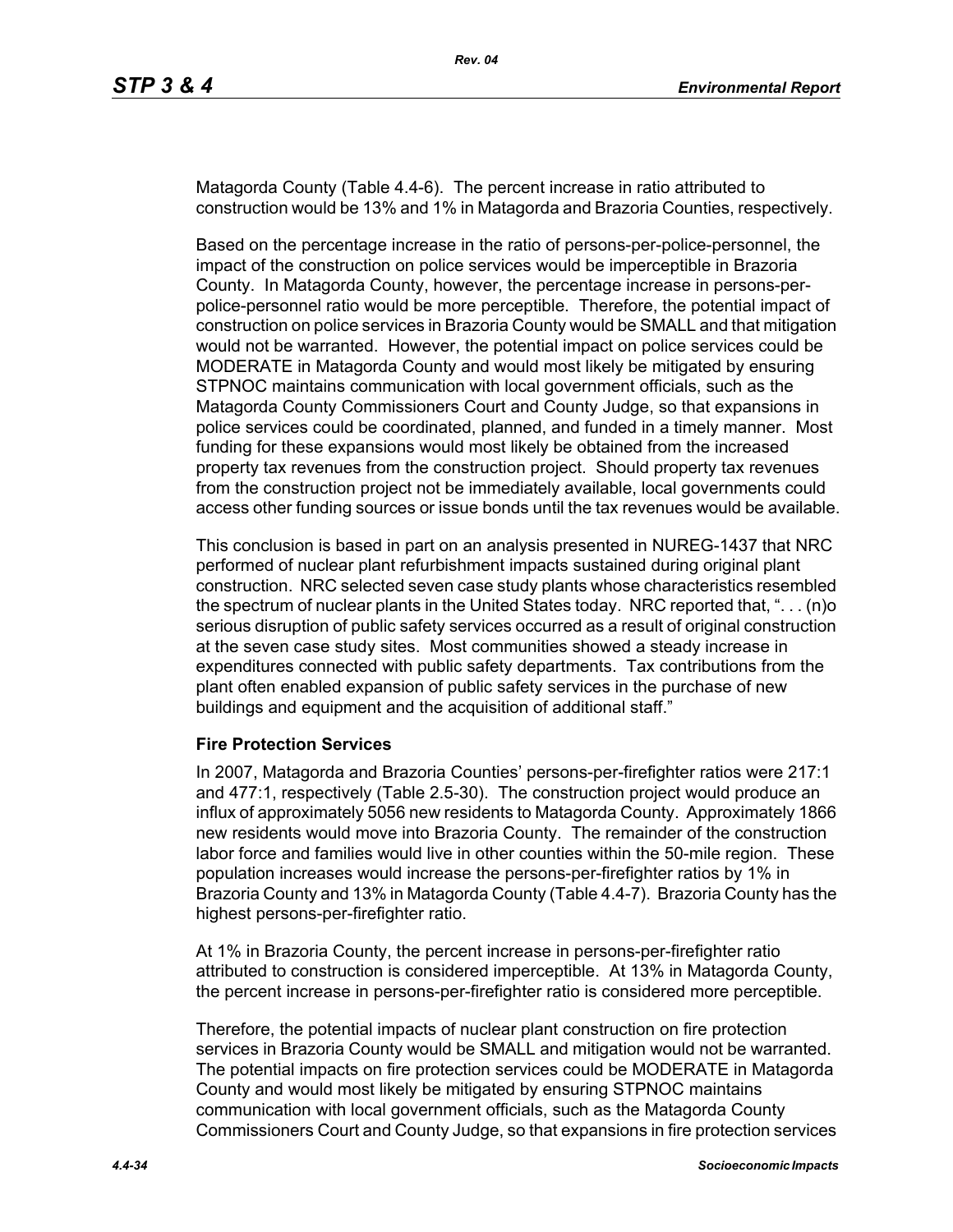Matagorda County (Table 4.4-6). The percent increase in ratio attributed to construction would be 13% and 1% in Matagorda and Brazoria Counties, respectively.

Based on the percentage increase in the ratio of persons-per-police-personnel, the impact of the construction on police services would be imperceptible in Brazoria County. In Matagorda County, however, the percentage increase in persons-perpolice-personnel ratio would be more perceptible. Therefore, the potential impact of construction on police services in Brazoria County would be SMALL and that mitigation would not be warranted. However, the potential impact on police services could be MODERATE in Matagorda County and would most likely be mitigated by ensuring STPNOC maintains communication with local government officials, such as the Matagorda County Commissioners Court and County Judge, so that expansions in police services could be coordinated, planned, and funded in a timely manner. Most funding for these expansions would most likely be obtained from the increased property tax revenues from the construction project. Should property tax revenues from the construction project not be immediately available, local governments could access other funding sources or issue bonds until the tax revenues would be available.

This conclusion is based in part on an analysis presented in NUREG-1437 that NRC performed of nuclear plant refurbishment impacts sustained during original plant construction. NRC selected seven case study plants whose characteristics resembled the spectrum of nuclear plants in the United States today. NRC reported that, ". . . (n)o serious disruption of public safety services occurred as a result of original construction at the seven case study sites. Most communities showed a steady increase in expenditures connected with public safety departments. Tax contributions from the plant often enabled expansion of public safety services in the purchase of new buildings and equipment and the acquisition of additional staff."

#### **Fire Protection Services**

In 2007, Matagorda and Brazoria Counties' persons-per-firefighter ratios were 217:1 and 477:1, respectively (Table 2.5-30). The construction project would produce an influx of approximately 5056 new residents to Matagorda County. Approximately 1866 new residents would move into Brazoria County. The remainder of the construction labor force and families would live in other counties within the 50-mile region. These population increases would increase the persons-per-firefighter ratios by 1% in Brazoria County and 13% in Matagorda County (Table 4.4-7). Brazoria County has the highest persons-per-firefighter ratio.

At 1% in Brazoria County, the percent increase in persons-per-firefighter ratio attributed to construction is considered imperceptible. At 13% in Matagorda County, the percent increase in persons-per-firefighter ratio is considered more perceptible.

Therefore, the potential impacts of nuclear plant construction on fire protection services in Brazoria County would be SMALL and mitigation would not be warranted. The potential impacts on fire protection services could be MODERATE in Matagorda County and would most likely be mitigated by ensuring STPNOC maintains communication with local government officials, such as the Matagorda County Commissioners Court and County Judge, so that expansions in fire protection services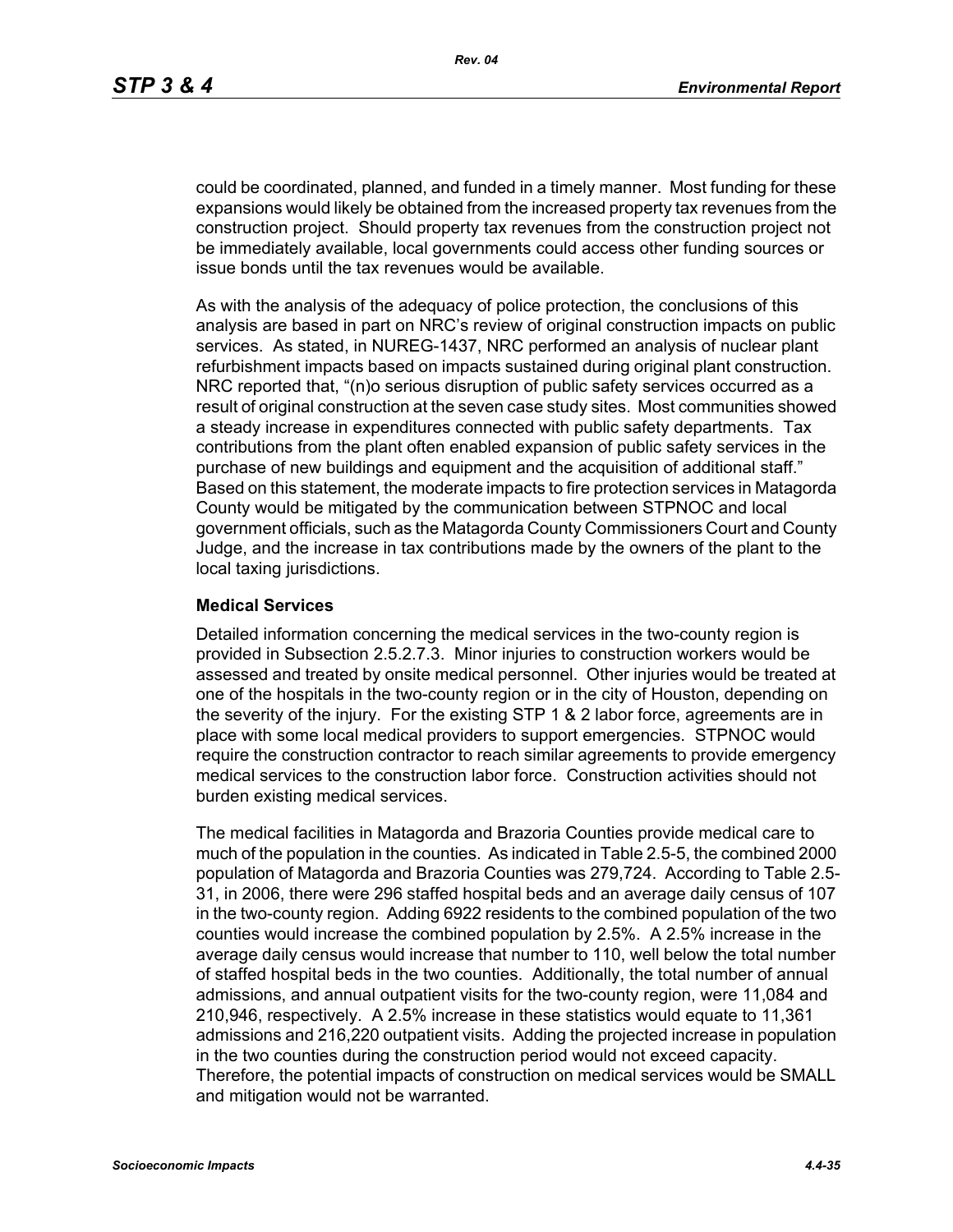could be coordinated, planned, and funded in a timely manner. Most funding for these expansions would likely be obtained from the increased property tax revenues from the construction project. Should property tax revenues from the construction project not be immediately available, local governments could access other funding sources or issue bonds until the tax revenues would be available.

As with the analysis of the adequacy of police protection, the conclusions of this analysis are based in part on NRC's review of original construction impacts on public services. As stated, in NUREG-1437, NRC performed an analysis of nuclear plant refurbishment impacts based on impacts sustained during original plant construction. NRC reported that, "(n)o serious disruption of public safety services occurred as a result of original construction at the seven case study sites. Most communities showed a steady increase in expenditures connected with public safety departments. Tax contributions from the plant often enabled expansion of public safety services in the purchase of new buildings and equipment and the acquisition of additional staff." Based on this statement, the moderate impacts to fire protection services in Matagorda County would be mitigated by the communication between STPNOC and local government officials, such as the Matagorda County Commissioners Court and County Judge, and the increase in tax contributions made by the owners of the plant to the local taxing jurisdictions.

#### **Medical Services**

Detailed information concerning the medical services in the two-county region is provided in Subsection 2.5.2.7.3. Minor injuries to construction workers would be assessed and treated by onsite medical personnel. Other injuries would be treated at one of the hospitals in the two-county region or in the city of Houston, depending on the severity of the injury. For the existing STP 1 & 2 labor force, agreements are in place with some local medical providers to support emergencies. STPNOC would require the construction contractor to reach similar agreements to provide emergency medical services to the construction labor force. Construction activities should not burden existing medical services.

The medical facilities in Matagorda and Brazoria Counties provide medical care to much of the population in the counties. As indicated in Table 2.5-5, the combined 2000 population of Matagorda and Brazoria Counties was 279,724. According to Table 2.5- 31, in 2006, there were 296 staffed hospital beds and an average daily census of 107 in the two-county region. Adding 6922 residents to the combined population of the two counties would increase the combined population by 2.5%. A 2.5% increase in the average daily census would increase that number to 110, well below the total number of staffed hospital beds in the two counties. Additionally, the total number of annual admissions, and annual outpatient visits for the two-county region, were 11,084 and 210,946, respectively. A 2.5% increase in these statistics would equate to 11,361 admissions and 216,220 outpatient visits. Adding the projected increase in population in the two counties during the construction period would not exceed capacity. Therefore, the potential impacts of construction on medical services would be SMALL and mitigation would not be warranted.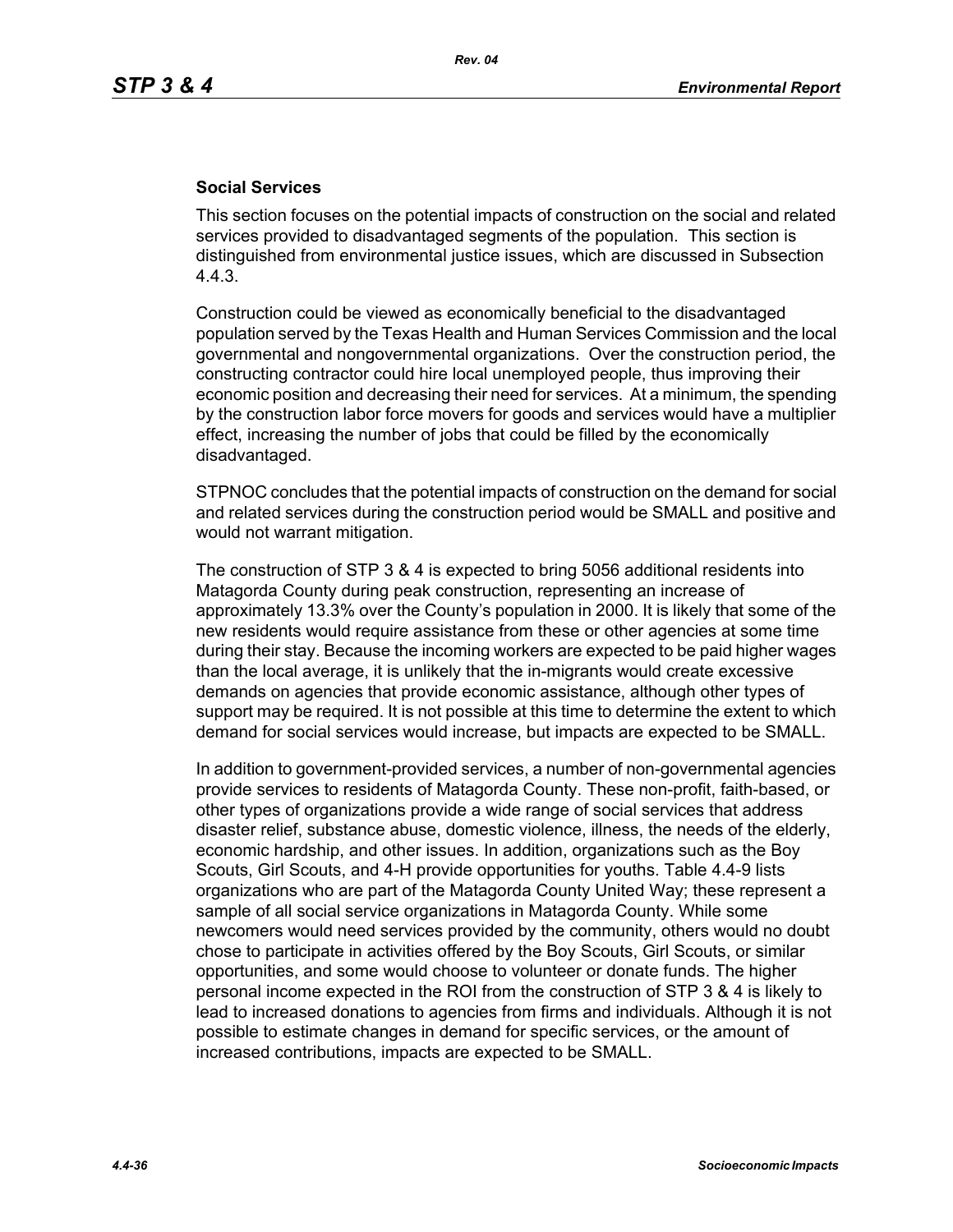#### **Social Services**

This section focuses on the potential impacts of construction on the social and related services provided to disadvantaged segments of the population. This section is distinguished from environmental justice issues, which are discussed in Subsection 4.4.3.

Construction could be viewed as economically beneficial to the disadvantaged population served by the Texas Health and Human Services Commission and the local governmental and nongovernmental organizations. Over the construction period, the constructing contractor could hire local unemployed people, thus improving their economic position and decreasing their need for services. At a minimum, the spending by the construction labor force movers for goods and services would have a multiplier effect, increasing the number of jobs that could be filled by the economically disadvantaged.

STPNOC concludes that the potential impacts of construction on the demand for social and related services during the construction period would be SMALL and positive and would not warrant mitigation.

The construction of STP 3 & 4 is expected to bring 5056 additional residents into Matagorda County during peak construction, representing an increase of approximately 13.3% over the County's population in 2000. It is likely that some of the new residents would require assistance from these or other agencies at some time during their stay. Because the incoming workers are expected to be paid higher wages than the local average, it is unlikely that the in-migrants would create excessive demands on agencies that provide economic assistance, although other types of support may be required. It is not possible at this time to determine the extent to which demand for social services would increase, but impacts are expected to be SMALL.

In addition to government-provided services, a number of non-governmental agencies provide services to residents of Matagorda County. These non-profit, faith-based, or other types of organizations provide a wide range of social services that address disaster relief, substance abuse, domestic violence, illness, the needs of the elderly, economic hardship, and other issues. In addition, organizations such as the Boy Scouts, Girl Scouts, and 4-H provide opportunities for youths. Table 4.4-9 lists organizations who are part of the Matagorda County United Way; these represent a sample of all social service organizations in Matagorda County. While some newcomers would need services provided by the community, others would no doubt chose to participate in activities offered by the Boy Scouts, Girl Scouts, or similar opportunities, and some would choose to volunteer or donate funds. The higher personal income expected in the ROI from the construction of STP 3 & 4 is likely to lead to increased donations to agencies from firms and individuals. Although it is not possible to estimate changes in demand for specific services, or the amount of increased contributions, impacts are expected to be SMALL.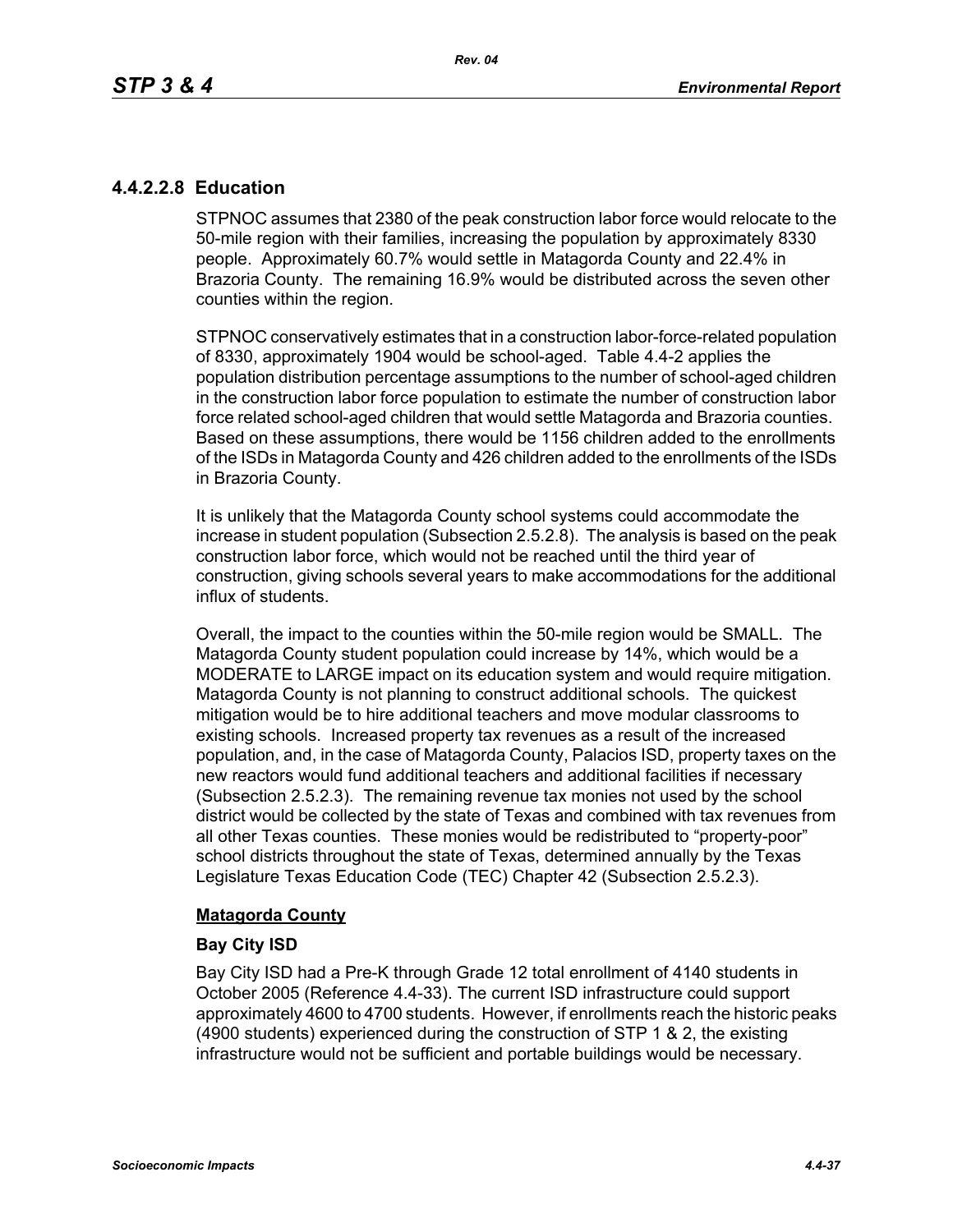# **4.4.2.2.8 Education**

STPNOC assumes that 2380 of the peak construction labor force would relocate to the 50-mile region with their families, increasing the population by approximately 8330 people. Approximately 60.7% would settle in Matagorda County and 22.4% in Brazoria County. The remaining 16.9% would be distributed across the seven other counties within the region.

STPNOC conservatively estimates that in a construction labor-force-related population of 8330, approximately 1904 would be school-aged. Table 4.4-2 applies the population distribution percentage assumptions to the number of school-aged children in the construction labor force population to estimate the number of construction labor force related school-aged children that would settle Matagorda and Brazoria counties. Based on these assumptions, there would be 1156 children added to the enrollments of the ISDs in Matagorda County and 426 children added to the enrollments of the ISDs in Brazoria County.

It is unlikely that the Matagorda County school systems could accommodate the increase in student population (Subsection 2.5.2.8). The analysis is based on the peak construction labor force, which would not be reached until the third year of construction, giving schools several years to make accommodations for the additional influx of students.

Overall, the impact to the counties within the 50-mile region would be SMALL. The Matagorda County student population could increase by 14%, which would be a MODERATE to LARGE impact on its education system and would require mitigation. Matagorda County is not planning to construct additional schools. The quickest mitigation would be to hire additional teachers and move modular classrooms to existing schools. Increased property tax revenues as a result of the increased population, and, in the case of Matagorda County, Palacios ISD, property taxes on the new reactors would fund additional teachers and additional facilities if necessary (Subsection 2.5.2.3). The remaining revenue tax monies not used by the school district would be collected by the state of Texas and combined with tax revenues from all other Texas counties. These monies would be redistributed to "property-poor" school districts throughout the state of Texas, determined annually by the Texas Legislature Texas Education Code (TEC) Chapter 42 (Subsection 2.5.2.3).

## **Matagorda County**

## **Bay City ISD**

Bay City ISD had a Pre-K through Grade 12 total enrollment of 4140 students in October 2005 (Reference 4.4-33). The current ISD infrastructure could support approximately 4600 to 4700 students. However, if enrollments reach the historic peaks (4900 students) experienced during the construction of STP 1 & 2, the existing infrastructure would not be sufficient and portable buildings would be necessary.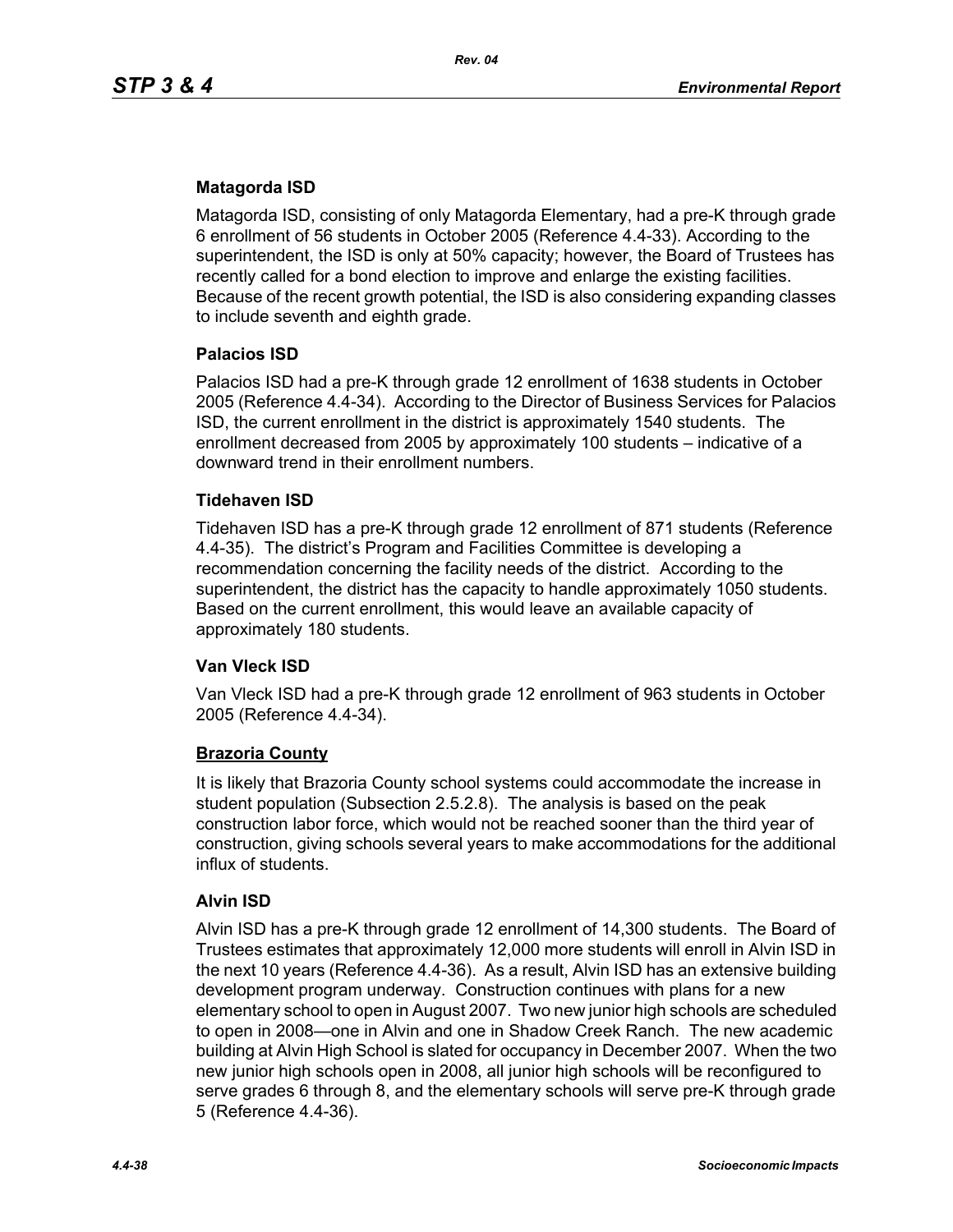# **Matagorda ISD**

Matagorda ISD, consisting of only Matagorda Elementary, had a pre-K through grade 6 enrollment of 56 students in October 2005 (Reference 4.4-33). According to the superintendent, the ISD is only at 50% capacity; however, the Board of Trustees has recently called for a bond election to improve and enlarge the existing facilities. Because of the recent growth potential, the ISD is also considering expanding classes to include seventh and eighth grade.

## **Palacios ISD**

Palacios ISD had a pre-K through grade 12 enrollment of 1638 students in October 2005 (Reference 4.4-34). According to the Director of Business Services for Palacios ISD, the current enrollment in the district is approximately 1540 students. The enrollment decreased from 2005 by approximately 100 students – indicative of a downward trend in their enrollment numbers.

## **Tidehaven ISD**

Tidehaven ISD has a pre-K through grade 12 enrollment of 871 students (Reference 4.4-35). The district's Program and Facilities Committee is developing a recommendation concerning the facility needs of the district. According to the superintendent, the district has the capacity to handle approximately 1050 students. Based on the current enrollment, this would leave an available capacity of approximately 180 students.

## **Van Vleck ISD**

Van Vleck ISD had a pre-K through grade 12 enrollment of 963 students in October 2005 (Reference 4.4-34).

#### **Brazoria County**

It is likely that Brazoria County school systems could accommodate the increase in student population (Subsection 2.5.2.8). The analysis is based on the peak construction labor force, which would not be reached sooner than the third year of construction, giving schools several years to make accommodations for the additional influx of students.

#### **Alvin ISD**

Alvin ISD has a pre-K through grade 12 enrollment of 14,300 students. The Board of Trustees estimates that approximately 12,000 more students will enroll in Alvin ISD in the next 10 years (Reference 4.4-36). As a result, Alvin ISD has an extensive building development program underway. Construction continues with plans for a new elementary school to open in August 2007. Two new junior high schools are scheduled to open in 2008—one in Alvin and one in Shadow Creek Ranch. The new academic building at Alvin High School is slated for occupancy in December 2007. When the two new junior high schools open in 2008, all junior high schools will be reconfigured to serve grades 6 through 8, and the elementary schools will serve pre-K through grade 5 (Reference 4.4-36).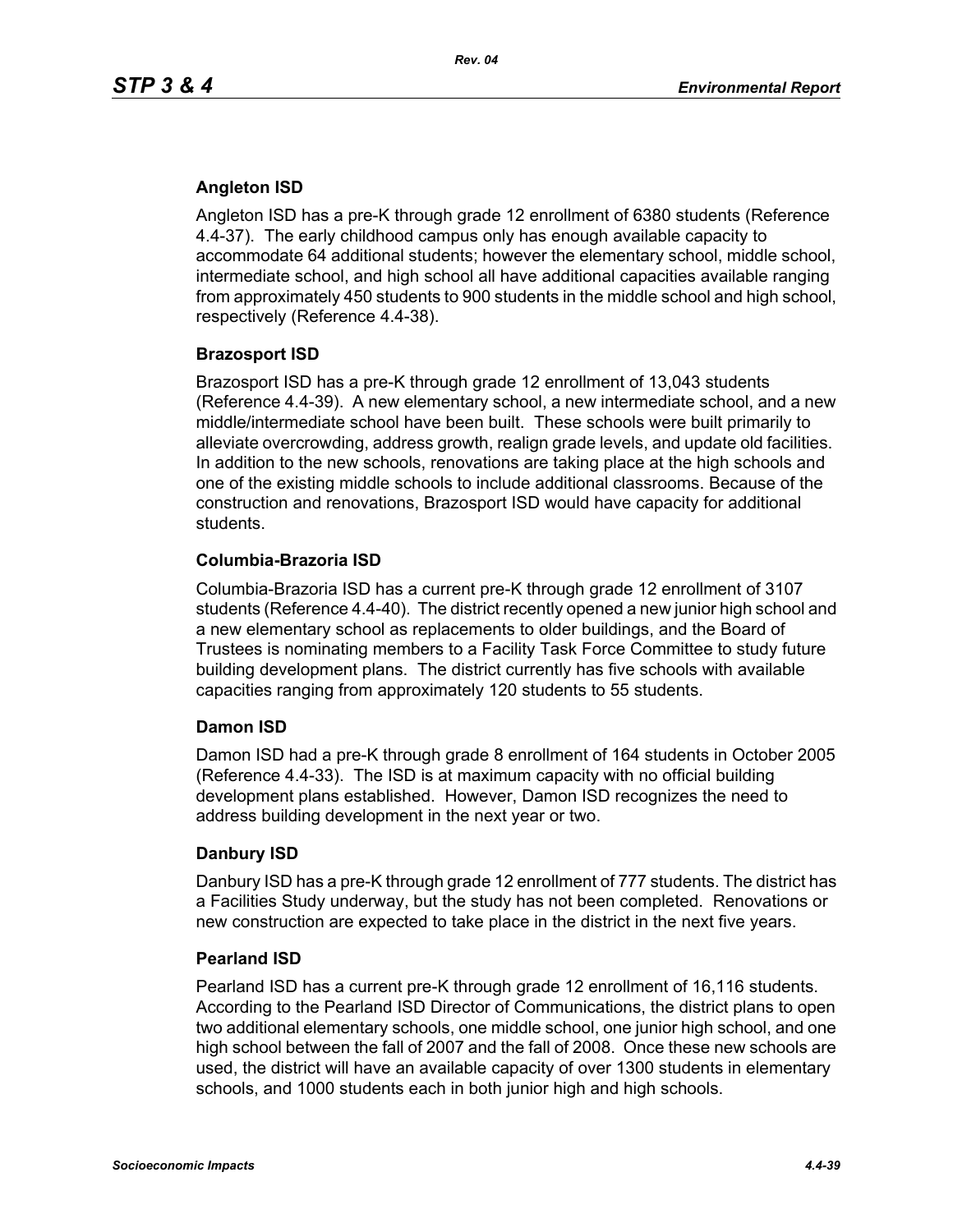# **Angleton ISD**

Angleton ISD has a pre-K through grade 12 enrollment of 6380 students (Reference 4.4-37). The early childhood campus only has enough available capacity to accommodate 64 additional students; however the elementary school, middle school, intermediate school, and high school all have additional capacities available ranging from approximately 450 students to 900 students in the middle school and high school, respectively (Reference 4.4-38).

## **Brazosport ISD**

Brazosport ISD has a pre-K through grade 12 enrollment of 13,043 students (Reference 4.4-39). A new elementary school, a new intermediate school, and a new middle/intermediate school have been built. These schools were built primarily to alleviate overcrowding, address growth, realign grade levels, and update old facilities. In addition to the new schools, renovations are taking place at the high schools and one of the existing middle schools to include additional classrooms. Because of the construction and renovations, Brazosport ISD would have capacity for additional students.

## **Columbia-Brazoria ISD**

Columbia-Brazoria ISD has a current pre-K through grade 12 enrollment of 3107 students (Reference 4.4-40). The district recently opened a new junior high school and a new elementary school as replacements to older buildings, and the Board of Trustees is nominating members to a Facility Task Force Committee to study future building development plans. The district currently has five schools with available capacities ranging from approximately 120 students to 55 students.

## **Damon ISD**

Damon ISD had a pre-K through grade 8 enrollment of 164 students in October 2005 (Reference 4.4-33). The ISD is at maximum capacity with no official building development plans established. However, Damon ISD recognizes the need to address building development in the next year or two.

## **Danbury ISD**

Danbury ISD has a pre-K through grade 12 enrollment of 777 students. The district has a Facilities Study underway, but the study has not been completed. Renovations or new construction are expected to take place in the district in the next five years.

## **Pearland ISD**

Pearland ISD has a current pre-K through grade 12 enrollment of 16,116 students. According to the Pearland ISD Director of Communications, the district plans to open two additional elementary schools, one middle school, one junior high school, and one high school between the fall of 2007 and the fall of 2008. Once these new schools are used, the district will have an available capacity of over 1300 students in elementary schools, and 1000 students each in both junior high and high schools.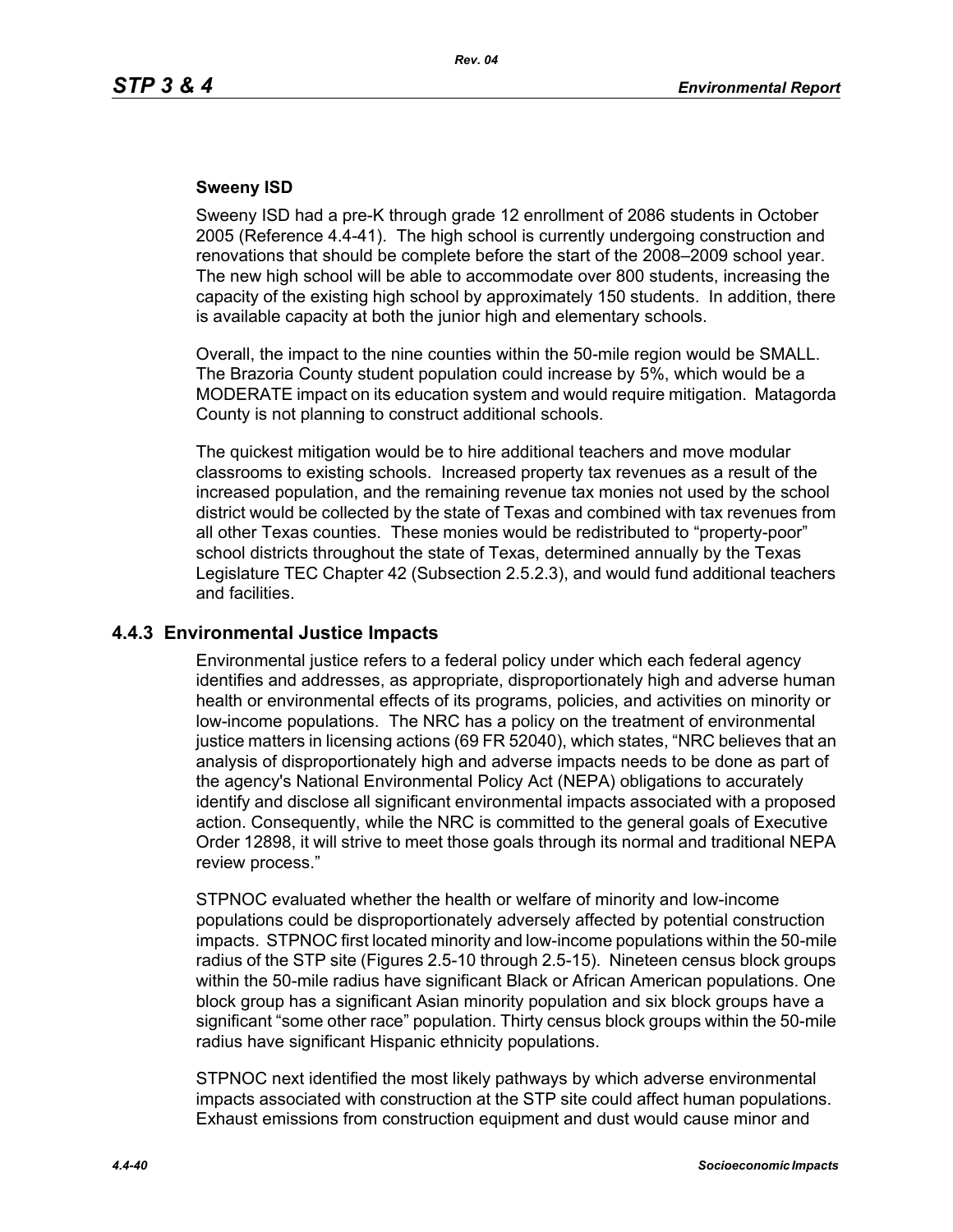## **Sweeny ISD**

Sweeny ISD had a pre-K through grade 12 enrollment of 2086 students in October 2005 (Reference 4.4-41). The high school is currently undergoing construction and renovations that should be complete before the start of the 2008–2009 school year. The new high school will be able to accommodate over 800 students, increasing the capacity of the existing high school by approximately 150 students. In addition, there is available capacity at both the junior high and elementary schools.

Overall, the impact to the nine counties within the 50-mile region would be SMALL. The Brazoria County student population could increase by 5%, which would be a MODERATE impact on its education system and would require mitigation. Matagorda County is not planning to construct additional schools.

The quickest mitigation would be to hire additional teachers and move modular classrooms to existing schools. Increased property tax revenues as a result of the increased population, and the remaining revenue tax monies not used by the school district would be collected by the state of Texas and combined with tax revenues from all other Texas counties. These monies would be redistributed to "property-poor" school districts throughout the state of Texas, determined annually by the Texas Legislature TEC Chapter 42 (Subsection 2.5.2.3), and would fund additional teachers and facilities.

# **4.4.3 Environmental Justice Impacts**

Environmental justice refers to a federal policy under which each federal agency identifies and addresses, as appropriate, disproportionately high and adverse human health or environmental effects of its programs, policies, and activities on minority or low-income populations. The NRC has a policy on the treatment of environmental justice matters in licensing actions (69 FR 52040), which states, "NRC believes that an analysis of disproportionately high and adverse impacts needs to be done as part of the agency's National Environmental Policy Act (NEPA) obligations to accurately identify and disclose all significant environmental impacts associated with a proposed action. Consequently, while the NRC is committed to the general goals of Executive Order 12898, it will strive to meet those goals through its normal and traditional NEPA review process."

STPNOC evaluated whether the health or welfare of minority and low-income populations could be disproportionately adversely affected by potential construction impacts. STPNOC first located minority and low-income populations within the 50-mile radius of the STP site (Figures 2.5-10 through 2.5-15). Nineteen census block groups within the 50-mile radius have significant Black or African American populations. One block group has a significant Asian minority population and six block groups have a significant "some other race" population. Thirty census block groups within the 50-mile radius have significant Hispanic ethnicity populations.

STPNOC next identified the most likely pathways by which adverse environmental impacts associated with construction at the STP site could affect human populations. Exhaust emissions from construction equipment and dust would cause minor and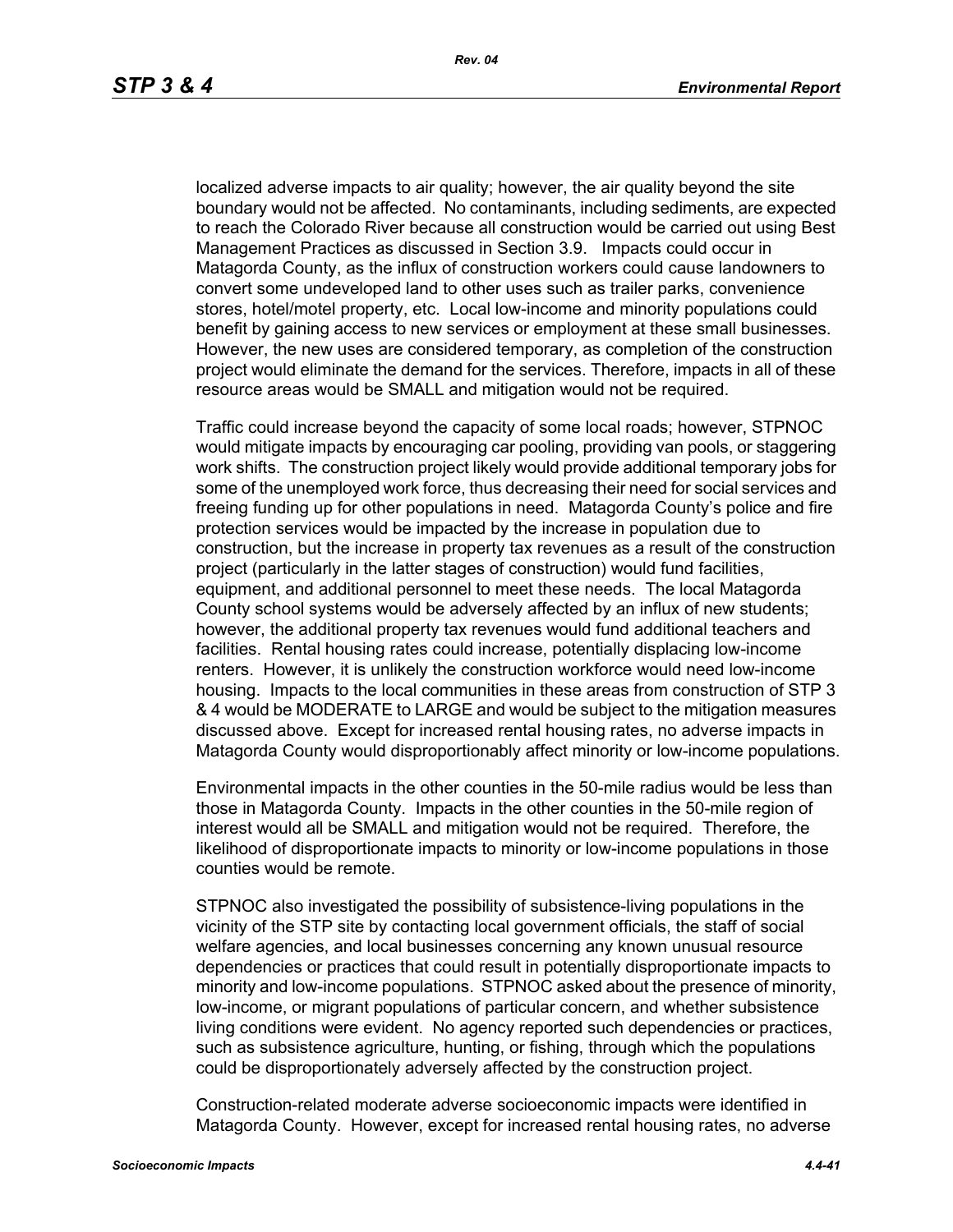localized adverse impacts to air quality; however, the air quality beyond the site boundary would not be affected. No contaminants, including sediments, are expected to reach the Colorado River because all construction would be carried out using Best Management Practices as discussed in Section 3.9. Impacts could occur in Matagorda County, as the influx of construction workers could cause landowners to convert some undeveloped land to other uses such as trailer parks, convenience stores, hotel/motel property, etc. Local low-income and minority populations could benefit by gaining access to new services or employment at these small businesses. However, the new uses are considered temporary, as completion of the construction project would eliminate the demand for the services. Therefore, impacts in all of these resource areas would be SMALL and mitigation would not be required.

Traffic could increase beyond the capacity of some local roads; however, STPNOC would mitigate impacts by encouraging car pooling, providing van pools, or staggering work shifts. The construction project likely would provide additional temporary jobs for some of the unemployed work force, thus decreasing their need for social services and freeing funding up for other populations in need. Matagorda County's police and fire protection services would be impacted by the increase in population due to construction, but the increase in property tax revenues as a result of the construction project (particularly in the latter stages of construction) would fund facilities, equipment, and additional personnel to meet these needs. The local Matagorda County school systems would be adversely affected by an influx of new students; however, the additional property tax revenues would fund additional teachers and facilities. Rental housing rates could increase, potentially displacing low-income renters. However, it is unlikely the construction workforce would need low-income housing. Impacts to the local communities in these areas from construction of STP 3 & 4 would be MODERATE to LARGE and would be subject to the mitigation measures discussed above. Except for increased rental housing rates, no adverse impacts in Matagorda County would disproportionably affect minority or low-income populations.

Environmental impacts in the other counties in the 50-mile radius would be less than those in Matagorda County. Impacts in the other counties in the 50-mile region of interest would all be SMALL and mitigation would not be required. Therefore, the likelihood of disproportionate impacts to minority or low-income populations in those counties would be remote.

STPNOC also investigated the possibility of subsistence-living populations in the vicinity of the STP site by contacting local government officials, the staff of social welfare agencies, and local businesses concerning any known unusual resource dependencies or practices that could result in potentially disproportionate impacts to minority and low-income populations. STPNOC asked about the presence of minority, low-income, or migrant populations of particular concern, and whether subsistence living conditions were evident. No agency reported such dependencies or practices, such as subsistence agriculture, hunting, or fishing, through which the populations could be disproportionately adversely affected by the construction project.

Construction-related moderate adverse socioeconomic impacts were identified in Matagorda County. However, except for increased rental housing rates, no adverse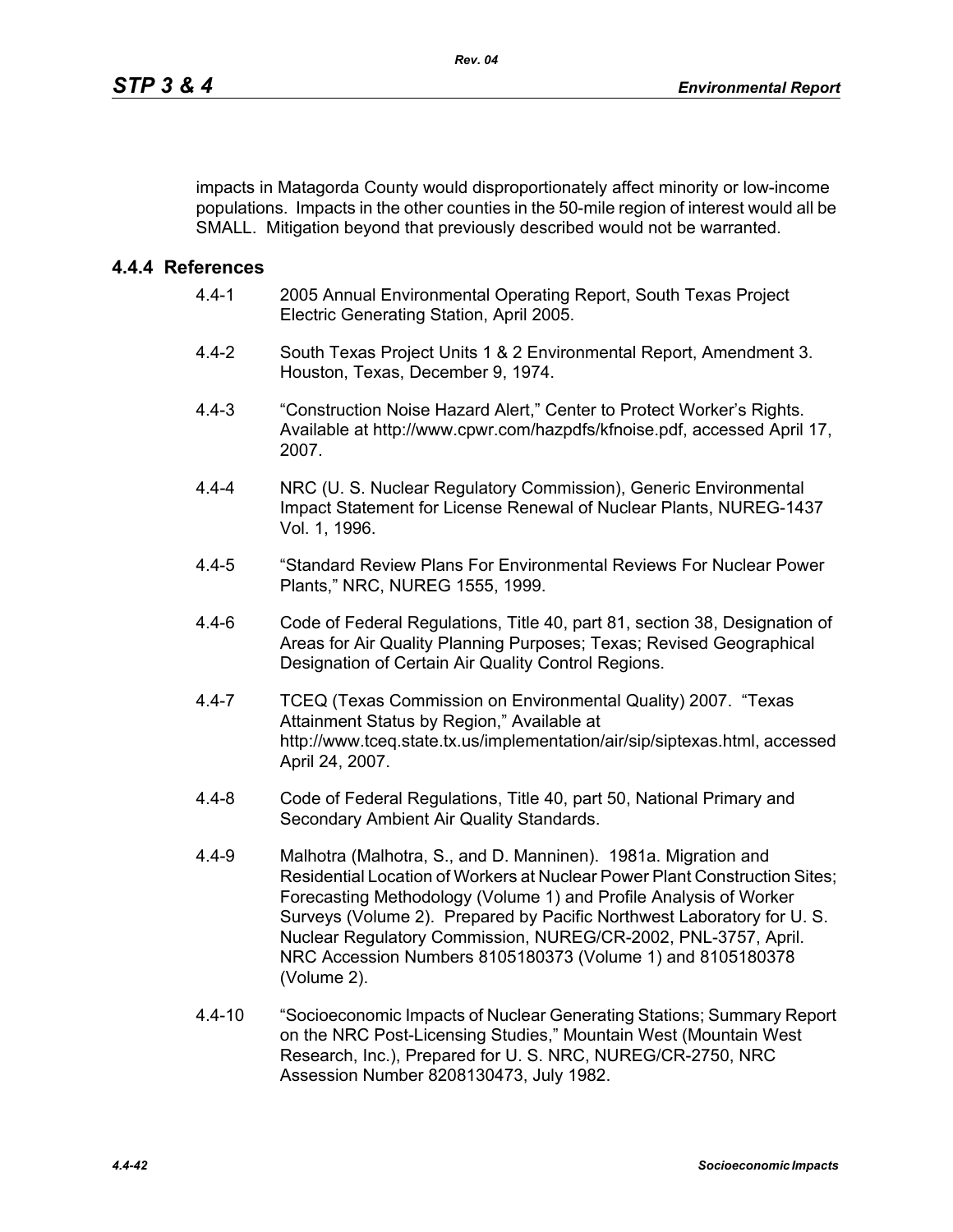impacts in Matagorda County would disproportionately affect minority or low-income populations. Impacts in the other counties in the 50-mile region of interest would all be SMALL. Mitigation beyond that previously described would not be warranted.

## **4.4.4 References**

- 4.4-1 2005 Annual Environmental Operating Report, South Texas Project Electric Generating Station, April 2005.
- 4.4-2 South Texas Project Units 1 & 2 Environmental Report, Amendment 3. Houston, Texas, December 9, 1974.
- 4.4-3 "Construction Noise Hazard Alert," Center to Protect Worker's Rights. Available at http://www.cpwr.com/hazpdfs/kfnoise.pdf, accessed April 17, 2007.
- 4.4-4 NRC (U. S. Nuclear Regulatory Commission), Generic Environmental Impact Statement for License Renewal of Nuclear Plants, NUREG-1437 Vol. 1, 1996.
- 4.4-5 "Standard Review Plans For Environmental Reviews For Nuclear Power Plants," NRC, NUREG 1555, 1999.
- 4.4-6 Code of Federal Regulations, Title 40, part 81, section 38, Designation of Areas for Air Quality Planning Purposes; Texas; Revised Geographical Designation of Certain Air Quality Control Regions.
- 4.4-7 TCEQ (Texas Commission on Environmental Quality) 2007. "Texas Attainment Status by Region," Available at http://www.tceq.state.tx.us/implementation/air/sip/siptexas.html, accessed April 24, 2007.
- 4.4-8 Code of Federal Regulations, Title 40, part 50, National Primary and Secondary Ambient Air Quality Standards.
- 4.4-9 Malhotra (Malhotra, S., and D. Manninen). 1981a. Migration and Residential Location of Workers at Nuclear Power Plant Construction Sites; Forecasting Methodology (Volume 1) and Profile Analysis of Worker Surveys (Volume 2). Prepared by Pacific Northwest Laboratory for U. S. Nuclear Regulatory Commission, NUREG/CR-2002, PNL-3757, April. NRC Accession Numbers 8105180373 (Volume 1) and 8105180378 (Volume 2).
- 4.4-10 "Socioeconomic Impacts of Nuclear Generating Stations; Summary Report on the NRC Post-Licensing Studies," Mountain West (Mountain West Research, Inc.), Prepared for U. S. NRC, NUREG/CR-2750, NRC Assession Number 8208130473, July 1982.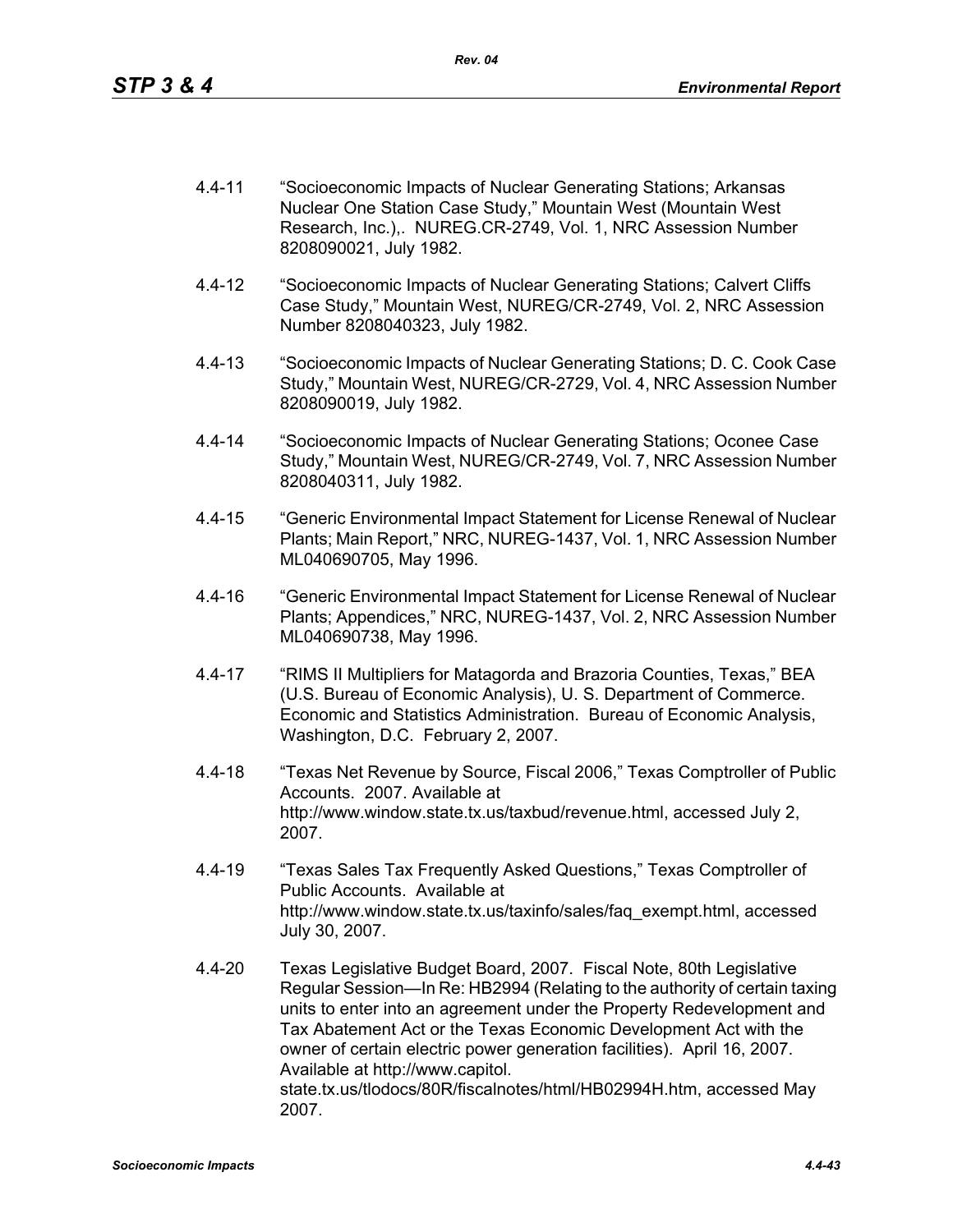- 4.4-11 "Socioeconomic Impacts of Nuclear Generating Stations; Arkansas Nuclear One Station Case Study," Mountain West (Mountain West Research, Inc.),. NUREG.CR-2749, Vol. 1, NRC Assession Number 8208090021, July 1982.
- 4.4-12 "Socioeconomic Impacts of Nuclear Generating Stations; Calvert Cliffs Case Study," Mountain West, NUREG/CR-2749, Vol. 2, NRC Assession Number 8208040323, July 1982.
- 4.4-13 "Socioeconomic Impacts of Nuclear Generating Stations; D. C. Cook Case Study," Mountain West, NUREG/CR-2729, Vol. 4, NRC Assession Number 8208090019, July 1982.
- 4.4-14 "Socioeconomic Impacts of Nuclear Generating Stations; Oconee Case Study," Mountain West, NUREG/CR-2749, Vol. 7, NRC Assession Number 8208040311, July 1982.
- 4.4-15 "Generic Environmental Impact Statement for License Renewal of Nuclear Plants; Main Report," NRC, NUREG-1437, Vol. 1, NRC Assession Number ML040690705, May 1996.
- 4.4-16 "Generic Environmental Impact Statement for License Renewal of Nuclear Plants; Appendices," NRC, NUREG-1437, Vol. 2, NRC Assession Number ML040690738, May 1996.
- 4.4-17 "RIMS II Multipliers for Matagorda and Brazoria Counties, Texas," BEA (U.S. Bureau of Economic Analysis), U. S. Department of Commerce. Economic and Statistics Administration. Bureau of Economic Analysis, Washington, D.C. February 2, 2007.
- 4.4-18 "Texas Net Revenue by Source, Fiscal 2006," Texas Comptroller of Public Accounts. 2007. Available at http://www.window.state.tx.us/taxbud/revenue.html, accessed July 2, 2007.
- 4.4-19 "Texas Sales Tax Frequently Asked Questions," Texas Comptroller of Public Accounts. Available at http://www.window.state.tx.us/taxinfo/sales/faq\_exempt.html, accessed July 30, 2007.
- 4.4-20 Texas Legislative Budget Board, 2007. Fiscal Note, 80th Legislative Regular Session—In Re: HB2994 (Relating to the authority of certain taxing units to enter into an agreement under the Property Redevelopment and Tax Abatement Act or the Texas Economic Development Act with the owner of certain electric power generation facilities). April 16, 2007. Available at http://www.capitol. state.tx.us/tlodocs/80R/fiscalnotes/html/HB02994H.htm, accessed May 2007.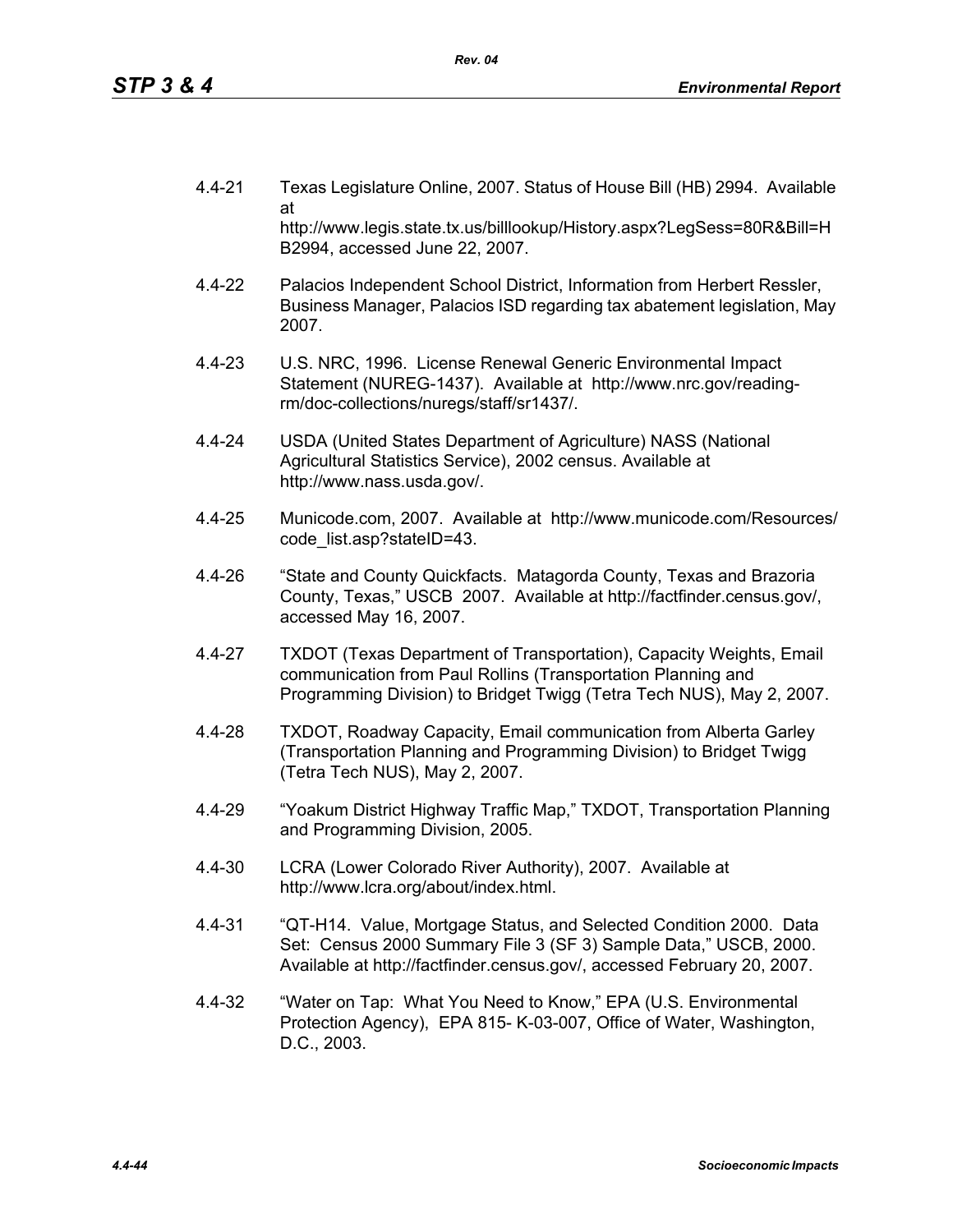- 4.4-21 Texas Legislature Online, 2007. Status of House Bill (HB) 2994. Available at http://www.legis.state.tx.us/billlookup/History.aspx?LegSess=80R&Bill=H B2994, accessed June 22, 2007.
- 4.4-22 Palacios Independent School District, Information from Herbert Ressler, Business Manager, Palacios ISD regarding tax abatement legislation, May 2007.
- 4.4-23 U.S. NRC, 1996. License Renewal Generic Environmental Impact Statement (NUREG-1437). Available at http://www.nrc.gov/readingrm/doc-collections/nuregs/staff/sr1437/.
- 4.4-24 USDA (United States Department of Agriculture) NASS (National Agricultural Statistics Service), 2002 census. Available at http://www.nass.usda.gov/.
- 4.4-25 Municode.com, 2007. Available at http://www.municode.com/Resources/ code\_list.asp?stateID=43.
- 4.4-26 "State and County Quickfacts. Matagorda County, Texas and Brazoria County, Texas," USCB 2007. Available at http://factfinder.census.gov/, accessed May 16, 2007.
- 4.4-27 TXDOT (Texas Department of Transportation), Capacity Weights, Email communication from Paul Rollins (Transportation Planning and Programming Division) to Bridget Twigg (Tetra Tech NUS), May 2, 2007.
- 4.4-28 TXDOT, Roadway Capacity, Email communication from Alberta Garley (Transportation Planning and Programming Division) to Bridget Twigg (Tetra Tech NUS), May 2, 2007.
- 4.4-29 "Yoakum District Highway Traffic Map," TXDOT, Transportation Planning and Programming Division, 2005.
- 4.4-30 LCRA (Lower Colorado River Authority), 2007. Available at http://www.lcra.org/about/index.html.
- 4.4-31 "QT-H14. Value, Mortgage Status, and Selected Condition 2000. Data Set: Census 2000 Summary File 3 (SF 3) Sample Data," USCB, 2000. Available at http://factfinder.census.gov/, accessed February 20, 2007.
- 4.4-32 "Water on Tap: What You Need to Know," EPA (U.S. Environmental Protection Agency), EPA 815- K-03-007, Office of Water, Washington, D.C., 2003.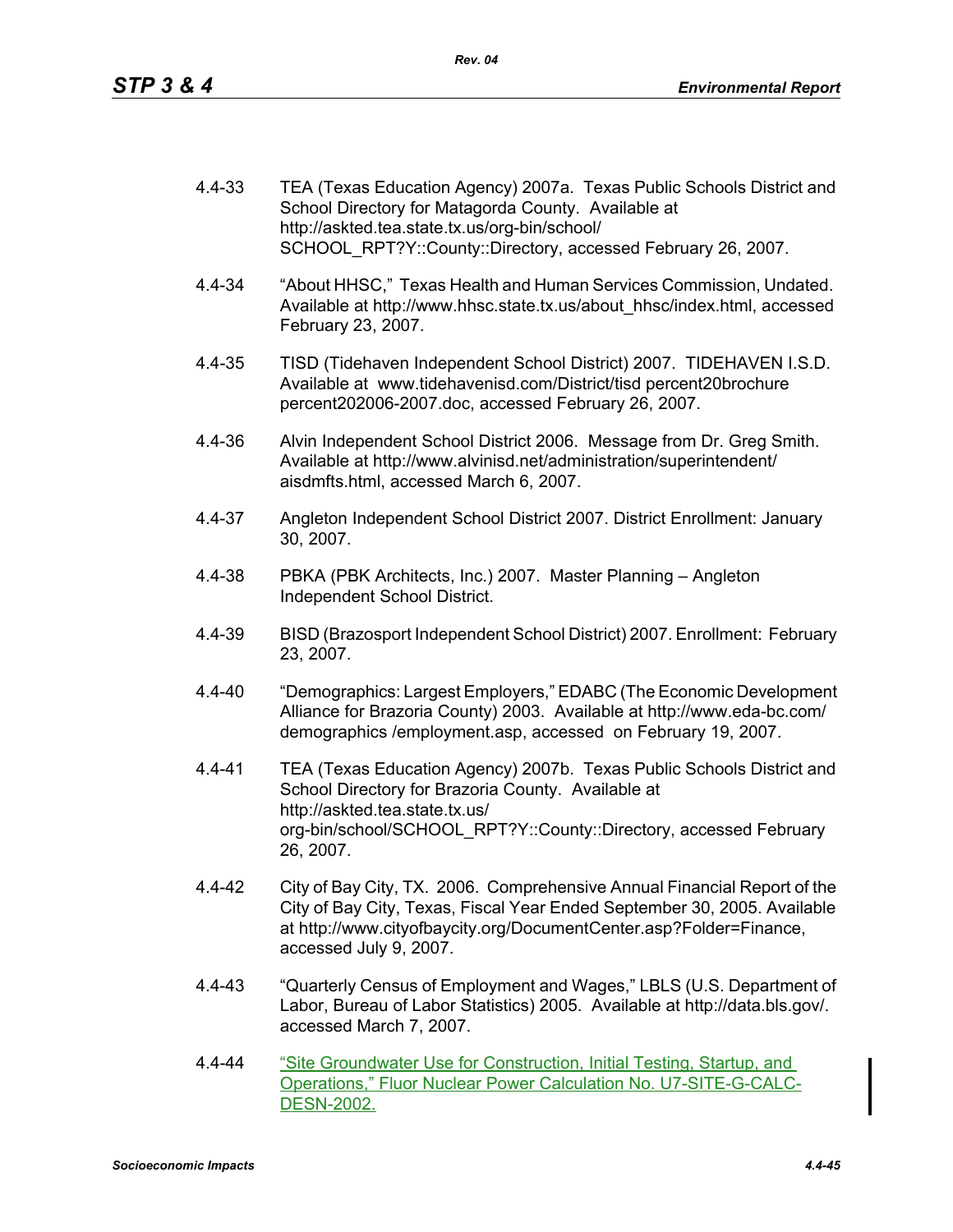| 4.4-33 | TEA (Texas Education Agency) 2007a. Texas Public Schools District and |
|--------|-----------------------------------------------------------------------|
|        | School Directory for Matagorda County. Available at                   |
|        | http://askted.tea.state.tx.us/org-bin/school/                         |
|        | SCHOOL RPT?Y::County::Directory, accessed February 26, 2007.          |

- 4.4-34 "About HHSC," Texas Health and Human Services Commission, Undated. Available at http://www.hhsc.state.tx.us/about\_hhsc/index.html, accessed February 23, 2007.
- 4.4-35 TISD (Tidehaven Independent School District) 2007. TIDEHAVEN I.S.D. Available at www.tidehavenisd.com/District/tisd percent20brochure percent202006-2007.doc, accessed February 26, 2007.
- 4.4-36 Alvin Independent School District 2006. Message from Dr. Greg Smith. Available at http://www.alvinisd.net/administration/superintendent/ aisdmfts.html, accessed March 6, 2007.
- 4.4-37 Angleton Independent School District 2007. District Enrollment: January 30, 2007.
- 4.4-38 PBKA (PBK Architects, Inc.) 2007. Master Planning Angleton Independent School District.
- 4.4-39 BISD (Brazosport Independent School District) 2007. Enrollment: February 23, 2007.
- 4.4-40 "Demographics: Largest Employers," EDABC (The Economic Development Alliance for Brazoria County) 2003. Available at http://www.eda-bc.com/ demographics /employment.asp, accessed on February 19, 2007.
- 4.4-41 TEA (Texas Education Agency) 2007b. Texas Public Schools District and School Directory for Brazoria County. Available at http://askted.tea.state.tx.us/ org-bin/school/SCHOOL\_RPT?Y::County::Directory, accessed February 26, 2007.
- 4.4-42 City of Bay City, TX. 2006. Comprehensive Annual Financial Report of the City of Bay City, Texas, Fiscal Year Ended September 30, 2005. Available at http://www.cityofbaycity.org/DocumentCenter.asp?Folder=Finance, accessed July 9, 2007.
- 4.4-43 "Quarterly Census of Employment and Wages," LBLS (U.S. Department of Labor, Bureau of Labor Statistics) 2005. Available at http://data.bls.gov/. accessed March 7, 2007.
- 4.4-44 "Site Groundwater Use for Construction, Initial Testing, Startup, and Operations," Fluor Nuclear Power Calculation No. U7-SITE-G-CALC-DESN-2002.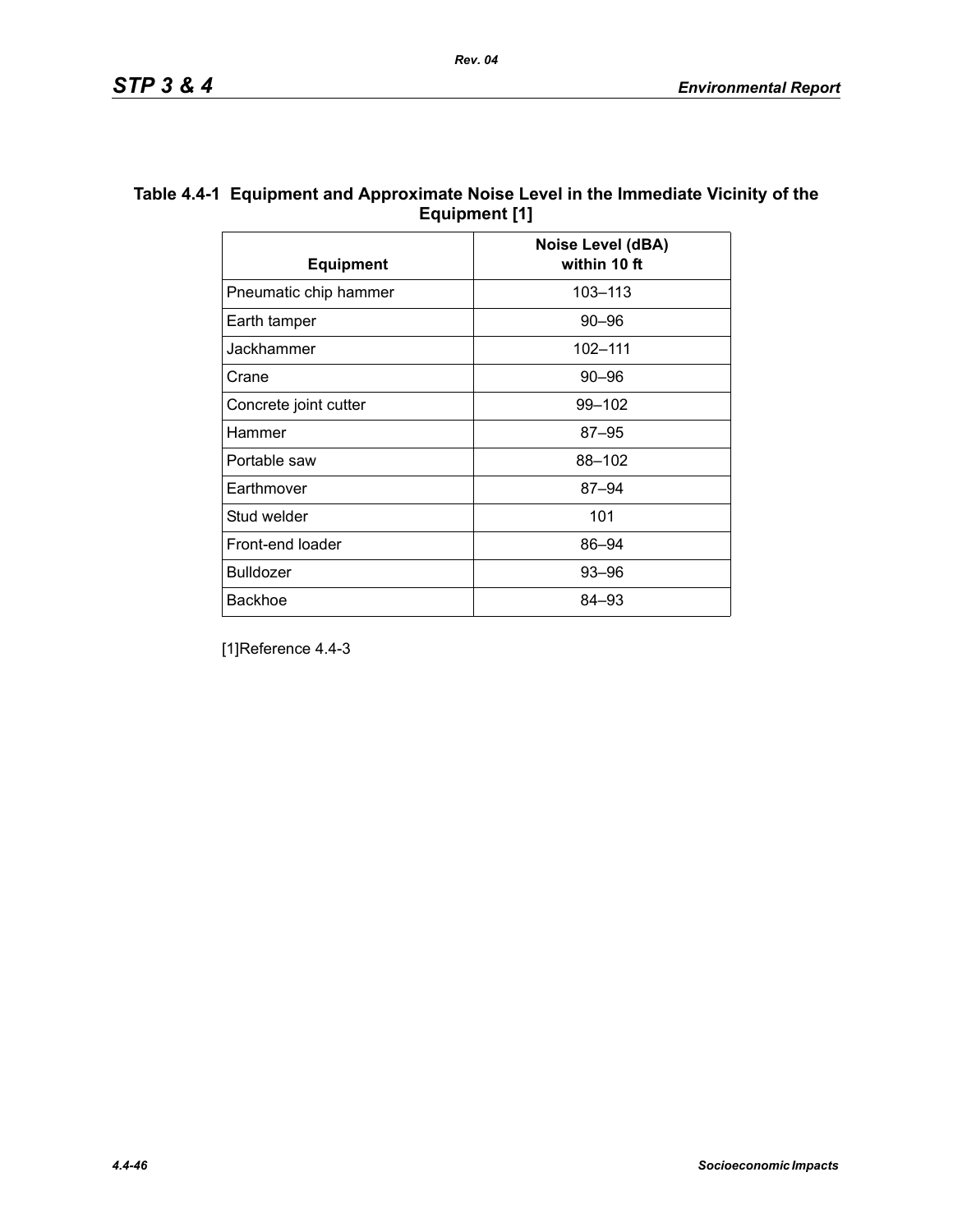| Table 4.4-1 Equipment and Approximate Noise Level in the Immediate Vicinity of the |
|------------------------------------------------------------------------------------|
| Equipment [1]                                                                      |

| <b>Equipment</b>      | Noise Level (dBA)<br>within 10 ft |
|-----------------------|-----------------------------------|
| Pneumatic chip hammer | 103-113                           |
| Earth tamper          | $90 - 96$                         |
| Jackhammer            | 102-111                           |
| Crane                 | $90 - 96$                         |
| Concrete joint cutter | 99-102                            |
| Hammer                | $87 - 95$                         |
| Portable saw          | 88-102                            |
| Earthmover            | $87 - 94$                         |
| Stud welder           | 101                               |
| Front-end loader      | 86-94                             |
| <b>Bulldozer</b>      | $93 - 96$                         |
| <b>Backhoe</b>        | 84–93                             |

[1]Reference 4.4-3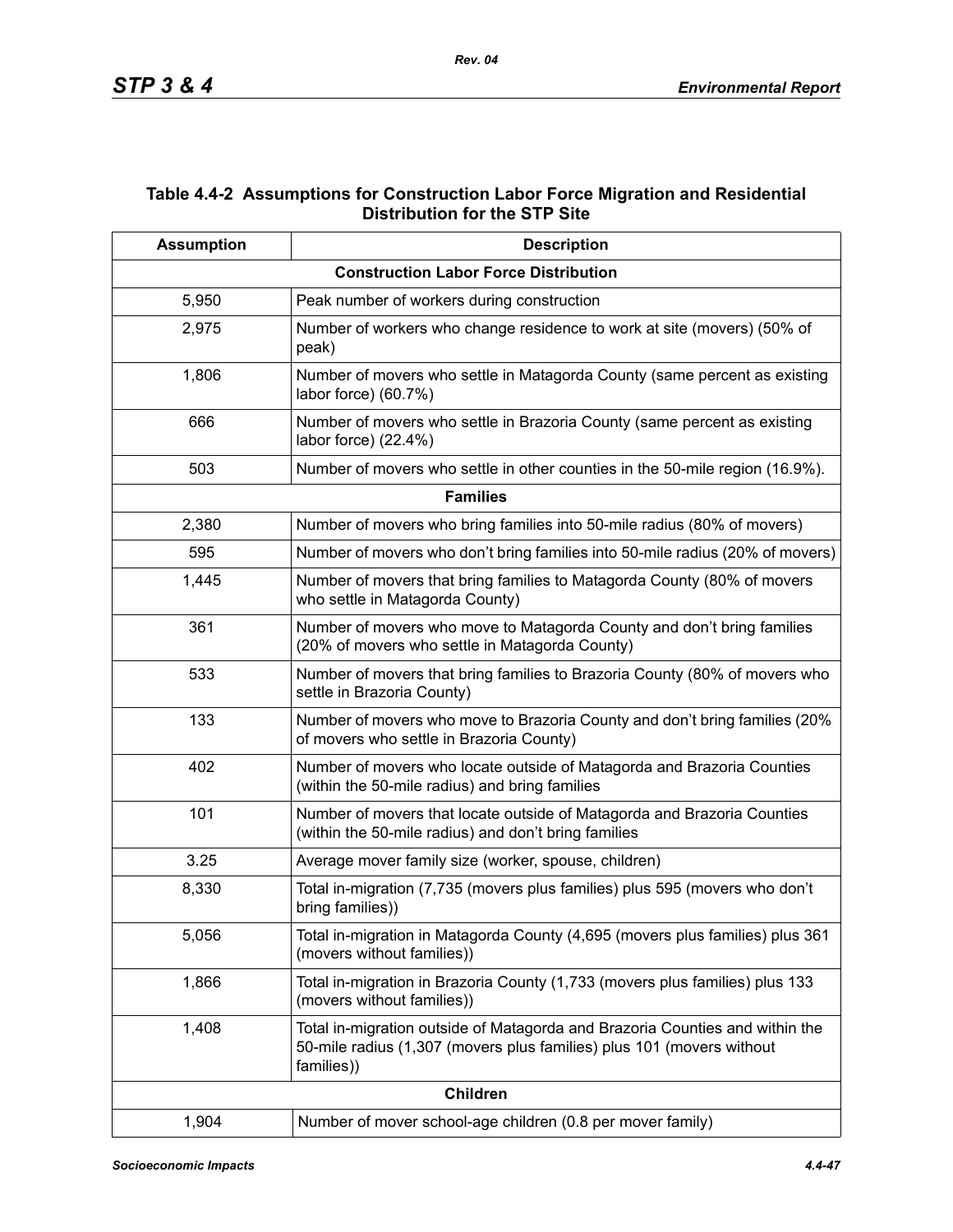## **Table 4.4-2 Assumptions for Construction Labor Force Migration and Residential Distribution for the STP Site**

| <b>Assumption</b> | <b>Description</b>                                                                                                                                                  |
|-------------------|---------------------------------------------------------------------------------------------------------------------------------------------------------------------|
|                   | <b>Construction Labor Force Distribution</b>                                                                                                                        |
| 5,950             | Peak number of workers during construction                                                                                                                          |
| 2,975             | Number of workers who change residence to work at site (movers) (50% of<br>peak)                                                                                    |
| 1,806             | Number of movers who settle in Matagorda County (same percent as existing<br>labor force) (60.7%)                                                                   |
| 666               | Number of movers who settle in Brazoria County (same percent as existing<br>labor force) (22.4%)                                                                    |
| 503               | Number of movers who settle in other counties in the 50-mile region (16.9%).                                                                                        |
|                   | <b>Families</b>                                                                                                                                                     |
| 2,380             | Number of movers who bring families into 50-mile radius (80% of movers)                                                                                             |
| 595               | Number of movers who don't bring families into 50-mile radius (20% of movers)                                                                                       |
| 1,445             | Number of movers that bring families to Matagorda County (80% of movers<br>who settle in Matagorda County)                                                          |
| 361               | Number of movers who move to Matagorda County and don't bring families<br>(20% of movers who settle in Matagorda County)                                            |
| 533               | Number of movers that bring families to Brazoria County (80% of movers who<br>settle in Brazoria County)                                                            |
| 133               | Number of movers who move to Brazoria County and don't bring families (20%<br>of movers who settle in Brazoria County)                                              |
| 402               | Number of movers who locate outside of Matagorda and Brazoria Counties<br>(within the 50-mile radius) and bring families                                            |
| 101               | Number of movers that locate outside of Matagorda and Brazoria Counties<br>(within the 50-mile radius) and don't bring families                                     |
| 3.25              | Average mover family size (worker, spouse, children)                                                                                                                |
| 8,330             | Total in-migration (7,735 (movers plus families) plus 595 (movers who don't<br>bring families))                                                                     |
| 5,056             | Total in-migration in Matagorda County (4,695 (movers plus families) plus 361<br>(movers without families))                                                         |
| 1,866             | Total in-migration in Brazoria County (1,733 (movers plus families) plus 133<br>(movers without families))                                                          |
| 1,408             | Total in-migration outside of Matagorda and Brazoria Counties and within the<br>50-mile radius (1,307 (movers plus families) plus 101 (movers without<br>families)) |
|                   | <b>Children</b>                                                                                                                                                     |
| 1,904             | Number of mover school-age children (0.8 per mover family)                                                                                                          |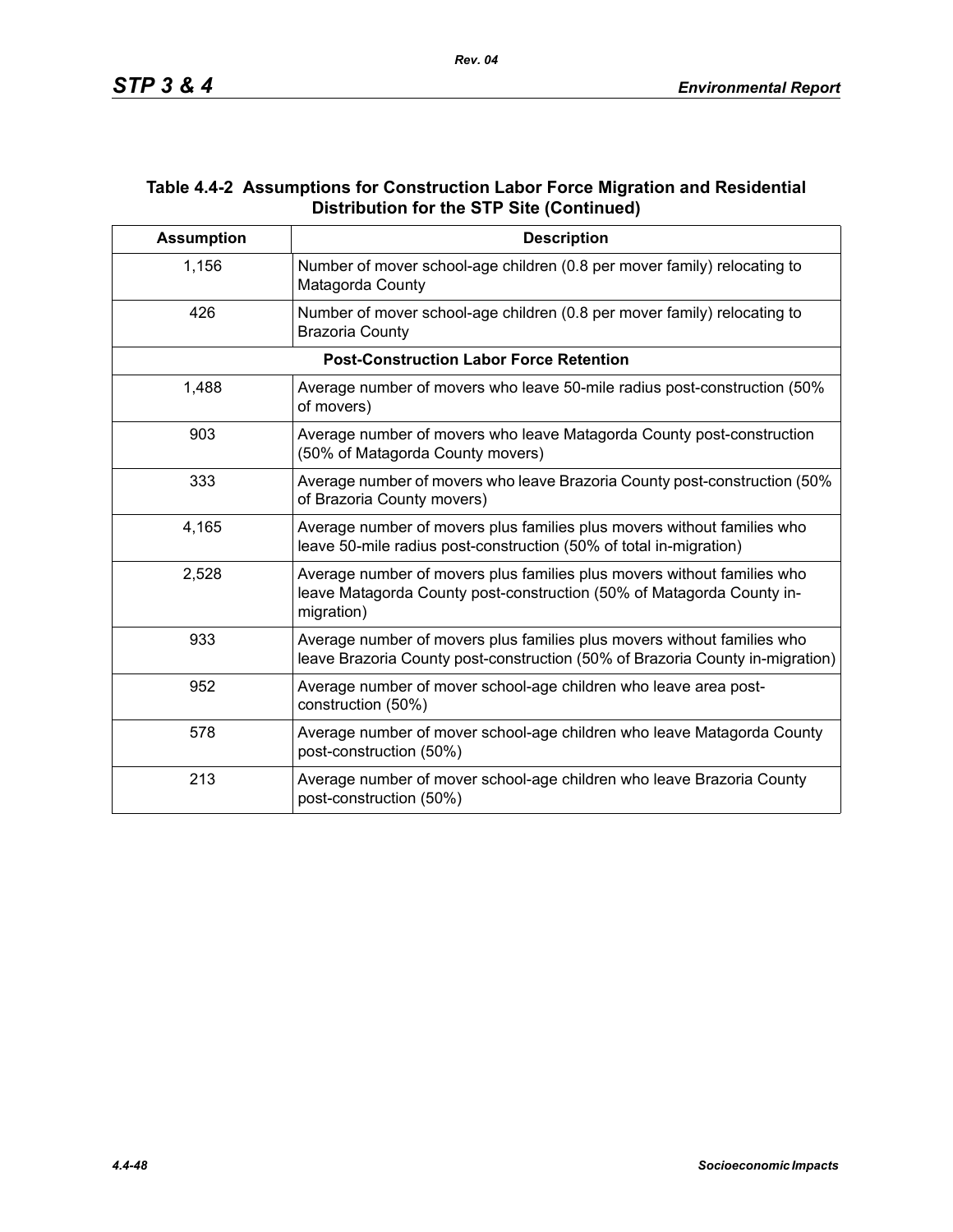## **Table 4.4-2 Assumptions for Construction Labor Force Migration and Residential Distribution for the STP Site (Continued)**

| <b>Assumption</b> | <b>Description</b>                                                                                                                                             |
|-------------------|----------------------------------------------------------------------------------------------------------------------------------------------------------------|
| 1,156             | Number of mover school-age children (0.8 per mover family) relocating to<br>Matagorda County                                                                   |
| 426               | Number of mover school-age children (0.8 per mover family) relocating to<br><b>Brazoria County</b>                                                             |
|                   | <b>Post-Construction Labor Force Retention</b>                                                                                                                 |
| 1,488             | Average number of movers who leave 50-mile radius post-construction (50%)<br>of movers)                                                                        |
| 903               | Average number of movers who leave Matagorda County post-construction<br>(50% of Matagorda County movers)                                                      |
| 333               | Average number of movers who leave Brazoria County post-construction (50%)<br>of Brazoria County movers)                                                       |
| 4,165             | Average number of movers plus families plus movers without families who<br>leave 50-mile radius post-construction (50% of total in-migration)                  |
| 2,528             | Average number of movers plus families plus movers without families who<br>leave Matagorda County post-construction (50% of Matagorda County in-<br>migration) |
| 933               | Average number of movers plus families plus movers without families who<br>leave Brazoria County post-construction (50% of Brazoria County in-migration)       |
| 952               | Average number of mover school-age children who leave area post-<br>construction (50%)                                                                         |
| 578               | Average number of mover school-age children who leave Matagorda County<br>post-construction (50%)                                                              |
| 213               | Average number of mover school-age children who leave Brazoria County<br>post-construction (50%)                                                               |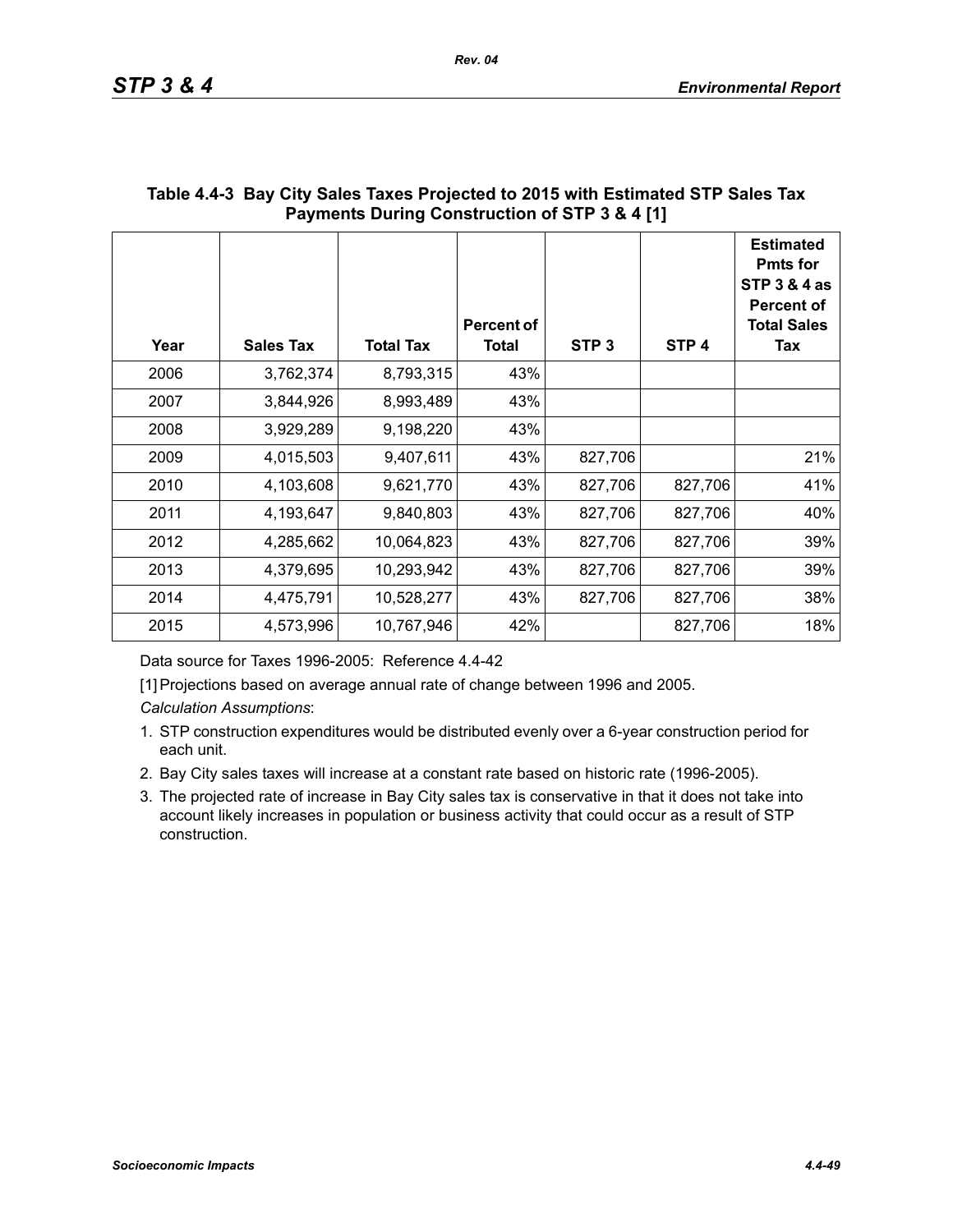| Year | <b>Sales Tax</b> | <b>Total Tax</b> | <b>Percent of</b><br><b>Total</b> | STP <sub>3</sub> | STP <sub>4</sub> | <b>Estimated</b><br><b>Pmts for</b><br><b>STP 3 &amp; 4 as</b><br><b>Percent of</b><br><b>Total Sales</b><br>Tax |
|------|------------------|------------------|-----------------------------------|------------------|------------------|------------------------------------------------------------------------------------------------------------------|
| 2006 | 3,762,374        | 8,793,315        | 43%                               |                  |                  |                                                                                                                  |
| 2007 | 3,844,926        | 8,993,489        | 43%                               |                  |                  |                                                                                                                  |
| 2008 | 3,929,289        | 9,198,220        | 43%                               |                  |                  |                                                                                                                  |
| 2009 | 4,015,503        | 9,407,611        | 43%                               | 827,706          |                  | 21%                                                                                                              |
| 2010 | 4,103,608        | 9,621,770        | 43%                               | 827,706          | 827,706          | 41%                                                                                                              |
| 2011 | 4,193,647        | 9,840,803        | 43%                               | 827,706          | 827,706          | 40%                                                                                                              |
| 2012 | 4,285,662        | 10,064,823       | 43%                               | 827,706          | 827,706          | 39%                                                                                                              |
| 2013 | 4,379,695        | 10,293,942       | 43%                               | 827,706          | 827,706          | 39%                                                                                                              |
| 2014 | 4,475,791        | 10,528,277       | 43%                               | 827,706          | 827,706          | 38%                                                                                                              |
| 2015 | 4,573,996        | 10,767,946       | 42%                               |                  | 827,706          | 18%                                                                                                              |

# **Table 4.4-3 Bay City Sales Taxes Projected to 2015 with Estimated STP Sales Tax Payments During Construction of STP 3 & 4 [1]**

Data source for Taxes 1996-2005: Reference 4.4-42

[1] Projections based on average annual rate of change between 1996 and 2005.

*Calculation Assumptions*:

- 1. STP construction expenditures would be distributed evenly over a 6-year construction period for each unit.
- 2. Bay City sales taxes will increase at a constant rate based on historic rate (1996-2005).
- 3. The projected rate of increase in Bay City sales tax is conservative in that it does not take into account likely increases in population or business activity that could occur as a result of STP construction.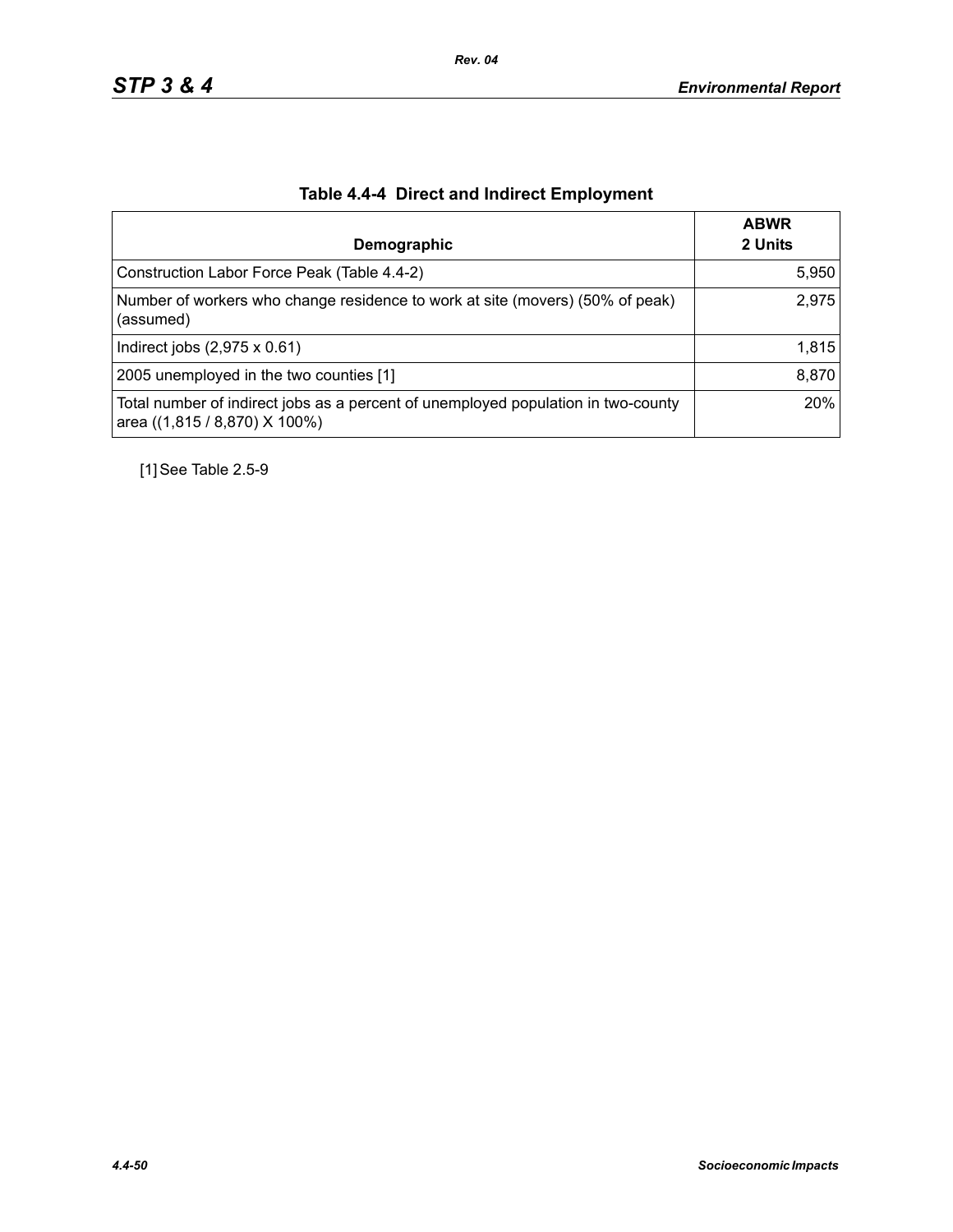| Demographic                                                                                                        | <b>ABWR</b><br>2 Units |
|--------------------------------------------------------------------------------------------------------------------|------------------------|
| Construction Labor Force Peak (Table 4.4-2)                                                                        | 5,950                  |
| Number of workers who change residence to work at site (movers) (50% of peak)<br>(assumed)                         | 2,975                  |
| Indirect jobs $(2,975 \times 0.61)$                                                                                | 1,815                  |
| 2005 unemployed in the two counties [1]                                                                            | 8,870                  |
| Total number of indirect jobs as a percent of unemployed population in two-county<br>area ((1,815 / 8,870) X 100%) | 20%                    |

# **Table 4.4-4 Direct and Indirect Employment**

[1] See Table 2.5-9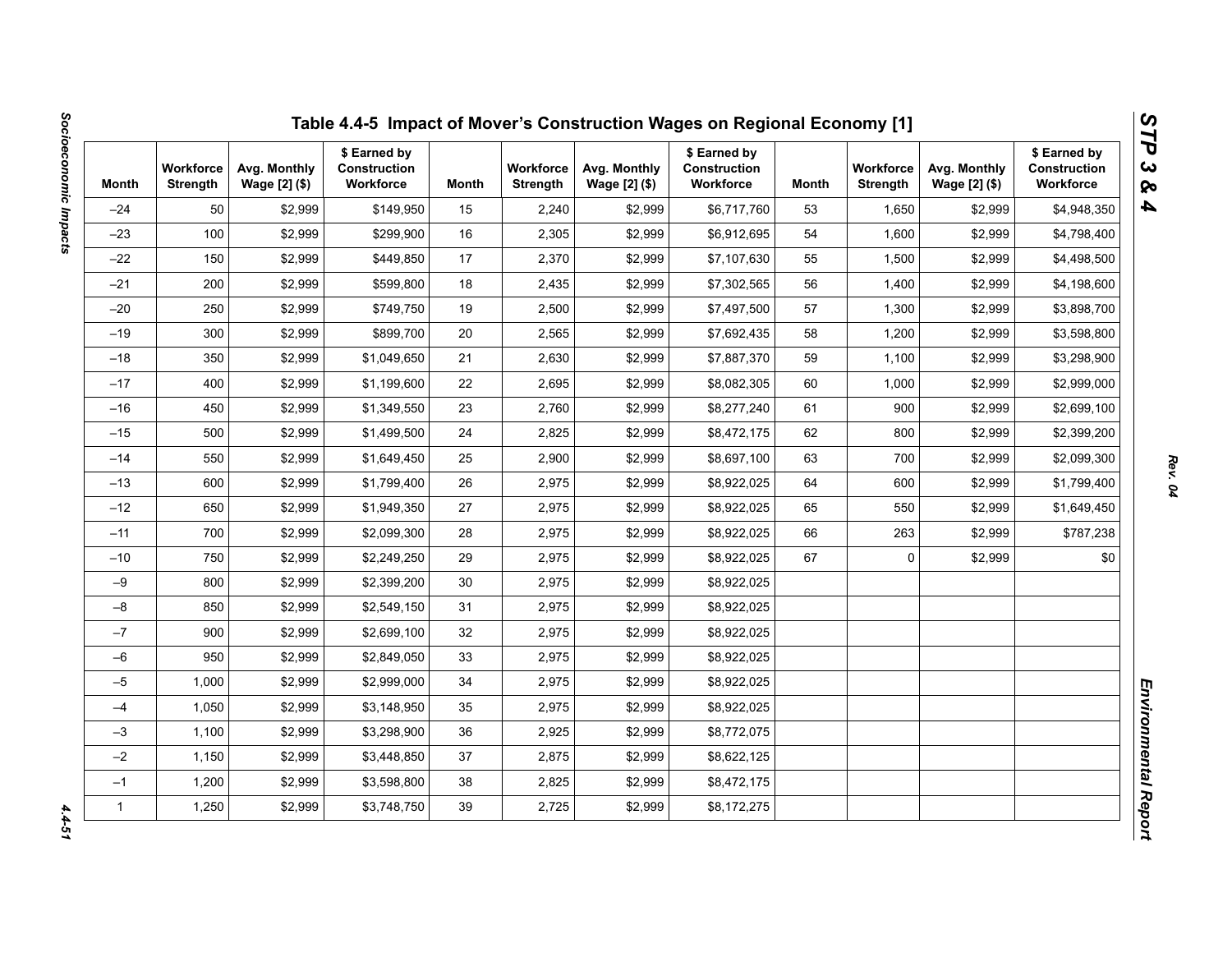| Month        | <b>Workforce</b><br>Strength | Avg. Monthly<br>Wage [2] (\$) | \$ Earned by<br>Construction<br>Workforce | Month | <b>Workforce</b><br><b>Strength</b> | Avg. Monthly<br>Wage [2] (\$) | \$ Earned by<br><b>Construction</b><br>Workforce | Month | <b>Workforce</b><br><b>Strength</b> | Avg. Monthly<br>Wage [2] (\$) | \$ Earned by<br>Construction<br>Workforce |
|--------------|------------------------------|-------------------------------|-------------------------------------------|-------|-------------------------------------|-------------------------------|--------------------------------------------------|-------|-------------------------------------|-------------------------------|-------------------------------------------|
| $-24$        | 50                           | \$2,999                       | \$149,950                                 | 15    | 2,240                               | \$2,999                       | \$6,717,760                                      | 53    | 1,650                               | \$2,999                       | \$4,948,350                               |
| $-23$        | 100                          | \$2,999                       | \$299,900                                 | 16    | 2,305                               | \$2,999                       | \$6,912,695                                      | 54    | 1,600                               | \$2,999                       | \$4,798,400                               |
| $-22$        | 150                          | \$2,999                       | \$449,850                                 | 17    | 2,370                               | \$2,999                       | \$7,107,630                                      | 55    | 1,500                               | \$2,999                       | \$4,498,500                               |
| $-21$        | 200                          | \$2,999                       | \$599,800                                 | 18    | 2,435                               | \$2,999                       | \$7,302,565                                      | 56    | 1,400                               | \$2,999                       | \$4,198,600                               |
| $-20$        | 250                          | \$2,999                       | \$749,750                                 | 19    | 2,500                               | \$2,999                       | \$7,497,500                                      | 57    | 1,300                               | \$2,999                       | \$3,898,700                               |
| $-19$        | 300                          | \$2,999                       | \$899.700                                 | 20    | 2,565                               | \$2,999                       | \$7,692,435                                      | 58    | 1,200                               | \$2,999                       | \$3,598,800                               |
| $-18$        | 350                          | \$2,999                       | \$1,049,650                               | 21    | 2,630                               | \$2,999                       | \$7,887,370                                      | 59    | 1,100                               | \$2,999                       | \$3,298,900                               |
| $-17$        | 400                          | \$2,999                       | \$1,199,600                               | 22    | 2,695                               | \$2,999                       | \$8,082,305                                      | 60    | 1,000                               | \$2,999                       | \$2,999,000                               |
| $-16$        | 450                          | \$2,999                       | \$1,349,550                               | 23    | 2,760                               | \$2,999                       | \$8,277,240                                      | 61    | 900                                 | \$2,999                       | \$2,699,100                               |
| $-15$        | 500                          | \$2,999                       | \$1,499,500                               | 24    | 2,825                               | \$2,999                       | \$8,472,175                                      | 62    | 800                                 | \$2,999                       | \$2,399,200                               |
| $-14$        | 550                          | \$2,999                       | \$1,649,450                               | 25    | 2,900                               | \$2,999                       | \$8,697,100                                      | 63    | 700                                 | \$2,999                       | \$2,099,300                               |
| $-13$        | 600                          | \$2,999                       | \$1,799,400                               | 26    | 2,975                               | \$2,999                       | \$8,922,025                                      | 64    | 600                                 | \$2,999                       | \$1,799,400                               |
| $-12$        | 650                          | \$2,999                       | \$1,949,350                               | 27    | 2,975                               | \$2,999                       | \$8,922,025                                      | 65    | 550                                 | \$2,999                       | \$1,649,450                               |
| $-11$        | 700                          | \$2,999                       | \$2,099,300                               | 28    | 2,975                               | \$2,999                       | \$8,922,025                                      | 66    | 263                                 | \$2,999                       | \$787,238                                 |
| $-10$        | 750                          | \$2,999                       | \$2,249,250                               | 29    | 2,975                               | \$2,999                       | \$8,922,025                                      | 67    | 0                                   | \$2,999                       | \$0                                       |
| $-9$         | 800                          | \$2,999                       | \$2,399,200                               | 30    | 2,975                               | \$2,999                       | \$8,922,025                                      |       |                                     |                               |                                           |
| $-8$         | 850                          | \$2,999                       | \$2,549,150                               | 31    | 2,975                               | \$2,999                       | \$8,922,025                                      |       |                                     |                               |                                           |
| $-7$         | 900                          | \$2,999                       | \$2,699,100                               | 32    | 2,975                               | \$2,999                       | \$8,922,025                                      |       |                                     |                               |                                           |
| $-6$         | 950                          | \$2,999                       | \$2,849,050                               | 33    | 2,975                               | \$2,999                       | \$8,922,025                                      |       |                                     |                               |                                           |
| $-5$         | 1,000                        | \$2,999                       | \$2,999,000                               | 34    | 2,975                               | \$2,999                       | \$8,922,025                                      |       |                                     |                               |                                           |
| $-4$         | 1,050                        | \$2,999                       | \$3,148,950                               | 35    | 2,975                               | \$2,999                       | \$8,922,025                                      |       |                                     |                               |                                           |
| $-3$         | 1,100                        | \$2,999                       | \$3,298,900                               | 36    | 2,925                               | \$2,999                       | \$8,772,075                                      |       |                                     |                               |                                           |
| $-2$         | 1,150                        | \$2,999                       | \$3,448,850                               | 37    | 2,875                               | \$2,999                       | \$8,622,125                                      |       |                                     |                               |                                           |
| $-1$         | 1,200                        | \$2,999                       | \$3,598,800                               | 38    | 2,825                               | \$2,999                       | \$8,472,175                                      |       |                                     |                               |                                           |
| $\mathbf{1}$ | 1,250                        | \$2,999                       | \$3,748,750                               | 39    | 2,725                               | \$2,999                       | \$8,172,275                                      |       |                                     |                               |                                           |

 $4.4 - 51$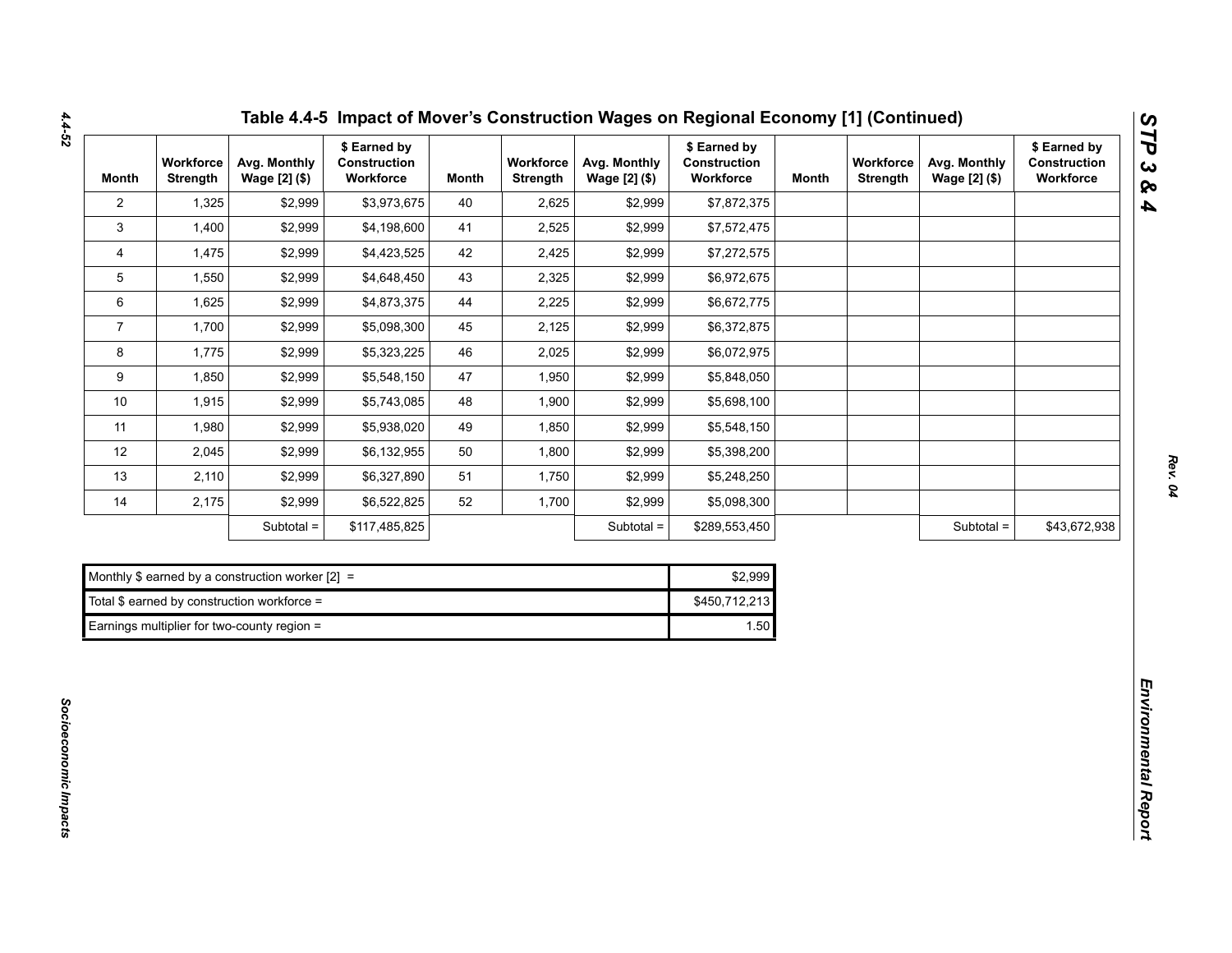| <b>Month</b>   | Workforce<br><b>Strength</b> | Avg. Monthly<br>Wage [2] (\$)                      | \$ Earned by<br>Construction<br>Workforce | <b>Month</b> | Workforce<br><b>Strength</b> | Avg. Monthly<br>Wage [2] (\$) | \$ Earned by<br>Construction<br>Workforce | <b>Month</b> | Workforce<br><b>Strength</b> | Avg. Monthly<br>Wage [2] (\$) | \$ Earned by<br>Construction<br>Workforce |
|----------------|------------------------------|----------------------------------------------------|-------------------------------------------|--------------|------------------------------|-------------------------------|-------------------------------------------|--------------|------------------------------|-------------------------------|-------------------------------------------|
| $\overline{2}$ | 1,325                        | \$2,999                                            | \$3,973,675                               | 40           | 2,625                        | \$2,999                       | \$7,872,375                               |              |                              |                               |                                           |
| 3              | 1,400                        | \$2,999                                            | \$4,198,600                               | 41           | 2,525                        | \$2,999                       | \$7,572,475                               |              |                              |                               |                                           |
| 4              | 1,475                        | \$2,999                                            | \$4,423,525                               | 42           | 2,425                        | \$2,999                       | \$7,272,575                               |              |                              |                               |                                           |
| 5              | 1,550                        | \$2,999                                            | \$4,648,450                               | 43           | 2,325                        | \$2,999                       | \$6,972,675                               |              |                              |                               |                                           |
| 6              | 1,625                        | \$2,999                                            | \$4,873,375                               | 44           | 2,225                        | \$2,999                       | \$6,672,775                               |              |                              |                               |                                           |
| $\overline{7}$ | 1,700                        | \$2,999                                            | \$5,098,300                               | 45           | 2,125                        | \$2,999                       | \$6,372,875                               |              |                              |                               |                                           |
| 8              | 1,775                        | \$2,999                                            | \$5,323,225                               | 46           | 2,025                        | \$2,999                       | \$6,072,975                               |              |                              |                               |                                           |
| 9              | 1,850                        | \$2,999                                            | \$5,548,150                               | 47           | 1,950                        | \$2,999                       | \$5,848,050                               |              |                              |                               |                                           |
| $10$           | 1,915                        | \$2,999                                            | \$5,743,085                               | 48           | 1,900                        | \$2,999                       | \$5,698,100                               |              |                              |                               |                                           |
| 11             | 1,980                        | \$2,999                                            | \$5,938,020                               | 49           | 1,850                        | \$2,999                       | \$5,548,150                               |              |                              |                               |                                           |
| 12             | 2,045                        | \$2,999                                            | \$6,132,955                               | 50           | 1,800                        | \$2,999                       | \$5,398,200                               |              |                              |                               |                                           |
| 13             | 2,110                        | \$2,999                                            | \$6,327,890                               | 51           | 1,750                        | \$2,999                       | \$5,248,250                               |              |                              |                               |                                           |
| 14             | 2,175                        | \$2,999                                            | \$6,522,825                               | 52           | 1,700                        | \$2,999                       | \$5,098,300                               |              |                              |                               |                                           |
|                |                              | Subtotal =                                         | \$117,485,825                             |              |                              | Subtotal =                    | \$289,553,450                             |              |                              | Subtotal =                    | \$43,672,938                              |
|                |                              |                                                    |                                           |              |                              |                               |                                           |              |                              |                               |                                           |
|                |                              | Monthly \$ earned by a construction worker $[2] =$ |                                           |              |                              |                               | \$2,999                                   |              |                              |                               |                                           |
|                |                              | Total \$ earned by construction workforce =        |                                           |              |                              |                               | \$450,712,213                             |              |                              |                               |                                           |
|                |                              | Earnings multiplier for two-county region =        |                                           |              |                              |                               | 1.50                                      |              |                              |                               |                                           |

| Monthly \$ earned by a construction worker $[2] =$ | \$2.999 |  |  |  |
|----------------------------------------------------|---------|--|--|--|
| Total \$ earned by construction workforce =        |         |  |  |  |
| Earnings multiplier for two-county region =        | 1.50    |  |  |  |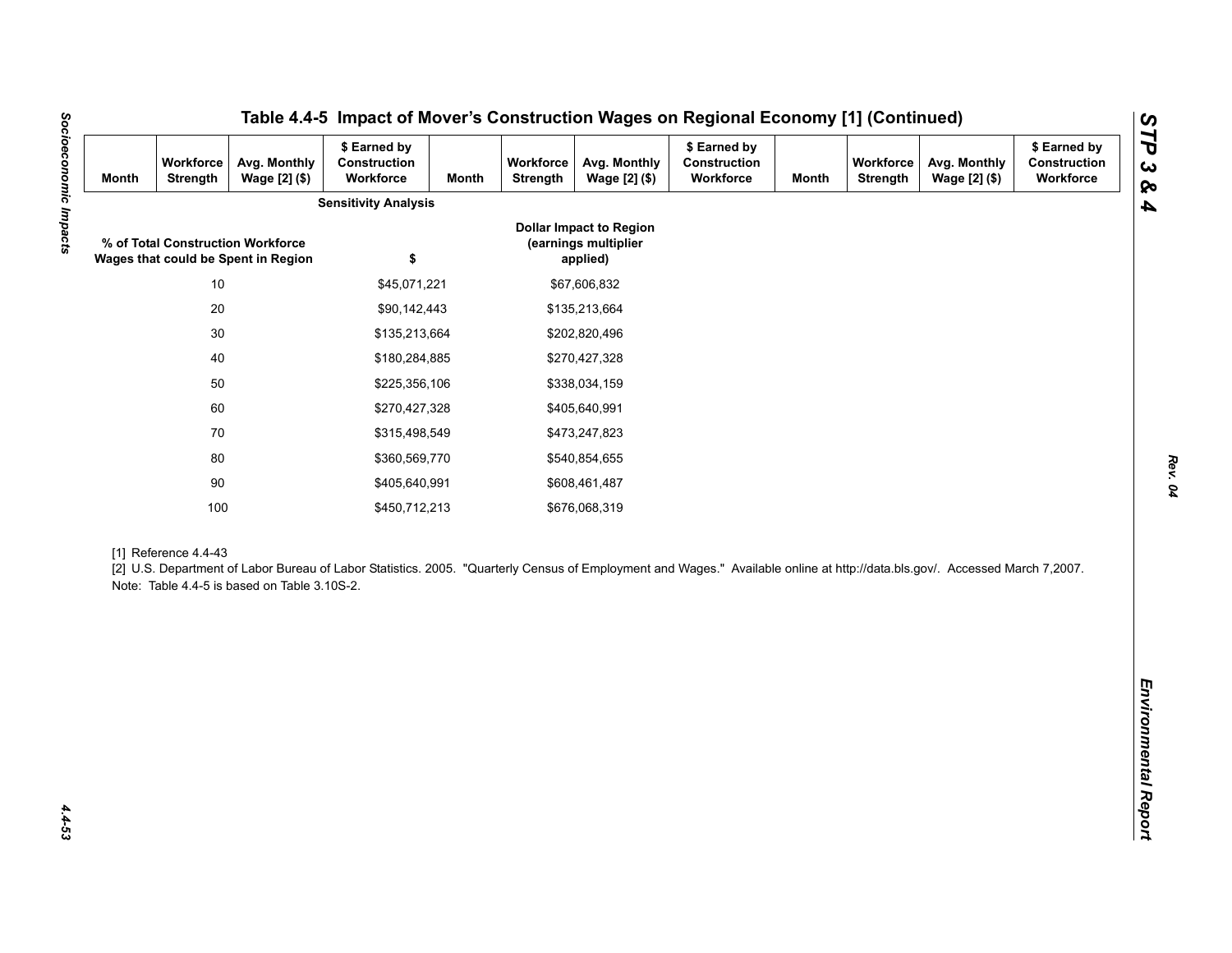| <b>Month</b> | Workforce<br>Strength | Avg. Monthly<br>Wage [2] (\$)                                            | \$ Earned by<br>Construction<br>Workforce                                                                                                                                   | <b>Month</b>  | Workforce<br>Strength | Avg. Monthly<br>Wage [2] (\$)                                      | \$ Earned by<br>Construction<br>Workforce | <b>Month</b> | Workforce<br><b>Strength</b> | Avg. Monthly<br>Wage [2] (\$) | \$ Earned by<br>Construction<br>Workforce |
|--------------|-----------------------|--------------------------------------------------------------------------|-----------------------------------------------------------------------------------------------------------------------------------------------------------------------------|---------------|-----------------------|--------------------------------------------------------------------|-------------------------------------------|--------------|------------------------------|-------------------------------|-------------------------------------------|
|              |                       |                                                                          | <b>Sensitivity Analysis</b>                                                                                                                                                 |               |                       |                                                                    |                                           |              |                              |                               |                                           |
|              |                       | % of Total Construction Workforce<br>Wages that could be Spent in Region | \$                                                                                                                                                                          |               |                       | <b>Dollar Impact to Region</b><br>(earnings multiplier<br>applied) |                                           |              |                              |                               |                                           |
|              | $10$                  |                                                                          | \$45,071,221                                                                                                                                                                |               |                       | \$67,606,832                                                       |                                           |              |                              |                               |                                           |
|              | $20\,$                |                                                                          | \$90,142,443                                                                                                                                                                |               |                       | \$135,213,664                                                      |                                           |              |                              |                               |                                           |
|              | $30\,$                |                                                                          | \$135,213,664                                                                                                                                                               |               |                       | \$202,820,496                                                      |                                           |              |                              |                               |                                           |
|              | 40                    |                                                                          | \$180,284,885                                                                                                                                                               |               | \$270,427,328         |                                                                    |                                           |              |                              |                               |                                           |
|              | 50                    |                                                                          |                                                                                                                                                                             | \$225,356,106 |                       | \$338,034,159                                                      |                                           |              |                              |                               |                                           |
|              | 60                    |                                                                          | \$270,427,328                                                                                                                                                               |               | \$405,640,991         |                                                                    |                                           |              |                              |                               |                                           |
|              | 70                    |                                                                          | \$315,498,549                                                                                                                                                               |               |                       | \$473,247,823                                                      |                                           |              |                              |                               |                                           |
|              | 80                    |                                                                          | \$360,569,770                                                                                                                                                               |               |                       | \$540,854,655                                                      |                                           |              |                              |                               |                                           |
|              | $90\,$                |                                                                          | \$405,640,991                                                                                                                                                               |               |                       | \$608,461,487                                                      |                                           |              |                              |                               |                                           |
|              | 100                   |                                                                          | \$450,712,213                                                                                                                                                               |               |                       | \$676,068,319                                                      |                                           |              |                              |                               |                                           |
|              | [1] Reference 4.4-43  | Note: Table 4.4-5 is based on Table 3.10S-2.                             | [2] U.S. Department of Labor Bureau of Labor Statistics. 2005. "Quarterly Census of Employment and Wages." Available online at http://data.bls.gov/. Accessed March 7,2007. |               |                       |                                                                    |                                           |              |                              |                               |                                           |
|              |                       |                                                                          |                                                                                                                                                                             |               |                       |                                                                    |                                           |              |                              |                               |                                           |
|              |                       |                                                                          |                                                                                                                                                                             |               |                       |                                                                    |                                           |              |                              |                               |                                           |
|              |                       |                                                                          |                                                                                                                                                                             |               |                       |                                                                    |                                           |              |                              |                               |                                           |
|              |                       |                                                                          |                                                                                                                                                                             |               |                       |                                                                    |                                           |              |                              |                               |                                           |

*Rev. 04*

Socioeconomic Impacts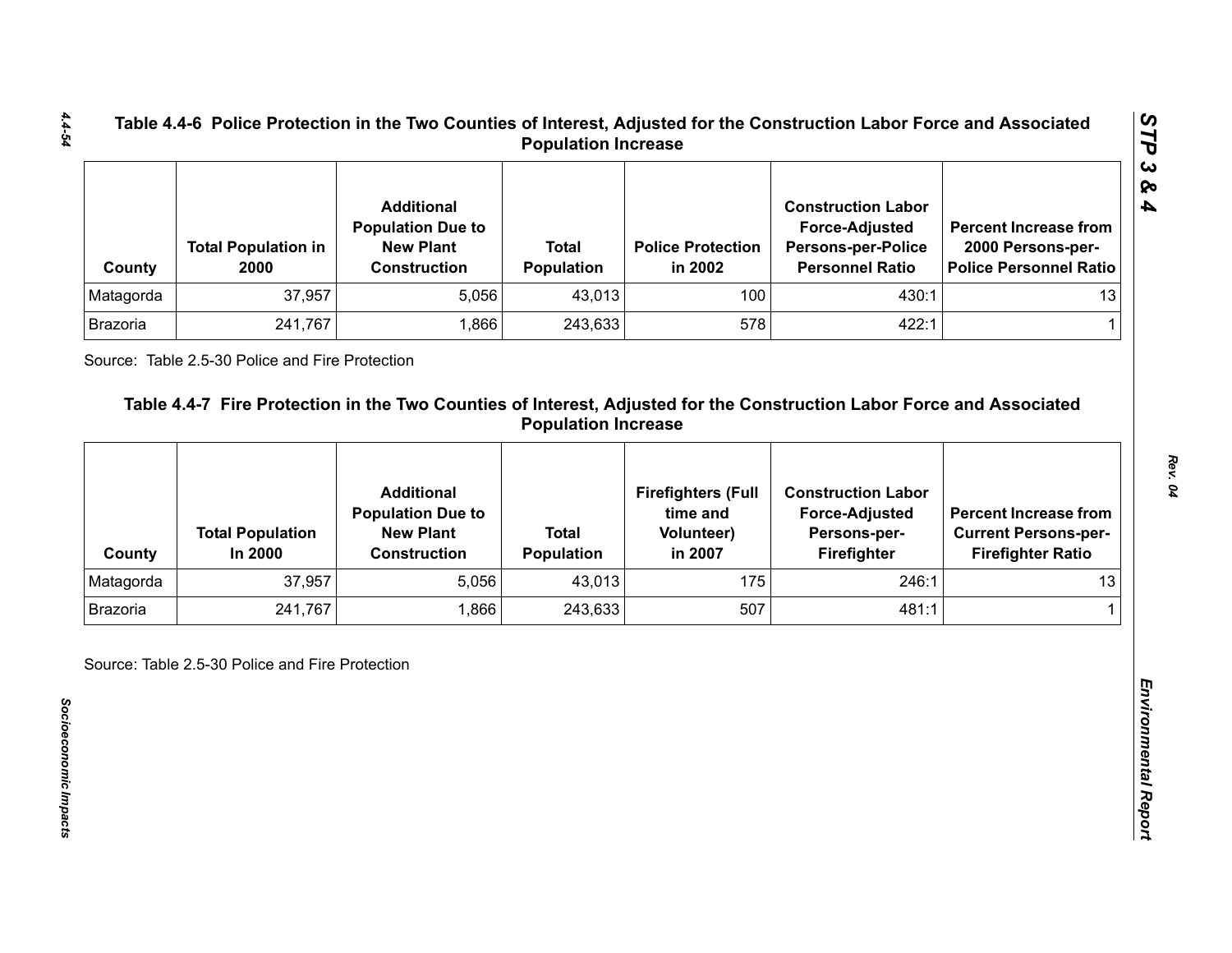| County    | <b>Total Population in</b><br>2000 | <b>Additional</b><br><b>Population Due to</b><br><b>New Plant</b><br><b>Construction</b> | <b>Total</b><br><b>Population</b> | <b>Police Protection</b><br>in 2002 | <b>Construction Labor</b><br><b>Force-Adjusted</b><br><b>Persons-per-Police</b><br><b>Personnel Ratio</b> | <b>Percent Increase from</b><br>2000 Persons-per-<br>Police Personnel Ratio |
|-----------|------------------------------------|------------------------------------------------------------------------------------------|-----------------------------------|-------------------------------------|-----------------------------------------------------------------------------------------------------------|-----------------------------------------------------------------------------|
| Matagorda | 37,957                             | 5,056                                                                                    | 43,013                            | 100                                 | 430:1                                                                                                     | 13                                                                          |
| Brazoria  | 241,767                            | .866                                                                                     | 243,633                           | 578                                 | 422:1                                                                                                     |                                                                             |

| Matagorda       |                                    | <b>Construction</b>                           | Population                        | in 2002                               | <b>Persons-per-Police</b><br><b>Personnel Ratio</b> | 2000 Persons-per-<br><b>Police Personnel Ratio</b>      |
|-----------------|------------------------------------|-----------------------------------------------|-----------------------------------|---------------------------------------|-----------------------------------------------------|---------------------------------------------------------|
|                 | 37,957                             | 5,056                                         | 43,013                            | 100                                   | 430:1                                               | 13                                                      |
| <b>Brazoria</b> | 241,767                            | 1,866                                         | 243,633                           | 578                                   | 422:1                                               | 1                                                       |
|                 |                                    | <b>Additional</b><br><b>Population Due to</b> |                                   | <b>Firefighters (Full</b><br>time and | <b>Construction Labor</b><br><b>Force-Adjusted</b>  | <b>Percent Increase from</b>                            |
| County          | <b>Total Population</b><br>In 2000 | <b>New Plant</b><br><b>Construction</b>       | <b>Total</b><br><b>Population</b> | <b>Volunteer)</b><br>in 2007          | Persons-per-<br>Firefighter                         | <b>Current Persons-per-</b><br><b>Firefighter Ratio</b> |
| Matagorda       | 37,957                             | 5,056                                         | 43,013                            | 175                                   | 246:1                                               | 13                                                      |
| <b>Brazoria</b> | 241,767                            | 1,866                                         | 243,633                           | 507                                   | 481:1                                               |                                                         |

*STP 3 & 4*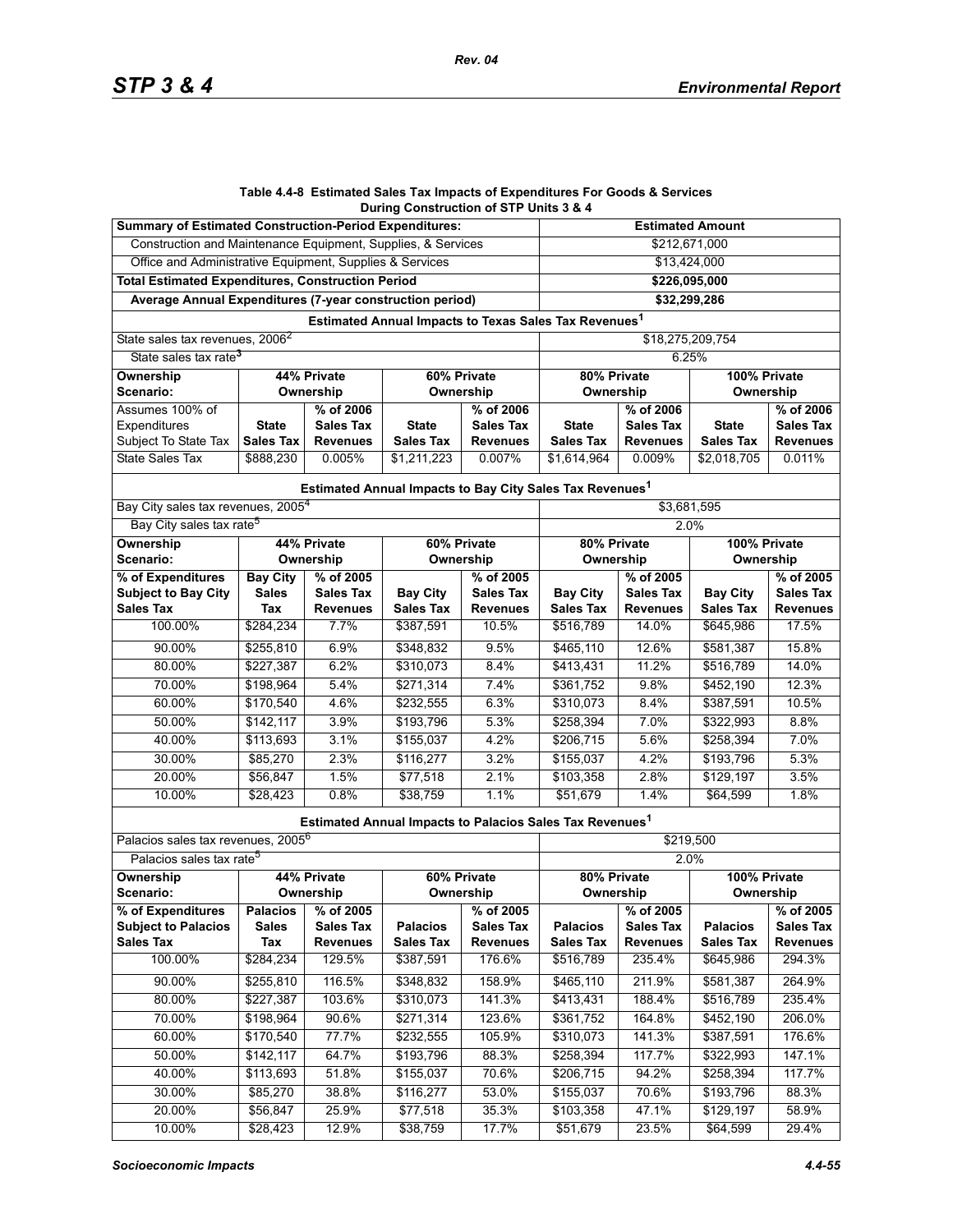#### **Table 4.4-8 Estimated Sales Tax Impacts of Expenditures For Goods & Services During Construction of STP Units 3 & 4**

| <b>Summary of Estimated Construction-Period Expenditures:</b> |                  |                  | <b>Estimated Amount</b>                                              |                            |                           |                  |                  |                  |  |  |
|---------------------------------------------------------------|------------------|------------------|----------------------------------------------------------------------|----------------------------|---------------------------|------------------|------------------|------------------|--|--|
| Construction and Maintenance Equipment, Supplies, & Services  |                  |                  | \$212,671,000                                                        |                            |                           |                  |                  |                  |  |  |
| Office and Administrative Equipment, Supplies & Services      |                  |                  | \$13,424,000                                                         |                            |                           |                  |                  |                  |  |  |
| <b>Total Estimated Expenditures, Construction Period</b>      |                  |                  |                                                                      |                            | $\overline{$226,095,000}$ |                  |                  |                  |  |  |
| Average Annual Expenditures (7-year construction period)      |                  |                  |                                                                      |                            | \$32,299,286              |                  |                  |                  |  |  |
|                                                               |                  |                  | Estimated Annual Impacts to Texas Sales Tax Revenues <sup>1</sup>    |                            |                           |                  |                  |                  |  |  |
| State sales tax revenues, 2006 <sup>2</sup>                   |                  |                  |                                                                      |                            | \$18,275,209,754          |                  |                  |                  |  |  |
| State sales tax rate <sup>3</sup>                             |                  |                  |                                                                      |                            | 6.25%                     |                  |                  |                  |  |  |
| <b>Ownership</b>                                              |                  | 44% Private      | 80% Private                                                          |                            | 100% Private              |                  |                  |                  |  |  |
| Scenario:                                                     |                  | Ownership        | Ownership                                                            |                            | Ownership                 |                  |                  |                  |  |  |
| Assumes 100% of                                               |                  | % of 2006        |                                                                      | % of 2006                  |                           | % of 2006        |                  | % of 2006        |  |  |
| Expenditures                                                  | <b>State</b>     | <b>Sales Tax</b> | <b>State</b>                                                         | <b>Sales Tax</b>           | <b>State</b>              | <b>Sales Tax</b> | <b>State</b>     | <b>Sales Tax</b> |  |  |
| Subject To State Tax                                          | <b>Sales Tax</b> | <b>Revenues</b>  | <b>Sales Tax</b>                                                     | <b>Revenues</b>            | <b>Sales Tax</b>          | <b>Revenues</b>  | <b>Sales Tax</b> | <b>Revenues</b>  |  |  |
| State Sales Tax                                               | \$888,230        | 0.005%           | \$1,211,223                                                          | 0.007%                     | \$1,614,964               | 0.009%           | \$2,018,705      | 0.011%           |  |  |
|                                                               |                  |                  | Estimated Annual Impacts to Bay City Sales Tax Revenues <sup>1</sup> |                            |                           |                  |                  |                  |  |  |
| Bay City sales tax revenues, 2005 <sup>4</sup>                |                  |                  | \$3,681,595                                                          |                            |                           |                  |                  |                  |  |  |
| Bay City sales tax rate <sup>5</sup>                          |                  |                  |                                                                      |                            | 2.0%                      |                  |                  |                  |  |  |
| Ownership                                                     | 44% Private      |                  | 60% Private                                                          |                            | 80% Private               |                  | 100% Private     |                  |  |  |
| Scenario:                                                     | Ownership        |                  | Ownership                                                            |                            | Ownership                 |                  | Ownership        |                  |  |  |
| % of Expenditures                                             | <b>Bay City</b>  | % of 2005        |                                                                      | % of 2005                  |                           | % of 2005        |                  | % of 2005        |  |  |
| <b>Subject to Bay City</b>                                    | <b>Sales</b>     | <b>Sales Tax</b> | <b>Bay City</b>                                                      | <b>Sales Tax</b>           | <b>Bay City</b>           | <b>Sales Tax</b> | <b>Bay City</b>  | Sales Tax        |  |  |
| <b>Sales Tax</b>                                              | Tax              | <b>Revenues</b>  | <b>Sales Tax</b>                                                     | <b>Revenues</b>            | <b>Sales Tax</b>          | <b>Revenues</b>  | <b>Sales Tax</b> | <b>Revenues</b>  |  |  |
| 100.00%                                                       | \$284,234        | 7.7%             | \$387,591                                                            | 10.5%                      | \$516,789                 | 14.0%            | \$645,986        | 17.5%            |  |  |
| 90.00%                                                        | \$255,810        | 6.9%             | \$348,832                                                            | 9.5%                       | \$465,110                 | 12.6%            | \$581,387        | 15.8%            |  |  |
| 80.00%                                                        | \$227,387        | 6.2%             | \$310,073                                                            | 8.4%                       | \$413,431                 | 11.2%            | \$516,789        | 14.0%            |  |  |
| 70.00%                                                        | \$198,964        | 5.4%             | \$271,314                                                            | 7.4%                       | \$361,752                 | 9.8%             | \$452,190        | 12.3%            |  |  |
| 60.00%                                                        | \$170,540        | 4.6%             | \$232,555                                                            | 6.3%                       | \$310,073                 | 8.4%             | \$387,591        | 10.5%            |  |  |
| 50.00%                                                        | \$142,117        | 3.9%             | \$193,796                                                            | 5.3%                       | \$258,394                 | 7.0%             | \$322,993        | 8.8%             |  |  |
| 40.00%                                                        | \$113,693        | 3.1%             | \$155,037                                                            | 4.2%                       | \$206,715                 | 5.6%             | \$258,394        | 7.0%             |  |  |
| 30.00%                                                        | \$85,270         | 2.3%             | \$116,277                                                            | 3.2%                       | \$155,037                 | 4.2%             | \$193,796        | 5.3%             |  |  |
| 20.00%                                                        | \$56,847         | 1.5%             | \$77,518                                                             | 2.1%                       | \$103,358                 | 2.8%             | \$129,197        | 3.5%             |  |  |
| 10.00%                                                        | \$28,423         | 0.8%             | \$38,759                                                             | 1.1%                       | \$51,679                  | 1.4%             | \$64,599         | 1.8%             |  |  |
|                                                               |                  |                  | Estimated Annual Impacts to Palacios Sales Tax Revenues <sup>1</sup> |                            |                           |                  |                  |                  |  |  |
| Palacios sales tax revenues, 2005 <sup>6</sup>                |                  |                  |                                                                      |                            | \$219,500                 |                  |                  |                  |  |  |
| Palacios sales tax rate <sup>5</sup>                          |                  |                  |                                                                      |                            | 2.0%                      |                  |                  |                  |  |  |
| 44% Private<br>Ownership                                      |                  |                  |                                                                      | 60% Private<br>80% Private |                           |                  | 100% Private     |                  |  |  |
| Scenario:                                                     |                  | Ownership        |                                                                      | Ownership                  | Ownership                 |                  | Ownership        |                  |  |  |
| % of Expenditures                                             | <b>Palacios</b>  | % of 2005        |                                                                      | % of 2005                  |                           | % of 2005        |                  | % of 2005        |  |  |
| <b>Subject to Palacios</b>                                    | <b>Sales</b>     | <b>Sales Tax</b> | <b>Palacios</b>                                                      | <b>Sales Tax</b>           | <b>Palacios</b>           | <b>Sales Tax</b> | <b>Palacios</b>  | <b>Sales Tax</b> |  |  |
| <b>Sales Tax</b>                                              | Tax              | <b>Revenues</b>  | <b>Sales Tax</b>                                                     | <b>Revenues</b>            | <b>Sales Tax</b>          | <b>Revenues</b>  | <b>Sales Tax</b> | <b>Revenues</b>  |  |  |
| 100.00%                                                       | \$284,234        | 129.5%           | \$387,591                                                            | 176.6%                     | \$516,789                 | 235.4%           | \$645,986        | 294.3%           |  |  |
| 90.00%                                                        | \$255,810        | 116.5%           | \$348,832                                                            | 158.9%                     | \$465,110                 | 211.9%           | \$581,387        | 264.9%           |  |  |
| 80.00%                                                        | \$227,387        | 103.6%           | \$310,073                                                            | 141.3%                     | \$413,431                 | 188.4%           | \$516,789        | 235.4%           |  |  |
| 70.00%                                                        | \$198,964        | 90.6%            | \$271,314                                                            | 123.6%                     | \$361,752                 | 164.8%           | \$452,190        | 206.0%           |  |  |
| 60.00%                                                        | \$170,540        | 77.7%            | \$232,555                                                            | 105.9%                     | \$310,073                 | 141.3%           | \$387,591        | 176.6%           |  |  |
| 50.00%                                                        | \$142,117        | 64.7%            | \$193,796                                                            | 88.3%                      | \$258,394                 | 117.7%           | \$322,993        | 147.1%           |  |  |
| 40.00%                                                        | \$113,693        | 51.8%            | \$155,037                                                            | 70.6%                      | \$206,715                 | 94.2%            | \$258,394        | 117.7%           |  |  |
| 30.00%                                                        | \$85,270         | 38.8%            | \$116,277                                                            | 53.0%                      | \$155,037                 | 70.6%            | \$193,796        | 88.3%            |  |  |
| 20.00%                                                        | \$56,847         | 25.9%            | \$77,518                                                             | 35.3%                      | \$103,358                 | 47.1%            | \$129,197        | 58.9%            |  |  |
| 10.00%                                                        | \$28,423         | 12.9%            | \$38,759                                                             | 17.7%                      | \$51,679                  | 23.5%            | \$64,599         | 29.4%            |  |  |